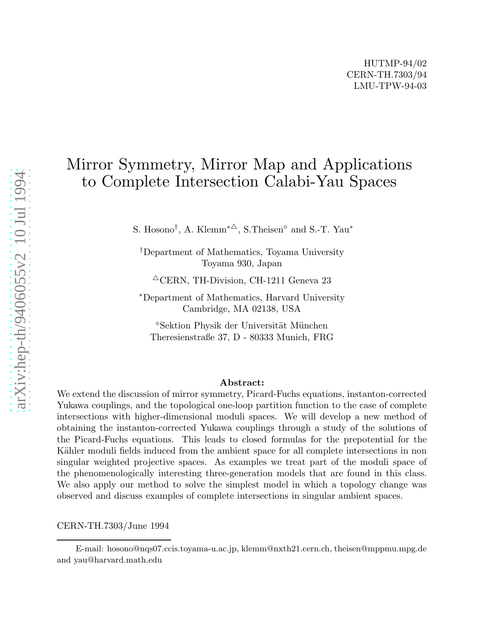# Mirror Symmetry, Mirror Map and Applications to Complete Intersection Calabi-Yau Spaces

S. Hosono<sup>†</sup>, A. Klemm<sup>\*</sup><sup> $\triangle$ </sup>, S. Theisen<sup> $\diamond$ </sup> and S.-T. Yau<sup>\*</sup>

†Department of Mathematics, Toyama University Toyama 930, Japan

 $^{\triangle}$ CERN, TH-Division, CH-1211 Geneva 23

<sup>∗</sup>Department of Mathematics, Harvard University Cambridge, MA 02138, USA

<sup>◇</sup>Sektion Physik der Universität München Theresienstraße 37, D - 80333 Munich, FRG

#### Abstract:

We extend the discussion of mirror symmetry, Picard-Fuchs equations, instanton-corrected Yukawa couplings, and the topological one-loop partition function to the case of complete intersections with higher-dimensional moduli spaces. We will develop a new method of obtaining the instanton-corrected Yukawa couplings through a study of the solutions of the Picard-Fuchs equations. This leads to closed formulas for the prepotential for the Kähler moduli fields induced from the ambient space for all complete intersections in non singular weighted projective spaces. As examples we treat part of the moduli space of the phenomenologically interesting three-generation models that are found in this class. We also apply our method to solve the simplest model in which a topology change was observed and discuss examples of complete intersections in singular ambient spaces.

CERN-TH.7303/June 1994

E-mail: hosono@nqs07.ccis.toyama-u.ac.jp, klemm@nxth21.cern.ch, theisen@mppmu.mpg.de and yau@harvard.math.edu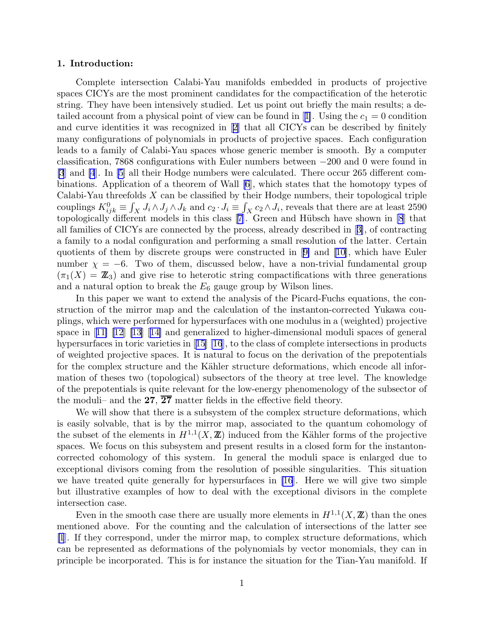## 1. Introduction:

Complete intersection Calabi-Yau manifolds embedded in products of projective spaces CICYs are the most prominent candidates for the compactification of the heterotic string. They have been intensively studied. Let us point out briefly the main results; a de-tailedaccount from a physical point of view can be found in [[1\]](#page-48-0). Using the  $c_1 = 0$  condition and curve identities it was recognized in[[2\]](#page-48-0) that all CICYs can be described by finitely many configurations of polynomials in products of projective spaces. Each configuration leads to a family of Calabi-Yau spaces whose generic member is smooth. By a computer classification, 7868 configurations with Euler numbers between −200 and 0 were found in [\[3](#page-48-0)] and [\[4](#page-48-0)]. In [\[5](#page-48-0)] all their Hodge numbers were calculated. There occur 265 different combinations. Application of a theorem of Wall [\[6](#page-48-0)], which states that the homotopy types of Calabi-Yau threefolds  $X$  can be classified by their Hodge numbers, their topological triple couplings  $K_{ijk}^0 \equiv \int_X J_i \wedge J_j \wedge J_k$  and  $c_2 \cdot J_i \equiv \int_X c_2 \wedge J_i$ , reveals that there are at least 2590 topologicallydifferent models in this class [[7\]](#page-48-0). Green and Hübsch have shown in [\[8](#page-48-0)] that all families of CICYs are connected by the process, already described in[[3\]](#page-48-0), of contracting a family to a nodal configuration and performing a small resolution of the latter. Certain quotients of them by discrete groups were constructed in[[9\]](#page-48-0) and [\[10](#page-48-0)], which have Euler number  $\chi = -6$ . Two of them, discussed below, have a non-trivial fundamental group  $(\pi_1(X) = \mathbb{Z}_3)$  and give rise to heterotic string compactifications with three generations and a natural option to break the  $E_6$  gauge group by Wilson lines.

In this paper we want to extend the analysis of the Picard-Fuchs equations, the construction of the mirror map and the calculation of the instanton-corrected Yukawa couplings, which were performed for hypersurfaces with one modulus in a (weighted) projective space in[[11\] \[12](#page-48-0)] [\[13](#page-48-0)][[14\]](#page-48-0) and generalized to higher-dimensional moduli spaces of general hypersurfacesin toric varieties in [[15\] \[16](#page-48-0)], to the class of complete intersections in products of weighted projective spaces. It is natural to focus on the derivation of the prepotentials for the complex structure and the Kähler structure deformations, which encode all information of theses two (topological) subsectors of the theory at tree level. The knowledge of the prepotentials is quite relevant for the low-energy phenomenology of the subsector of the moduli– and the  $27, \overline{27}$  matter fields in the effective field theory.

We will show that there is a subsystem of the complex structure deformations, which is easily solvable, that is by the mirror map, associated to the quantum cohomology of the subset of the elements in  $H^{1,1}(X,\mathbb{Z})$  induced from the Kähler forms of the projective spaces. We focus on this subsystem and present results in a closed form for the instantoncorrected cohomology of this system. In general the moduli space is enlarged due to exceptional divisors coming from the resolution of possible singularities. This situation we have treated quite generally for hypersurfaces in [\[16](#page-48-0)]. Here we will give two simple but illustrative examples of how to deal with the exceptional divisors in the complete intersection case.

Even in the smooth case there are usually more elements in  $H^{1,1}(X,\mathbb{Z})$  than the ones mentioned above. For the counting and the calculation of intersections of the latter see [\[1](#page-48-0)]. If they correspond, under the mirror map, to complex structure deformations, which can be represented as deformations of the polynomials by vector monomials, they can in principle be incorporated. This is for instance the situation for the Tian-Yau manifold. If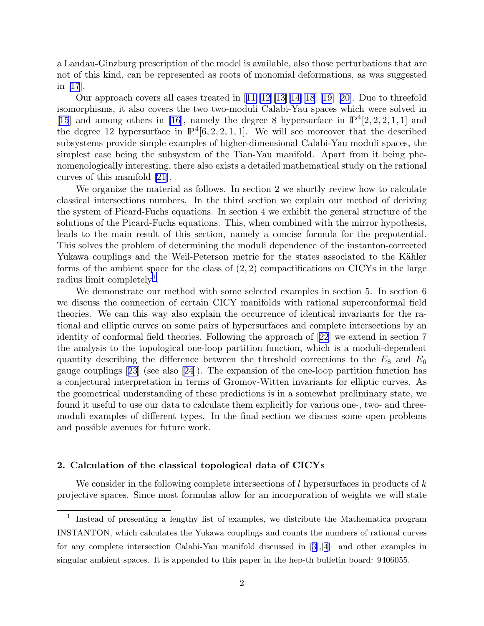a Landau-Ginzburg prescription of the model is available, also those perturbations that are not of this kind, can be represented as roots of monomial deformations, as was suggested in [\[17](#page-48-0)].

Ourapproach covers all cases treated in  $[11][12][13][14][18]$  $[11][12][13][14][18]$  $[11][12][13][14][18]$  $[11][12][13][14][18]$  $[11][12][13][14][18]$  $[11][12][13][14][18]$  $[11][12][13][14][18]$  [\[19](#page-48-0)] [[20\]](#page-48-0). Due to threefold isomorphisms, it also covers the two two-moduli Calabi-Yau spaces which were solved in [\[15](#page-48-0)] and among others in [\[16](#page-48-0)], namely the degree 8 hypersurface in  $\mathbb{P}^4[2,2,2,1,1]$  and the degree 12 hypersurface in  $\mathbb{P}^4[6, 2, 2, 1, 1]$ . We will see moreover that the described subsystems provide simple examples of higher-dimensional Calabi-Yau moduli spaces, the simplest case being the subsystem of the Tian-Yau manifold. Apart from it being phenomenologically interesting, there also exists a detailed mathematical study on the rational curves of this manifold [\[21](#page-48-0)].

We organize the material as follows. In section 2 we shortly review how to calculate classical intersections numbers. In the third section we explain our method of deriving the system of Picard-Fuchs equations. In section 4 we exhibit the general structure of the solutions of the Picard-Fuchs equations. This, when combined with the mirror hypothesis, leads to the main result of this section, namely a concise formula for the prepotential. This solves the problem of determining the moduli dependence of the instanton-corrected Yukawa couplings and the Weil-Peterson metric for the states associated to the Kähler forms of the ambient space for the class of  $(2, 2)$  compactifications on CICYs in the large radius limit completely<sup>1</sup>.

We demonstrate our method with some selected examples in section 5. In section 6 we discuss the connection of certain CICY manifolds with rational superconformal field theories. We can this way also explain the occurrence of identical invariants for the rational and elliptic curves on some pairs of hypersurfaces and complete intersections by an identity of conformal field theories. Following the approach of [\[22](#page-49-0)] we extend in section 7 the analysis to the topological one-loop partition function, which is a moduli-dependent quantity describing the difference between the threshold corrections to the  $E_8$  and  $E_6$ gauge couplings [\[23](#page-49-0)] (see also [\[24](#page-49-0)]). The expansion of the one-loop partition function has a conjectural interpretation in terms of Gromov-Witten invariants for elliptic curves. As the geometrical understanding of these predictions is in a somewhat preliminary state, we found it useful to use our data to calculate them explicitly for various one-, two- and threemoduli examples of different types. In the final section we discuss some open problems and possible avenues for future work.

## 2. Calculation of the classical topological data of CICYs

We consider in the following complete intersections of l hypersurfaces in products of  $k$ projective spaces. Since most formulas allow for an incorporation of weights we will state

<sup>&</sup>lt;sup>1</sup> Instead of presenting a lengthy list of examples, we distribute the Mathematica program INSTANTON, which calculates the Yukawa couplings and counts the numbers of rational curves for any complete intersection Calabi-Yau manifold discussed in[[3](#page-48-0)],[[4](#page-48-0)] and other examples in singular ambient spaces. It is appended to this paper in the hep-th bulletin board: 9406055.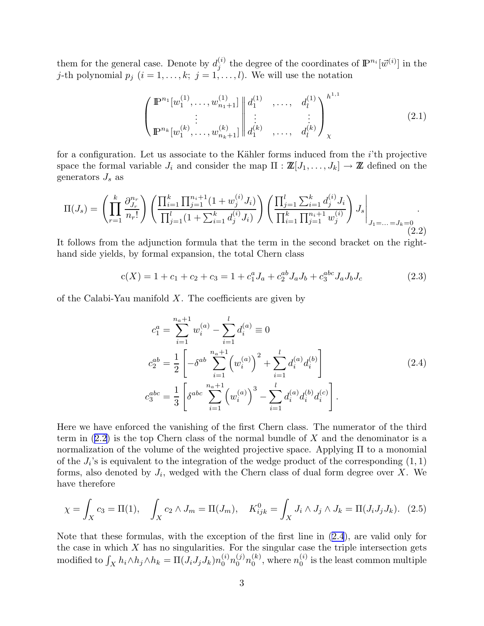<span id="page-3-0"></span>them for the general case. Denote by  $d_i^{(i)}$  $j^{(i)}$  the degree of the coordinates of  $\mathbb{P}^{n_i}[\vec{w}^{(i)}]$  in the j-th polynomial  $p_j$   $(i = 1, \ldots, k; j = 1, \ldots, l)$ . We will use the notation

$$
\begin{pmatrix} \mathbb{P}^{n_1}[w_1^{(1)}, \dots, w_{n_1+1}^{(1)}] & d_1^{(1)} & \dots, d_l^{(1)} \\ \vdots & \vdots & \vdots \\ \mathbb{P}^{n_k}[w_1^{(k)}, \dots, w_{n_k+1}^{(k)}] & d_1^{(k)} & \dots, d_l^{(k)} \end{pmatrix}_{\chi}^{h^{1,1}} \tag{2.1}
$$

for a configuration. Let us associate to the Kähler forms induced from the  $i$ 'th projective space the formal variable  $J_i$  and consider the map  $\Pi : \mathbb{Z}[J_1, \ldots, J_k] \to \mathbb{Z}$  defined on the generators  $J_s$  as

$$
\Pi(J_s) = \left(\prod_{r=1}^k \frac{\partial_{J_r}^{n_r}}{n_r!} \right) \left(\frac{\prod_{i=1}^k \prod_{j=1}^{n_i+1} (1+w_j^{(i)} J_i)}{\prod_{j=1}^l (1+\sum_{i=1}^k d_j^{(i)} J_i)}\right) \left(\frac{\prod_{j=1}^l \sum_{i=1}^k d_j^{(i)} J_i}{\prod_{i=1}^k \prod_{j=1}^{n_i+1} w_j^{(i)}}\right) J_s \Big|_{J_1=\ldots=J_k=0}.
$$
\n(2.2)

It follows from the adjunction formula that the term in the second bracket on the righthand side yields, by formal expansion, the total Chern class

$$
c(X) = 1 + c_1 + c_2 + c_3 = 1 + c_1^a J_a + c_2^{ab} J_a J_b + c_3^{abc} J_a J_b J_c \tag{2.3}
$$

of the Calabi-Yau manifold  $X$ . The coefficients are given by

$$
c_1^a = \sum_{i=1}^{n_a+1} w_i^{(a)} - \sum_{i=1}^l d_i^{(a)} \equiv 0
$$
  
\n
$$
c_2^{ab} = \frac{1}{2} \left[ -\delta^{ab} \sum_{i=1}^{n_a+1} \left( w_i^{(a)} \right)^2 + \sum_{i=1}^l d_i^{(a)} d_i^{(b)} \right]
$$
  
\n
$$
c_3^{abc} = \frac{1}{3} \left[ \delta^{abc} \sum_{i=1}^{n_a+1} \left( w_i^{(a)} \right)^3 - \sum_{i=1}^l d_i^{(a)} d_i^{(b)} d_i^{(c)} \right].
$$
\n(2.4)

Here we have enforced the vanishing of the first Chern class. The numerator of the third term in  $(2.2)$  is the top Chern class of the normal bundle of X and the denominator is a normalization of the volume of the weighted projective space. Applying Π to a monomial of the  $J_i$ 's is equivalent to the integration of the wedge product of the corresponding  $(1, 1)$ forms, also denoted by  $J_i$ , wedged with the Chern class of dual form degree over X. We have therefore

$$
\chi = \int_X c_3 = \Pi(1), \quad \int_X c_2 \wedge J_m = \Pi(J_m), \quad K_{ijk}^0 = \int_X J_i \wedge J_j \wedge J_k = \Pi(J_i J_j J_k). \tag{2.5}
$$

Note that these formulas, with the exception of the first line in (2.4), are valid only for the case in which  $X$  has no singularities. For the singular case the triple intersection gets modified to  $\int_X h_i \wedge h_j \wedge h_k = \Pi(J_iJ_jJ_k)n_0^{(i)}n_0^{(j)}n_0^{(k)}$  $\binom{k}{0}$ , where  $n_0^{(i)}$  $\binom{v}{0}$  is the least common multiple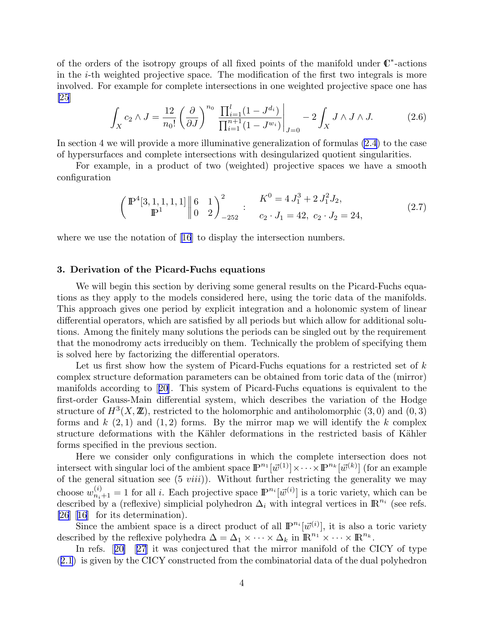<span id="page-4-0"></span>of the orders of the isotropy groups of all fixed points of the manifold under  $\mathbb{C}^*$ -actions in the  $i$ -th weighted projective space. The modification of the first two integrals is more involved. For example for complete intersections in one weighted projective space one has [\[25](#page-49-0)]

$$
\int_{X} c_{2} \wedge J = \frac{12}{n_{0}!} \left( \frac{\partial}{\partial J} \right)^{n_{0}} \frac{\prod_{i=1}^{l} (1 - J^{d_{i}})}{\prod_{i=1}^{n+1} (1 - J^{w_{i}})} \bigg|_{J=0} - 2 \int_{X} J \wedge J \wedge J. \tag{2.6}
$$

In section 4 we will provide a more illuminative generalization of formulas [\(2.4\)](#page-3-0) to the case of hypersurfaces and complete intersections with desingularized quotient singularities.

For example, in a product of two (weighted) projective spaces we have a smooth configuration

$$
\left(\n\begin{array}{c}\n\mathbb{P}^4[3,1,1,1,1] \parallel 6 & 1 \\
\mathbb{P}^1 & 0 & 2\n\end{array}\n\right)_{-252}^2\n\quad\n\begin{array}{c}\nK^0 = 4J_1^3 + 2J_1^2J_2, \\
c_2 \cdot J_1 = 42, \ c_2 \cdot J_2 = 24,\n\end{array}
$$
\n(2.7)

where we use the notation of [\[16](#page-48-0)] to display the intersection numbers.

## 3. Derivation of the Picard-Fuchs equations

We will begin this section by deriving some general results on the Picard-Fuchs equations as they apply to the models considered here, using the toric data of the manifolds. This approach gives one period by explicit integration and a holonomic system of linear differential operators, which are satisfied by all periods but which allow for additional solutions. Among the finitely many solutions the periods can be singled out by the requirement that the monodromy acts irreducibly on them. Technically the problem of specifying them is solved here by factorizing the differential operators.

Let us first show how the system of Picard-Fuchs equations for a restricted set of  $k$ complex structure deformation parameters can be obtained from toric data of the (mirror) manifolds according to[[20\]](#page-48-0). This system of Picard-Fuchs equations is equivalent to the first-order Gauss-Main differential system, which describes the variation of the Hodge structure of  $H^3(X, \mathbb{Z})$ , restricted to the holomorphic and antiholomorphic  $(3,0)$  and  $(0,3)$ forms and  $k(2,1)$  and  $(1,2)$  forms. By the mirror map we will identify the k complex structure deformations with the Kähler deformations in the restricted basis of Kähler forms specified in the previous section.

Here we consider only configurations in which the complete intersection does not intersect with singular loci of the ambient space  $\mathbb{P}^{n_1}[\vec{w}^{(1)}] \times \cdots \times \mathbb{P}^{n_k}[\vec{w}^{(k)}]$  (for an example of the general situation see  $(5 viii)$ . Without further restricting the generality we may choose  $w_{n_i+1}^{(i)} = 1$  for all *i*. Each projective space  $\mathbb{P}^{n_i}[\vec{w}^{(i)}]$  is a toric variety, which can be described by a (reflexive) simplicial polyhedron  $\Delta_i$  with integral vertices in  $\mathbb{R}^{n_i}$  (see refs.  $|26|$  $|16|$  for its determination).

Since the ambient space is a direct product of all  $\mathbb{P}^{n_i}[\vec{w}^{(i)}]$ , it is also a toric variety described by the reflexive polyhedra  $\Delta = \Delta_1 \times \cdots \times \Delta_k$  in  $\mathbb{R}^{n_1} \times \cdots \times \mathbb{R}^{n_k}$ .

In refs.[[20\]](#page-48-0)[[27\]](#page-49-0) it was conjectured that the mirror manifold of the CICY of type ([2.1](#page-3-0)) is given by the CICY constructed from the combinatorial data of the dual polyhedron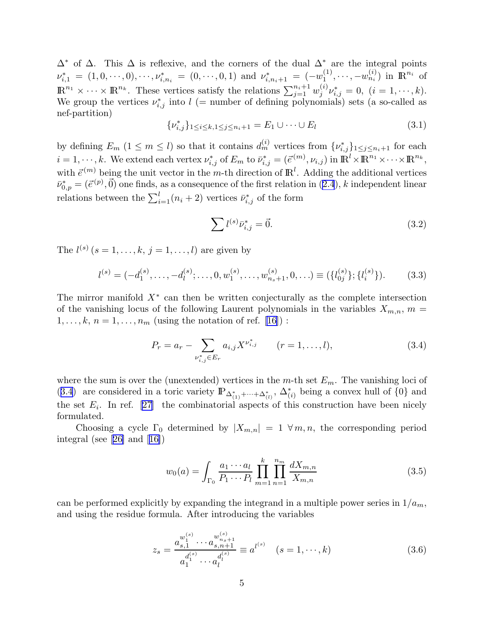<span id="page-5-0"></span> $\Delta^*$  of  $\Delta$ . This  $\Delta$  is reflexive, and the corners of the dual  $\Delta^*$  are the integral points  $\nu_{i,1}^* = (1,0,\cdots,0), \cdots, \nu_{i,n_i}^* = (0,\cdots,0,1) \text{ and } \nu_{i,n_i+1}^* = (-w_1^{(1)})$  $\mathbb{R}^{(1)}_1, \cdots, -w_{n_i}^{(i)}$  in  $\mathbb{R}^{n_i}$  of  $\mathbb{R}^{n_1} \times \cdots \times \mathbb{R}^{n_k}$ . These vertices satisfy the relations  $\sum_{j=1}^{n_i+1} w_j^{(i)}$  $j^{(i)}\nu_{i,j}^* = 0, \ (i = 1, \cdots, k).$ We group the vertices  $\nu_{i,j}^*$  into  $l$  (= number of defining polynomials) sets (a so-called as nef-partition)

$$
\{\nu_{i,j}^*\}_{1 \le i \le k, 1 \le j \le n_i+1} = E_1 \cup \dots \cup E_l \tag{3.1}
$$

by defining  $E_m$   $(1 \leq m \leq l)$  so that it contains  $d_m^{(i)}$  vertices from  $\{\nu_{i,j}^*\}_{1 \leq j \leq n_i+1}$  for each  $i = 1, \dots, k$ . We extend each vertex  $\nu_{i,j}^*$  of  $E_m$  to  $\bar{\nu}_{i,j}^* = (\vec{e}^{(m)}, \nu_{i,j})$  in  $\mathbb{R}^l \times \mathbb{R}^{n_1} \times \dots \times \mathbb{R}^{n_k}$ , with  $\vec{e}^{(m)}$  being the unit vector in the m-th direction of  $\mathbb{R}^l$ . Adding the additional vertices  $\bar{\nu}_{0,p}^* = (\bar{e}^{(p)}, \vec{0})$  one finds, as a consequence of the first relation in  $(2.4)$ , k independent linear relations between the  $\sum_{i=1}^{l} (n_i + 2)$  vertices  $\bar{\nu}_{i,j}^*$  of the form

$$
\sum l^{(s)} \bar{\nu}_{i,j}^* = \vec{0}.\tag{3.2}
$$

The  $l^{(s)}$   $(s = 1, \ldots, k, j = 1, \ldots, l)$  are given by

$$
l^{(s)} = (-d_1^{(s)}, \dots, -d_l^{(s)}; \dots, 0, w_1^{(s)}, \dots, w_{n_s+1}^{(s)}, 0, \dots) \equiv (\{l_{0j}^{(s)}\}; \{l_i^{(s)}\}).
$$
 (3.3)

The mirror manifold  $X^*$  can then be written conjecturally as the complete intersection of the vanishing locus of the following Laurent polynomials in the variables  $X_{m,n}$ ,  $m =$  $1, \ldots, k, n = 1, \ldots, n_m$  $1, \ldots, k, n = 1, \ldots, n_m$  $1, \ldots, k, n = 1, \ldots, n_m$  (using the notation of ref. [[16\]](#page-48-0)):

$$
P_r = a_r - \sum_{\nu_{i,j}^* \in E_r} a_{i,j} X^{\nu_{i,j}^*} \qquad (r = 1, ..., l), \qquad (3.4)
$$

where the sum is over the (unextended) vertices in the m-th set  $E_m$ . The vanishing loci of (3.4) are considered in a toric variety  $\mathbb{P}_{\Delta_{(1)}^*+\cdots+\Delta_{(l)}^*}$ ,  $\Delta_{(i)}^*$  being a convex hull of  $\{0\}$  and the set  $E_i$ . In ref. [\[27](#page-49-0)] the combinatorial aspects of this construction have been nicely formulated.

Choosing a cycle  $\Gamma_0$  determined by  $|X_{m,n}| = 1 \forall m,n$ , the corresponding period integral (see[[26\]](#page-49-0) and[[16\]](#page-48-0))

$$
w_0(a) = \int_{\Gamma_0} \frac{a_1 \cdots a_l}{P_1 \cdots P_l} \prod_{m=1}^k \prod_{n=1}^{n_m} \frac{dX_{m,n}}{X_{m,n}}
$$
(3.5)

can be performed explicitly by expanding the integrand in a multiple power series in  $1/a_m$ , and using the residue formula. After introducing the variables

$$
z_s = \frac{a_{s,1}^{w_1^{(s)}} \cdots a_{s,n+1}^{w_{n_s+1}^{(s)}}}{a_1^{d_1^{(s)}} \cdots a_l^{d_l^{(s)}}} \equiv a^{l^{(s)}} \quad (s = 1, \cdots, k)
$$
\n(3.6)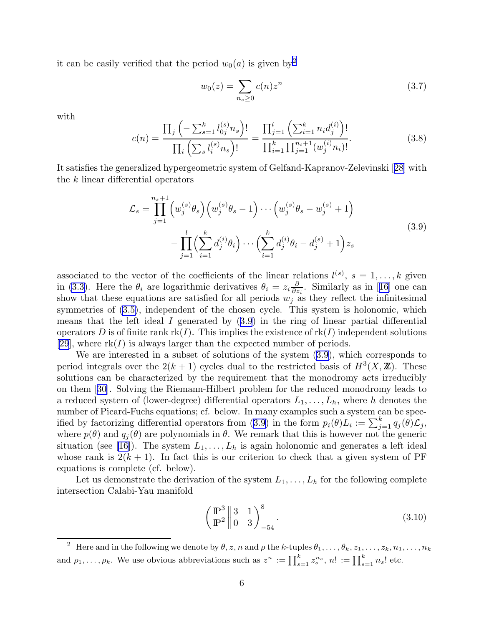<span id="page-6-0"></span>it can be easily verified that the period  $w_0(a)$  is given by<sup>2</sup>

$$
w_0(z) = \sum_{n_s \ge 0} c(n) z^n
$$
 (3.7)

with

$$
c(n) = \frac{\prod_{j} \left( -\sum_{s=1}^{k} l_{0j}^{(s)} n_s \right)!}{\prod_{i} \left( \sum_{s} l_{i}^{(s)} n_s \right)!} = \frac{\prod_{j=1}^{l} \left( \sum_{i=1}^{k} n_i d_j^{(i)} \right)!}{\prod_{i=1}^{k} \prod_{j=1}^{n_i+1} (w_j^{(i)} n_i)!}.
$$
(3.8)

It satisfies the generalized hypergeometric system of Gelfand-Kapranov-Zelevinski[[28\]](#page-49-0) with the k linear differential operators

$$
\mathcal{L}_s = \prod_{j=1}^{n_s+1} \left( w_j^{(s)} \theta_s \right) \left( w_j^{(s)} \theta_s - 1 \right) \cdots \left( w_j^{(s)} \theta_s - w_j^{(s)} + 1 \right) \n- \prod_{j=1}^l \left( \sum_{i=1}^k d_j^{(i)} \theta_i \right) \cdots \left( \sum_{i=1}^k d_j^{(i)} \theta_i - d_j^{(s)} + 1 \right) z_s
$$
\n(3.9)

associated to the vector of the coefficients of the linear relations  $l^{(s)}$ ,  $s = 1, \ldots, k$  given in [\(3.3\)](#page-5-0). Here the  $\theta_i$  are logarithmic derivatives  $\theta_i = z_i \frac{\partial}{\partial z_i}$  $\frac{\partial}{\partial z_i}$  $\frac{\partial}{\partial z_i}$  $\frac{\partial}{\partial z_i}$ . Similarly as in [[16\]](#page-48-0) one can show that these equations are satisfied for all periods  $w_j$  as they reflect the infinitesimal symmetries of [\(3.5\)](#page-5-0), independent of the chosen cycle. This system is holonomic, which means that the left ideal  $I$  generated by  $(3.9)$  in the ring of linear partial differential operators D is of finite rank  $rk(I)$ . This implies the existence of  $rk(I)$  independent solutions [\[29](#page-49-0)], where  $rk(I)$  is always larger than the expected number of periods.

We are interested in a subset of solutions of the system (3.9), which corresponds to period integrals over the  $2(k+1)$  cycles dual to the restricted basis of  $H^3(X,\mathbb{Z})$ . These solutions can be characterized by the requirement that the monodromy acts irreducibly on them[[30\]](#page-49-0). Solving the Riemann-Hilbert problem for the reduced monodromy leads to a reduced system of (lower-degree) differential operators  $L_1, \ldots, L_h$ , where h denotes the number of Picard-Fuchs equations; cf. below. In many examples such a system can be specified by factorizing differential operators from (3.9) in the form  $p_i(\theta)L_i := \sum_{j=1}^k q_j(\theta)L_j$ , where  $p(\theta)$  and  $q_i(\theta)$  are polynomials in  $\theta$ . We remark that this is however not the generic situation (see [\[16](#page-48-0)]). The system  $L_1, \ldots, L_h$  is again holonomic and generates a left ideal whose rank is  $2(k + 1)$ . In fact this is our criterion to check that a given system of PF equations is complete (cf. below).

Let us demonstrate the derivation of the system  $L_1, \ldots, L_h$  for the following complete intersection Calabi-Yau manifold

$$
\left(\frac{\mathbb{P}^3}{\mathbb{P}^2} \middle| \begin{array}{cc} 3 & 1 \\ 0 & 3 \end{array} \right)_{-54}^8.
$$
\n(3.10)

<sup>&</sup>lt;sup>2</sup> Here and in the following we denote by  $\theta$ , z, n and  $\rho$  the k-tuples  $\theta_1, \ldots, \theta_k, z_1, \ldots, z_k, n_1, \ldots, n_k$ and  $\rho_1, \ldots, \rho_k$ . We use obvious abbreviations such as  $z^n := \prod_{s=1}^k z_s^{n_s}, n! := \prod_{s=1}^k n_s!$  etc.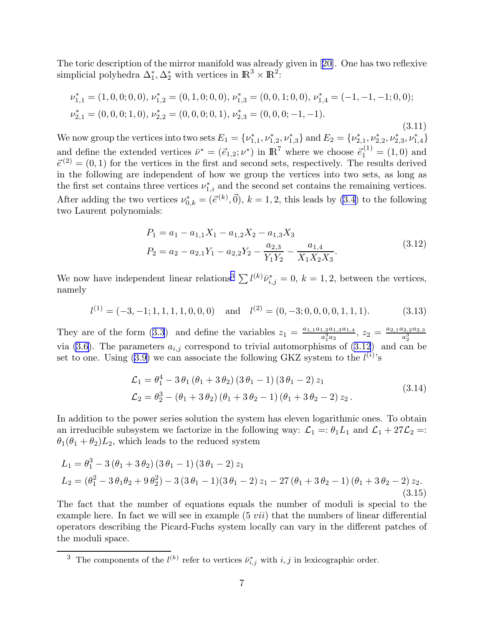<span id="page-7-0"></span>The toric description of the mirror manifold was already given in[[20\]](#page-48-0). One has two reflexive simplicial polyhedra  $\Delta_1^*, \Delta_2^*$  with vertices in  $\mathbb{R}^3 \times \mathbb{R}^2$ :

$$
\nu_{1,1}^* = (1, 0, 0; 0, 0), \nu_{1,2}^* = (0, 1, 0; 0, 0), \nu_{1,3}^* = (0, 0, 1; 0, 0), \nu_{1,4}^* = (-1, -1, -1; 0, 0);
$$
  

$$
\nu_{2,1}^* = (0, 0, 0; 1, 0), \nu_{2,2}^* = (0, 0, 0; 0, 1), \nu_{2,3}^* = (0, 0, 0; -1, -1).
$$
 (3.11)

We now group the vertices into two sets  $E_1 = \{v_{1,1}^*, v_{1,2}^*, v_{1,3}^*\}$  and  $E_2 = \{v_{2,1}^*, v_{2,2}^*, v_{2,3}^*, v_{1,4}^*\}$ and define the extended vertices  $\bar{\nu}^* = (\vec{e}_{1,2}; \nu^*)$  in  $\mathbb{R}^7$  where we choose  $\vec{e}_1^{(1)} = (1,0)$  and  $\vec{\epsilon}^{(2)} = (0, 1)$  for the vertices in the first and second sets, respectively. The results derived in the following are independent of how we group the vertices into two sets, as long as the first set contains three vertices  $\nu_{1,i}^*$  and the second set contains the remaining vertices. After adding the two vertices  $\nu_{0,k}^* = (\vec{e}^{(k)}, \vec{0}), k = 1, 2$ , this leads by [\(3.4\)](#page-5-0) to the following two Laurent polynomials:

$$
P_1 = a_1 - a_{1,1}X_1 - a_{1,2}X_2 - a_{1,3}X_3
$$
  
\n
$$
P_2 = a_2 - a_{2,1}Y_1 - a_{2,2}Y_2 - \frac{a_{2,3}}{Y_1Y_2} - \frac{a_{1,4}}{X_1X_2X_3}.
$$
\n(3.12)

We now have independent linear relations<sup>3</sup>  $\sum l^{(k)}\bar{\nu}_{i,j}^* = 0, k = 1, 2$ , between the vertices, namely

$$
l^{(1)} = (-3, -1; 1, 1, 1, 1, 0, 0, 0) \quad \text{and} \quad l^{(2)} = (0, -3; 0, 0, 0, 0, 1, 1, 1). \tag{3.13}
$$

They are of the form [\(3.3](#page-5-0)) and define the variables  $z_1 = \frac{a_{1,1}a_{1,2}a_{1,3}a_{1,4}}{a_{1,1}^3}$  $\frac{a_1, a_2, a_1, a_2, a_2, a_3}{a_1^3 a_2}, z_2 = \frac{a_{2,1}a_{2,2}a_{2,3}}{a_2^3}$ They are of the form (5.5) and define the variables  $z_1 = \frac{a_1^3 a_2}{a_1^3 a_2}$ ,  $z_2 = \frac{a_2^3}{a_2^3}$ <br>via [\(3.6\)](#page-5-0). The parameters  $a_{i,j}$  correspond to trivial automorphisms of (3.12) and can be set to one. Using  $(3.9)$  we can associate the following GKZ system to the  $l^{(i)}$ 's

$$
\mathcal{L}_1 = \theta_1^4 - 3 \theta_1 (\theta_1 + 3 \theta_2) (3 \theta_1 - 1) (3 \theta_1 - 2) z_1 \n\mathcal{L}_2 = \theta_2^3 - (\theta_1 + 3 \theta_2) (\theta_1 + 3 \theta_2 - 1) (\theta_1 + 3 \theta_2 - 2) z_2.
$$
\n(3.14)

In addition to the power series solution the system has eleven logarithmic ones. To obtain an irreducible subsystem we factorize in the following way:  $\mathcal{L}_1 = \theta_1 L_1$  and  $\mathcal{L}_1 + 27\mathcal{L}_2 =$ :  $\theta_1(\theta_1 + \theta_2)L_2$ , which leads to the reduced system

$$
L_1 = \theta_1^3 - 3(\theta_1 + 3\theta_2)(3\theta_1 - 1)(3\theta_1 - 2)z_1
$$
  
\n
$$
L_2 = (\theta_1^2 - 3\theta_1\theta_2 + 9\theta_2^2) - 3(3\theta_1 - 1)(3\theta_1 - 2)z_1 - 27(\theta_1 + 3\theta_2 - 1)(\theta_1 + 3\theta_2 - 2)z_2.
$$
\n(3.15)

The fact that the number of equations equals the number of moduli is special to the example here. In fact we will see in example  $(5 vii)$  that the numbers of linear differential operators describing the Picard-Fuchs system locally can vary in the different patches of the moduli space.

<sup>&</sup>lt;sup>3</sup> The components of the  $l^{(k)}$  refer to vertices  $\bar{\nu}_{i,j}^*$  with  $i, j$  in lexicographic order.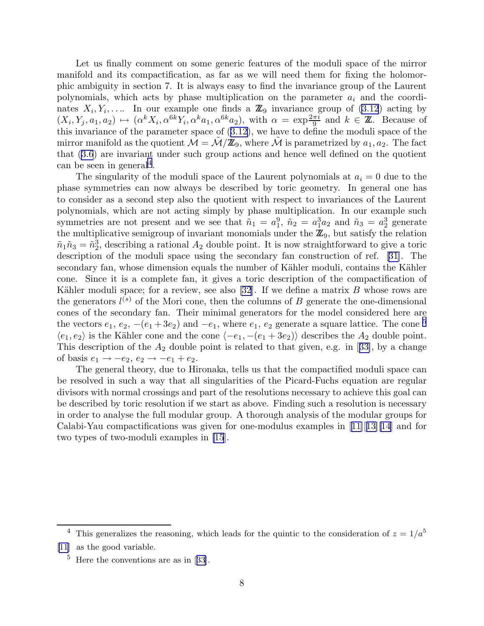Let us finally comment on some generic features of the moduli space of the mirror manifold and its compactification, as far as we will need them for fixing the holomorphic ambiguity in section 7. It is always easy to find the invariance group of the Laurent polynomials, which acts by phase multiplication on the parameter  $a_i$  and the coordinates  $X_i, Y_i, \ldots$  In our example one finds a  $\mathbb{Z}_9$  invariance group of  $(3.12)$  acting by  $(X_i, Y_j, a_1, a_2) \mapsto (\alpha^k X_i, \alpha^{6k} Y_i, \alpha^k a_1, \alpha^{6k} a_2)$ , with  $\alpha = \exp{\frac{2\pi i}{9}}$  and  $k \in \mathbb{Z}$ . Because of this invariance of the parameter space of([3.12](#page-7-0)), we have to define the moduli space of the mirror manifold as the quotient  $\mathcal{M} = \mathcal{M}/\mathbb{Z}_9$ , where M is parametrized by  $a_1, a_2$ . The fact that([3.6](#page-5-0)) are invariant under such group actions and hence well defined on the quotient can be seen in general<sup>4</sup>.

The singularity of the moduli space of the Laurent polynomials at  $a_i = 0$  due to the phase symmetries can now always be described by toric geometry. In general one has to consider as a second step also the quotient with respect to invariances of the Laurent polynomials, which are not acting simply by phase multiplication. In our example such symmetries are not present and we see that  $\tilde{n}_1 = a_1^9$ ,  $\tilde{n}_2 = a_1^3 a_2$  and  $\tilde{n}_3 = a_2^3$  generate the multiplicative semigroup of invariant monomials under the  $\mathbb{Z}_9$ , but satisfy the relation  $\tilde{n}_1 \tilde{n}_3 = \tilde{n}_2^3$ , describing a rational  $A_2$  double point. It is now straightforward to give a toric description of the moduli space using the secondary fan construction of ref.[[31\]](#page-49-0). The secondary fan, whose dimension equals the number of Kähler moduli, contains the Kähler cone. Since it is a complete fan, it gives a toric description of the compactification of Kähler moduli space; for a review, see also [\[32](#page-49-0)]. If we define a matrix  $B$  whose rows are the generators  $l^{(s)}$  of the Mori cone, then the columns of B generate the one-dimensional cones of the secondary fan. Their minimal generators for the model considered here are the vectors  $e_1, e_2, -(e_1+3e_2)$  and  $-e_1$ , where  $e_1, e_2$  generate a square lattice. The cone <sup>5</sup>  $\langle e_1, e_2 \rangle$  is the Kähler cone and the cone  $\langle -e_1, -(e_1 + 3e_2) \rangle$  describes the  $A_2$  double point. Thisdescription of the  $A_2$  double point is related to that given, e.g. in [[33\]](#page-49-0), by a change of basis  $e_1 \rightarrow -e_2, e_2 \rightarrow -e_1 + e_2$ .

The general theory, due to Hironaka, tells us that the compactified moduli space can be resolved in such a way that all singularities of the Picard-Fuchs equation are regular divisors with normal crossings and part of the resolutions necessary to achieve this goal can be described by toric resolution if we start as above. Finding such a resolution is necessary in order to analyse the full modular group. A thorough analysis of the modular groups for Calabi-Yaucompactifications was given for one-modulus examples in  $[11][13][14]$  $[11][13][14]$  $[11][13][14]$  $[11][13][14]$  $[11][13][14]$  and for two types of two-moduli examples in [\[15](#page-48-0)].

<sup>&</sup>lt;sup>4</sup> This generalizes the reasoning, which leads for the quintic to the consideration of  $z = 1/a<sup>5</sup>$ 

[<sup>\[11</sup>](#page-48-0)] as the good variable.

 $5$ Here the conventions are as in [[33\]](#page-49-0).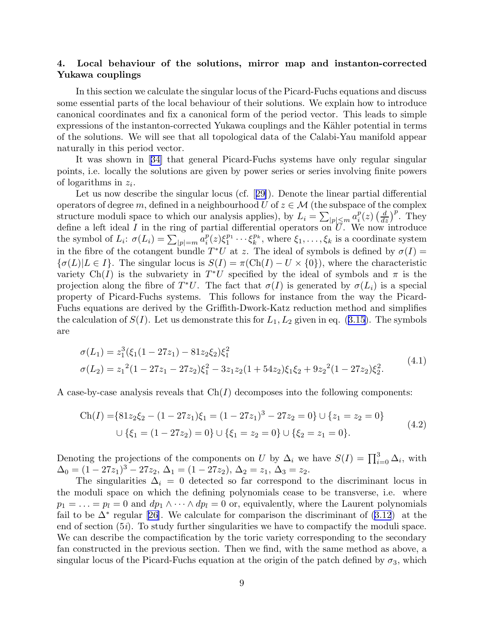## 4. Local behaviour of the solutions, mirror map and instanton-corrected Yukawa couplings

In this section we calculate the singular locus of the Picard-Fuchs equations and discuss some essential parts of the local behaviour of their solutions. We explain how to introduce canonical coordinates and fix a canonical form of the period vector. This leads to simple expressions of the instanton-corrected Yukawa couplings and the Kähler potential in terms of the solutions. We will see that all topological data of the Calabi-Yau manifold appear naturally in this period vector.

It was shown in[[34\]](#page-49-0) that general Picard-Fuchs systems have only regular singular points, i.e. locally the solutions are given by power series or series involving finite powers of logarithms in  $z_i$ .

Let us now describe the singular locus (cf.[[29\]](#page-49-0)). Denote the linear partial differential operators of degree m, defined in a neighbourhood U of  $z \in \mathcal{M}$  (the subspace of the complex structure moduli space to which our analysis applies), by  $L_i = \sum_{|p| \le m} a_i^p$  $\binom{p}{i}(z)\left(\frac{d}{dz}\right)$  $\frac{d}{dz}$ )<sup>*p*</sup>. They define a left ideal I in the ring of partial differential operators on  $\overline{U}$ . We now introduce the symbol of  $L_i$ :  $\sigma(L_i) = \sum_{|p|=m} a_i^p$  $i^p(z)\xi_1^{p_1}$  $\zeta_1^{p_1}\cdots \zeta_k^{p_k}$  $k_k^{p_k}$ , where  $\xi_1, \ldots, \xi_k$  is a coordinate system in the fibre of the cotangent bundle  $T^*U$  at z. The ideal of symbols is defined by  $\sigma(I)$  =  ${\sigma(L)|L \in I}$ . The singular locus is  $S(I) = \pi(\text{Ch}(I) - U \times \{0\})$ , where the characteristic variety Ch(I) is the subvariety in  $T^*U$  specified by the ideal of symbols and  $\pi$  is the projection along the fibre of  $T^*U$ . The fact that  $\sigma(I)$  is generated by  $\sigma(L_i)$  is a special property of Picard-Fuchs systems. This follows for instance from the way the Picard-Fuchs equations are derived by the Griffith-Dwork-Katz reduction method and simplifies thecalculation of  $S(I)$ . Let us demonstrate this for  $L_1, L_2$  given in eq. ([3.15](#page-7-0)). The symbols are

$$
\sigma(L_1) = z_1^3(\xi_1(1 - 27z_1) - 81z_2\xi_2)\xi_1^2
$$
  
\n
$$
\sigma(L_2) = z_1^2(1 - 27z_1 - 27z_2)\xi_1^2 - 3z_1z_2(1 + 54z_2)\xi_1\xi_2 + 9z_2^2(1 - 27z_2)\xi_2^2.
$$
\n(4.1)

A case-by-case analysis reveals that  $Ch(I)$  decomposes into the following components:

$$
\text{Ch}(I) = \{81z_2\xi_2 - (1 - 27z_1)\xi_1 = (1 - 27z_1)^3 - 27z_2 = 0\} \cup \{z_1 = z_2 = 0\}
$$
  

$$
\cup \{\xi_1 = (1 - 27z_2) = 0\} \cup \{\xi_1 = z_2 = 0\} \cup \{\xi_2 = z_1 = 0\}.
$$
 (4.2)

Denoting the projections of the components on U by  $\Delta_i$  we have  $S(I) = \prod_{i=0}^3 \Delta_i$ , with  $\Delta_0 = (1 - 27z_1)^3 - 27z_2, \, \Delta_1 = (1 - 27z_2), \, \Delta_2 = z_1, \, \Delta_3 = z_2.$ 

The singularities  $\Delta_i = 0$  detected so far correspond to the discriminant locus in the moduli space on which the defining polynomials cease to be transverse, i.e. where  $p_1 = \ldots = p_l = 0$  and  $dp_1 \wedge \cdots \wedge dp_l = 0$  or, equivalently, where the Laurent polynomials failto be  $\Delta^*$  regular [[26\]](#page-49-0). We calculate for comparison the discriminant of  $(3.12)$  at the end of section  $(5i)$ . To study further singularities we have to compactify the moduli space. We can describe the compactification by the toric variety corresponding to the secondary fan constructed in the previous section. Then we find, with the same method as above, a singular locus of the Picard-Fuchs equation at the origin of the patch defined by  $\sigma_3$ , which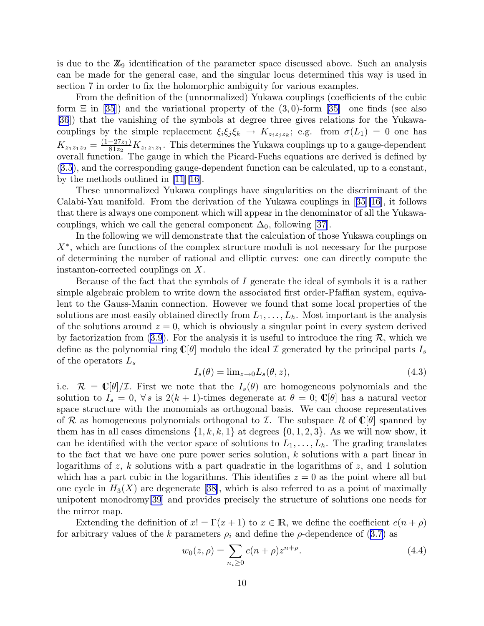<span id="page-10-0"></span>is due to the  $\mathbb{Z}_9$  identification of the parameter space discussed above. Such an analysis can be made for the general case, and the singular locus determined this way is used in section 7 in order to fix the holomorphic ambiguity for various examples.

From the definition of the (unnormalized) Yukawa couplings (coefficients of the cubic form $\Xi$  in [\[35](#page-49-0)]) and the variational property of the (3,0)-form [[35\]](#page-49-0) one finds (see also [\[36](#page-49-0)]) that the vanishing of the symbols at degree three gives relations for the Yukawacouplings by the simple replacement  $\xi_i \xi_j \xi_k \to K_{z_i z_j z_k}$ ; e.g. from  $\sigma(L_1) = 0$  one has  $K_{z_1z_1z_2} = \frac{(1-27z_1)}{81z_2}$  $\frac{-27z_1}{81z_2}K_{z_1z_1z_1}$ . This determines the Yukawa couplings up to a gauge-dependent overall function. The gauge in which the Picard-Fuchs equations are derived is defined by ([3.5](#page-5-0)), and the corresponding gauge-dependent function can be calculated, up to a constant, by the methods outlined in [\[11](#page-48-0)][[16\]](#page-48-0).

These unnormalized Yukawa couplings have singularities on the discriminant of the Calabi-Yau manifold. From the derivation of the Yukawa couplings in[[35\]](#page-49-0)[\[16](#page-48-0)], it follows that there is always one component which will appear in the denominator of all the Yukawacouplings,which we call the general component  $\Delta_0$ , following [[37\]](#page-49-0).

In the following we will demonstrate that the calculation of those Yukawa couplings on X<sup>∗</sup> , which are functions of the complex structure moduli is not necessary for the purpose of determining the number of rational and elliptic curves: one can directly compute the instanton-corrected couplings on X.

Because of the fact that the symbols of I generate the ideal of symbols it is a rather simple algebraic problem to write down the associated first order-Pfaffian system, equivalent to the Gauss-Manin connection. However we found that some local properties of the solutions are most easily obtained directly from  $L_1, \ldots, L_h$ . Most important is the analysis of the solutions around  $z = 0$ , which is obviously a singular point in every system derived by factorization from [\(3.9\)](#page-6-0). For the analysis it is useful to introduce the ring  $\mathcal{R}$ , which we define as the polynomial ring  $\mathbb{C}[\theta]$  modulo the ideal  $\mathcal I$  generated by the principal parts  $I_s$ of the operators  $L_s$ 

$$
I_s(\theta) = \lim_{z \to 0} L_s(\theta, z), \tag{4.3}
$$

i.e.  $\mathcal{R} = \mathbb{C}[\theta]/\mathcal{I}$ . First we note that the  $I_s(\theta)$  are homogeneous polynomials and the solution to  $I_s = 0$ ,  $\forall s$  is  $2(k + 1)$ -times degenerate at  $\theta = 0$ ;  $\mathbb{C}[\theta]$  has a natural vector space structure with the monomials as orthogonal basis. We can choose representatives of R as homogeneous polynomials orthogonal to I. The subspace R of  $\mathbb{C}[\theta]$  spanned by them has in all cases dimensions  $\{1, k, k, 1\}$  at degrees  $\{0, 1, 2, 3\}$ . As we will now show, it can be identified with the vector space of solutions to  $L_1, \ldots, L_h$ . The grading translates to the fact that we have one pure power series solution, k solutions with a part linear in logarithms of z, k solutions with a part quadratic in the logarithms of z, and 1 solution which has a part cubic in the logarithms. This identifies  $z = 0$  as the point where all but onecycle in  $H_3(X)$  are degenerate [[38\]](#page-49-0), which is also referred to as a point of maximally unipotent monodromy[\[39](#page-49-0)] and provides precisely the structure of solutions one needs for the mirror map.

Extending the definition of  $x! = \Gamma(x+1)$  to  $x \in \mathbb{R}$ , we define the coefficient  $c(n+\rho)$ forarbitrary values of the k parameters  $\rho_i$  and define the  $\rho$ -dependence of ([3.7\)](#page-6-0) as

$$
w_0(z,\rho) = \sum_{n_i \ge 0} c(n+\rho) z^{n+\rho}.
$$
\n(4.4)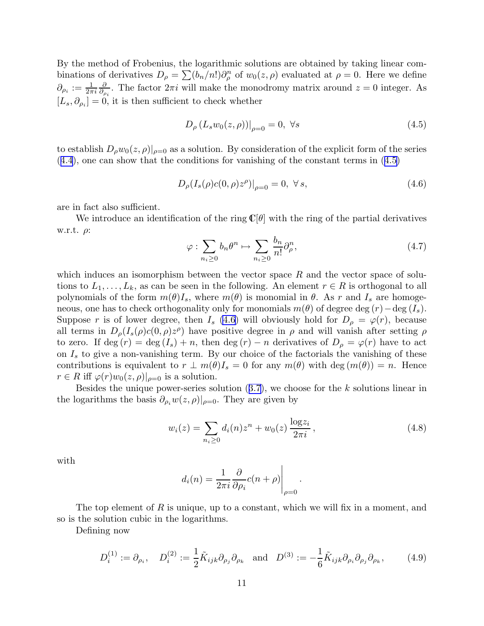<span id="page-11-0"></span>By the method of Frobenius, the logarithmic solutions are obtained by taking linear combinations of derivatives  $D_{\rho} = \sum_{n=0}^{n} (b_n/n!) \partial_{\rho}^n$  of  $w_0(z, \rho)$  evaluated at  $\rho = 0$ . Here we define  $\partial_{\rho_i}:=\frac{1}{2\pi i}$ ∂  $\frac{\partial}{\partial \rho_i}$ . The factor  $2\pi i$  will make the monodromy matrix around  $z = 0$  integer. As  $[L_s, \partial_{\rho_i}] = 0$ , it is then sufficient to check whether

$$
D_{\rho} (L_s w_0(z, \rho))|_{\rho=0} = 0, \ \forall s \tag{4.5}
$$

to establish  $D_{\rho}w_0(z,\rho)|_{\rho=0}$  as a solution. By consideration of the explicit form of the series ([4.4](#page-10-0)), one can show that the conditions for vanishing of the constant terms in (4.5)

$$
D_{\rho}(I_s(\rho)c(0,\rho)z^{\rho})|_{\rho=0} = 0, \ \forall s,
$$
\n(4.6)

are in fact also sufficient.

We introduce an identification of the ring  $\mathbb{C}[\theta]$  with the ring of the partial derivatives w.r.t.  $\rho$ :

$$
\varphi : \sum_{n_i \ge 0} b_n \theta^n \mapsto \sum_{n_i \ge 0} \frac{b_n}{n!} \partial_\rho^n, \tag{4.7}
$$

which induces an isomorphism between the vector space  $R$  and the vector space of solutions to  $L_1, \ldots, L_k$ , as can be seen in the following. An element  $r \in R$  is orthogonal to all polynomials of the form  $m(\theta)I_s$ , where  $m(\theta)$  is monomial in  $\theta$ . As r and  $I_s$  are homogeneous, one has to check orthogonality only for monomials  $m(\theta)$  of degree deg  $(r)$  – deg  $(I_s)$ . Suppose r is of lower degree, then  $I_s$  (4.6) will obviously hold for  $D_\rho = \varphi(r)$ , because all terms in  $D_{\rho}(I_s(\rho)c(0,\rho)z^{\rho})$  have positive degree in  $\rho$  and will vanish after setting  $\rho$ to zero. If deg  $(r) = \deg(I_s) + n$ , then  $\deg(r) - n$  derivatives of  $D_\rho = \varphi(r)$  have to act on  $I_s$  to give a non-vanishing term. By our choice of the factorials the vanishing of these contributions is equivalent to  $r \perp m(\theta)I_s = 0$  for any  $m(\theta)$  with deg  $(m(\theta)) = n$ . Hence  $r \in R$  iff  $\varphi(r)w_0(z,\rho)|_{\rho=0}$  is a solution.

Besidesthe unique power-series solution  $(3.7)$  $(3.7)$  $(3.7)$ , we choose for the k solutions linear in the logarithms the basis  $\partial_{\rho_i} w(z, \rho)|_{\rho=0}$ . They are given by

$$
w_i(z) = \sum_{n_i \ge 0} d_i(n) z^n + w_0(z) \frac{\log z_i}{2\pi i}, \qquad (4.8)
$$

.

with

$$
d_i(n) = \frac{1}{2\pi i} \frac{\partial}{\partial \rho_i} c(n+\rho) \Big|_{\rho=0}
$$

The top element of R is unique, up to a constant, which we will fix in a moment, and so is the solution cubic in the logarithms.

Defining now

$$
D_i^{(1)} := \partial_{\rho_i}, \quad D_i^{(2)} := \frac{1}{2} \tilde{K}_{ijk} \partial_{\rho_j} \partial_{\rho_k} \quad \text{and} \quad D^{(3)} := -\frac{1}{6} \tilde{K}_{ijk} \partial_{\rho_i} \partial_{\rho_j} \partial_{\rho_k}, \tag{4.9}
$$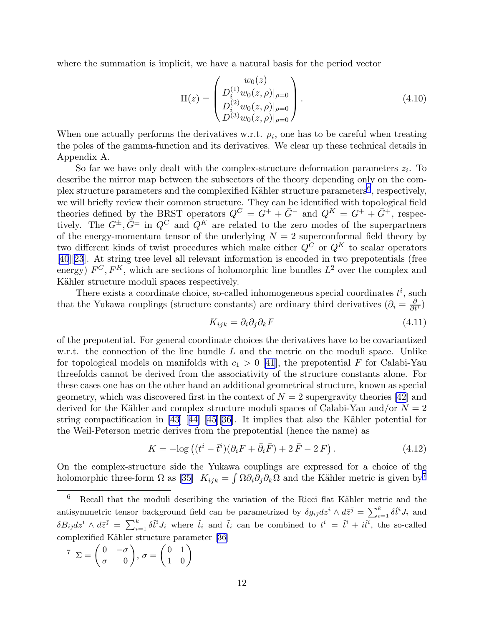<span id="page-12-0"></span>where the summation is implicit, we have a natural basis for the period vector

$$
\Pi(z) = \begin{pmatrix} w_0(z) \\ D_i^{(1)} w_0(z, \rho)|_{\rho=0} \\ D_i^{(2)} w_0(z, \rho)|_{\rho=0} \\ D^{(3)} w_0(z, \rho)|_{\rho=0} \end{pmatrix} .
$$
\n(4.10)

When one actually performs the derivatives w.r.t.  $\rho_i$ , one has to be careful when treating the poles of the gamma-function and its derivatives. We clear up these technical details in Appendix A.

So far we have only dealt with the complex-structure deformation parameters  $z_i$ . To describe the mirror map between the subsectors of the theory depending only on the complex structure parameters and the complexified Kähler structure parameters<sup>6</sup>, respectively, we will briefly review their common structure. They can be identified with topological field theories defined by the BRST operators  $Q^C = G^+ + \bar{G}^-$  and  $Q^K = G^+ + \bar{G}^+$ , respectively. The  $G^{\pm}, \bar{G}^{\pm}$  in  $Q^C$  and  $Q^K$  are related to the zero modes of the superpartners of the energy-momentum tensor of the underlying  $N = 2$  superconformal field theory by two different kinds of twist procedures which make either  $Q^C$  or  $Q^K$  to scalar operators [\[40](#page-49-0)][\[23](#page-49-0)]. At string tree level all relevant information is encoded in two prepotentials (free energy)  $F^C, F^K$ , which are sections of holomorphic line bundles  $L^2$  over the complex and Kähler structure moduli spaces respectively.

There exists a coordinate choice, so-called inhomogeneous special coordinates  $t^i$ , such that the Yukawa couplings (structure constants) are ordinary third derivatives  $(\partial_i = \frac{\partial}{\partial t^i})$ 

$$
K_{ijk} = \partial_i \partial_j \partial_k F \tag{4.11}
$$

of the prepotential. For general coordinate choices the derivatives have to be covariantized w.r.t. the connection of the line bundle L and the metric on the moduli space. Unlike for topological models on manifolds with  $c_1 > 0$  [\[41](#page-49-0)], the prepotential F for Calabi-Yau threefolds cannot be derived from the associativity of the structure constants alone. For these cases one has on the other hand an additional geometrical structure, known as special geometry, which was discovered first in the context of  $N = 2$  supergravity theories [\[42](#page-49-0)] and derived for the Kähler and complex structure moduli spaces of Calabi-Yau and/or  $N = 2$ string compactification in [\[43](#page-50-0)][[44\]](#page-50-0) [[45\]](#page-50-0)[[36\]](#page-49-0). It implies that also the Kähler potential for the Weil-Peterson metric derives from the prepotential (hence the name) as

$$
K = -\log\left((t^i - \bar{t}^i)(\partial_i F + \bar{\partial}_i \bar{F}) + 2\bar{F} - 2F\right). \tag{4.12}
$$

On the complex-structure side the Yukawa couplings are expressed for a choice of the holomorphic three-form  $\Omega$  as [\[35](#page-49-0)]  $K_{ijk} = \int \Omega \partial_i \partial_j \partial_k \Omega$  and the Kähler metric is given by<sup>7</sup>

$$
\begin{aligned} \n\mathcal{T} \quad \Sigma = \begin{pmatrix} 0 & -\sigma \\ \sigma & 0 \end{pmatrix}, \, \sigma = \begin{pmatrix} 0 & 1 \\ 1 & 0 \end{pmatrix} \end{aligned}
$$

 $6$  Recall that the moduli describing the variation of the Ricci flat Kähler metric and the antisymmetric tensor background field can be parametrized by  $\delta g_{i\bar{j}}dz^i \wedge d\bar{z}^{\bar{j}} = \sum_{i=1}^k \delta \hat{t}^i J_i$  and  $\delta B_{i\bar{j}}dz^i\wedge d\bar{z}^{\bar{j}} = \sum_{i=1}^k \delta \tilde{t}^i J_i$  where  $\hat{t}_i$  and  $\tilde{t}_i$  can be combined to  $t^i = \tilde{t}^i + i\hat{t}^i$ , the so-called complexified Kähler structure parameter [\[36](#page-49-0)]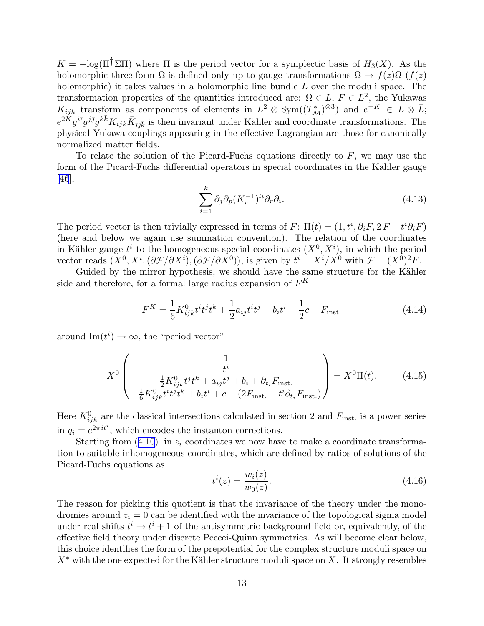<span id="page-13-0"></span> $K = -\log(\Pi^{\dagger} \Sigma \Pi)$  where  $\Pi$  is the period vector for a symplectic basis of  $H_3(X)$ . As the holomorphic three-form  $\Omega$  is defined only up to gauge transformations  $\Omega \to f(z)\Omega$  ( $f(z)$ ) holomorphic) it takes values in a holomorphic line bundle L over the moduli space. The transformation properties of the quantities introduced are:  $\Omega \in L$ ,  $F \in L^2$ , the Yukawas  $K_{ijk}$  transform as components of elements in  $L^2 \otimes Sym((T^*_{\mathcal{M}})^{\otimes 3})$  and  $e^{-K} \in L \otimes \overline{L};$  $e^{2\tilde{K}}g^{i\bar{i}}g^{j\bar{j}}g^{k\bar{k}}K_{ijk}\bar{K}_{\bar{i}\bar{j}\bar{k}}$  is then invariant under Kähler and coordinate transformations. The physical Yukawa couplings appearing in the effective Lagrangian are those for canonically normalized matter fields.

To relate the solution of the Picard-Fuchs equations directly to  $F$ , we may use the form of the Picard-Fuchs differential operators in special coordinates in the Kähler gauge [\[46](#page-50-0)],

$$
\sum_{i=1}^{k} \partial_j \partial_p (K_r^{-1})^{li} \partial_r \partial_i.
$$
\n(4.13)

The period vector is then trivially expressed in terms of  $F: \Pi(t) = (1, t^i, \partial_i F, 2F - t^i \partial_i F)$ (here and below we again use summation convention). The relation of the coordinates in Kähler gauge  $t^i$  to the homogeneous special coordinates  $(X^0, X^i)$ , in which the period vector reads  $(X^0, X^i, (\partial \mathcal{F}/\partial X^i), (\partial \mathcal{F}/\partial X^0))$ , is given by  $t^i = X^i/X^0$  with  $\mathcal{F} = (X^0)^2 F$ .

Guided by the mirror hypothesis, we should have the same structure for the Kähler side and therefore, for a formal large radius expansion of  $F^K$ 

$$
F^{K} = \frac{1}{6} K_{ijk}^{0} t^{i} t^{j} t^{k} + \frac{1}{2} a_{ij} t^{i} t^{j} + b_{i} t^{i} + \frac{1}{2} c + F_{inst.}
$$
 (4.14)

around  $\text{Im}(t^i) \to \infty$ , the "period vector"

$$
X^{0}\left(\begin{array}{c}1\\t^{i}\\-\frac{1}{6}K_{ijk}^{0}t^{j}t^{k}+a_{ij}t^{j}+b_{i}+\partial_{t_{i}}F_{\text{inst.}}\\-\frac{1}{6}K_{ijk}^{0}t^{i}t^{j}t^{k}+b_{i}t^{i}+c+(2F_{\text{inst.}}-t^{i}\partial_{t_{i}}F_{\text{inst.}})\end{array}\right)=X^{0}\Pi(t). \tag{4.15}
$$

Here  $K_{ijk}^0$  are the classical intersections calculated in section 2 and  $F_{inst.}$  is a power series in  $q_i = e^{2\pi i t^i}$ , which encodes the instanton corrections.

Startingfrom  $(4.10)$  $(4.10)$  in  $z_i$  coordinates we now have to make a coordinate transformation to suitable inhomogeneous coordinates, which are defined by ratios of solutions of the Picard-Fuchs equations as

$$
t^{i}(z) = \frac{w_{i}(z)}{w_{0}(z)}.
$$
\n(4.16)

The reason for picking this quotient is that the invariance of the theory under the monodromies around  $z_i = 0$  can be identified with the invariance of the topological sigma model under real shifts  $t^i \rightarrow t^i + 1$  of the antisymmetric background field or, equivalently, of the effective field theory under discrete Peccei-Quinn symmetries. As will become clear below, this choice identifies the form of the prepotential for the complex structure moduli space on  $X^*$  with the one expected for the Kähler structure moduli space on X. It strongly resembles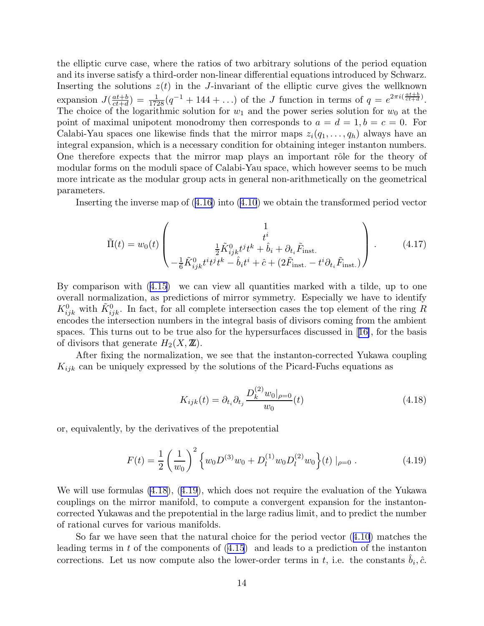<span id="page-14-0"></span>the elliptic curve case, where the ratios of two arbitrary solutions of the period equation and its inverse satisfy a third-order non-linear differential equations introduced by Schwarz. Inserting the solutions  $z(t)$  in the J-invariant of the elliptic curve gives the wellknown expansion  $J(\frac{at+b}{ct+d})$  $\frac{at+b}{ct+d}$ ) =  $\frac{1}{1728}(q^{-1} + 144 + ...)$  of the *J* function in terms of  $q = e^{2\pi i (\frac{at+b}{ct+d})}$ . The choice of the logarithmic solution for  $w_1$  and the power series solution for  $w_0$  at the point of maximal unipotent monodromy then corresponds to  $a = d = 1, b = c = 0$ . For Calabi-Yau spaces one likewise finds that the mirror maps  $z_i(q_1, \ldots, q_h)$  always have an integral expansion, which is a necessary condition for obtaining integer instanton numbers. One therefore expects that the mirror map plays an important rôle for the theory of modular forms on the moduli space of Calabi-Yau space, which however seems to be much more intricate as the modular group acts in general non-arithmetically on the geometrical parameters.

Inserting the inverse map of([4.16](#page-13-0)) into([4.10](#page-12-0)) we obtain the transformed period vector

$$
\tilde{\Pi}(t) = w_0(t) \begin{pmatrix} 1 \\ t^i \\ \frac{1}{2} \tilde{K}_{ijk}^0 t^j t^k + \hat{b}_i + \partial_{t_i} \tilde{F}_{\text{inst.}} \\ -\frac{1}{6} \tilde{K}_{ijk}^0 t^i t^j t^k - \hat{b}_i t^i + \hat{c} + (2 \tilde{F}_{\text{inst.}} - t^i \partial_{t_i} \tilde{F}_{\text{inst.}}) \end{pmatrix} . \tag{4.17}
$$

By comparison with([4.15](#page-13-0)) we can view all quantities marked with a tilde, up to one overall normalization, as predictions of mirror symmetry. Especially we have to identify  $K^0_{ijk}$  with  $\tilde{K}^0_{ijk}$ . In fact, for all complete intersection cases the top element of the ring R encodes the intersection numbers in the integral basis of divisors coming from the ambient spaces. This turns out to be true also for the hypersurfaces discussed in[[16\]](#page-48-0), for the basis of divisors that generate  $H_2(X, \mathbb{Z})$ .

After fixing the normalization, we see that the instanton-corrected Yukawa coupling  $K_{ijk}$  can be uniquely expressed by the solutions of the Picard-Fuchs equations as

$$
K_{ijk}(t) = \partial_{t_i} \partial_{t_j} \frac{D_k^{(2)} w_0|_{\rho=0}}{w_0}(t)
$$
\n(4.18)

or, equivalently, by the derivatives of the prepotential

$$
F(t) = \frac{1}{2} \left(\frac{1}{w_0}\right)^2 \left\{ w_0 D^{(3)} w_0 + D_l^{(1)} w_0 D_l^{(2)} w_0 \right\}(t) \big|_{\rho=0}.
$$
 (4.19)

We will use formulas (4.18), (4.19), which does not require the evaluation of the Yukawa couplings on the mirror manifold, to compute a convergent expansion for the instantoncorrected Yukawas and the prepotential in the large radius limit, and to predict the number of rational curves for various manifolds.

So far we have seen that the natural choice for the period vector([4.10](#page-12-0)) matches the leading terms in t of the components of([4.15](#page-13-0)) and leads to a prediction of the instanton corrections. Let us now compute also the lower-order terms in t, i.e. the constants  $\hat{b}_i, \hat{c}$ .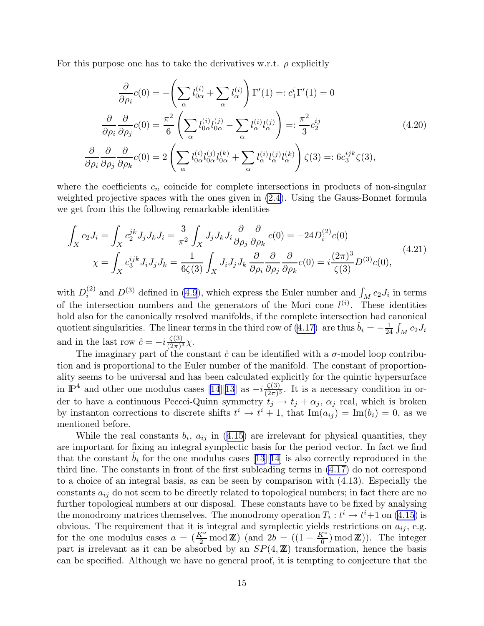<span id="page-15-0"></span>For this purpose one has to take the derivatives w.r.t.  $\rho$  explicitly

$$
\frac{\partial}{\partial \rho_i} c(0) = -\left(\sum_{\alpha} l_{0\alpha}^{(i)} + \sum_{\alpha} l_{\alpha}^{(i)}\right) \Gamma'(1) =: c_1^i \Gamma'(1) = 0
$$

$$
\frac{\partial}{\partial \rho_i} \frac{\partial}{\partial \rho_j} c(0) = \frac{\pi^2}{6} \left(\sum_{\alpha} l_{0\alpha}^{(i)} l_{0\alpha}^{(j)} - \sum_{\alpha} l_{\alpha}^{(i)} l_{\alpha}^{(j)}\right) =: \frac{\pi^2}{3} c_2^{ij}
$$

$$
\frac{\partial}{\partial \rho_i} \frac{\partial}{\partial \rho_j} \frac{\partial}{\partial \rho_k} c(0) = 2 \left(\sum_{\alpha} l_{0\alpha}^{(i)} l_{0\alpha}^{(j)} l_{0\alpha}^{(k)} + \sum_{\alpha} l_{\alpha}^{(i)} l_{\alpha}^{(j)} l_{\alpha}^{(k)}\right) \zeta(3) =: 6 c_3^{ijk} \zeta(3),
$$
(4.20)

where the coefficients  $c_n$  coincide for complete intersections in products of non-singular weighted projective spaces with the ones given in [\(2.4\)](#page-3-0). Using the Gauss-Bonnet formula we get from this the following remarkable identities

$$
\int_{X} c_{2}J_{i} = \int_{X} c_{2}^{jk} J_{j}J_{k}J_{i} = \frac{3}{\pi^{2}} \int_{X} J_{j}J_{k}J_{i} \frac{\partial}{\partial \rho_{j}} \frac{\partial}{\partial \rho_{k}} c(0) = -24D_{i}^{(2)}c(0)
$$
\n
$$
\chi = \int_{X} c_{3}^{ijk} J_{i}J_{j}J_{k} = \frac{1}{6\zeta(3)} \int_{X} J_{i}J_{j}J_{k} \frac{\partial}{\partial \rho_{i}} \frac{\partial}{\partial \rho_{j}} \frac{\partial}{\partial \rho_{k}} c(0) = i\frac{(2\pi)^{3}}{\zeta(3)} D^{(3)}c(0),
$$
\n(4.21)

with  $D_i^{(2)}$  $i^{(2)}$  and  $D^{(3)}$  defined in [\(4.9](#page-11-0)), which express the Euler number and  $\int_M c_2 J_i$  in terms of the intersection numbers and the generators of the Mori cone  $l^{(i)}$ . These identities hold also for the canonically resolved manifolds, if the complete intersection had canonical quotient singularities. The linear terms in the third row of [\(4.17\)](#page-14-0) are thus  $\hat{b}_i = -\frac{1}{2i}$  $\frac{1}{24}\int_M c_2 J_i$ and in the last row  $\hat{c} = -i \frac{\zeta(3)}{(2\pi)^3}$  $\frac{\zeta(3)}{(2\pi)^3}\chi.$ 

The imaginary part of the constant  $\hat{c}$  can be identified with a  $\sigma$ -model loop contribution and is proportional to the Euler number of the manifold. The constant of proportionality seems to be universal and has been calculated explicitly for the quintic hypersurface in  $\mathbb{P}^4$  and other one modulus cases [\[14](#page-48-0)][\[13](#page-48-0)] as  $-i\frac{\zeta(3)}{(2\pi)^3}$  $\frac{\zeta(3)}{(2\pi)^3}$ . It is a necessary condition in order to have a continuous Peccei-Quinn symmetry  $t_j \rightarrow t_j + \alpha_j$ ,  $\alpha_j$  real, which is broken by instanton corrections to discrete shifts  $t^i \rightarrow t^i + 1$ , that  $\text{Im}(a_{ij}) = \text{Im}(b_i) = 0$ , as we mentioned before.

Whilethe real constants  $b_i$ ,  $a_{ij}$  in ([4.15](#page-13-0)) are irrelevant for physical quantities, they are important for fixing an integral symplectic basis for the period vector. In fact we find that the constant  $\hat{b}_i$  for the one modulus cases [\[13](#page-48-0)][[14](#page-48-0)] is also correctly reproduced in the third line. The constants in front of the first subleading terms in [\(4.17\)](#page-14-0) do not correspond to a choice of an integral basis, as can be seen by comparison with (4.13). Especially the constants  $a_{ij}$  do not seem to be directly related to topological numbers; in fact there are no further topological numbers at our disposal. These constants have to be fixed by analysing the monodromy matrices themselves. The monodromy operation  $T_i : t^i \to t^i + 1$  on [\(4.15\)](#page-13-0) is obvious. The requirement that it is integral and symplectic yields restrictions on  $a_{ij}$ , e.g. for the one modulus cases  $a = (\frac{K^o}{2} \mod \mathbb{Z})$  (and  $2b = ((1 - \frac{K^o}{6})^o)$  $\binom{C}{6}$  mod **Z**). The integer part is irrelevant as it can be absorbed by an  $SP(4, \mathbb{Z})$  transformation, hence the basis can be specified. Although we have no general proof, it is tempting to conjecture that the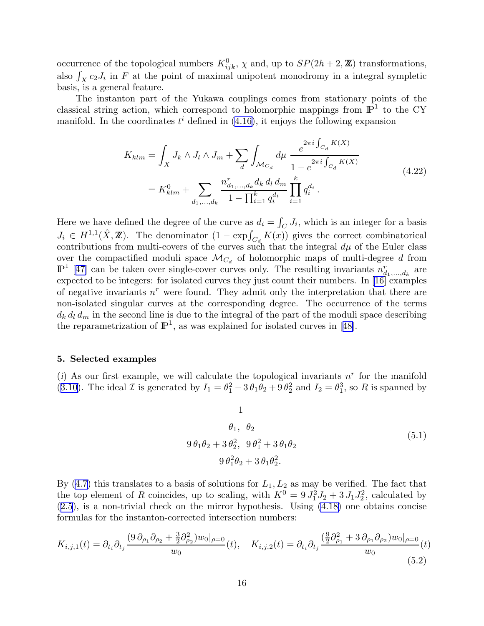<span id="page-16-0"></span>occurrence of the topological numbers  $K_{ijk}^0$ ,  $\chi$  and, up to  $SP(2h + 2, \mathbb{Z})$  transformations, also  $\int_X c_2 J_i$  in F at the point of maximal unipotent monodromy in a integral sympletic basis, is a general feature.

The instanton part of the Yukawa couplings comes from stationary points of the classical string action, which correspond to holomorphic mappings from  $\mathbb{P}^1$  to the CY manifold. In the coordinates  $t^i$  defined in [\(4.16\)](#page-13-0), it enjoys the following expansion

$$
K_{klm} = \int_X J_k \wedge J_l \wedge J_m + \sum_d \int_{\mathcal{M}_{C_d}} d\mu \frac{e^{2\pi i \int_{C_d} K(X)}}{1 - e^{2\pi i \int_{C_d} K(X)}} = K_{klm}^0 + \sum_{d_1, \dots, d_k} \frac{n_{d_1, \dots, d_k}^r d_k d_l d_m}{1 - \prod_{i=1}^k q_i^{d_i}} \prod_{i=1}^k q_i^{d_i}.
$$
\n(4.22)

Here we have defined the degree of the curve as  $d_i = \int_C J_i$ , which is an integer for a basis  $J_i \in H^{1,1}(\hat{X}, \mathbb{Z})$ . The denominator  $(1 - \exp\int_{C_d} K(x))$  gives the correct combinatorical contributions from multi-covers of the curves such that the integral  $d\mu$  of the Euler class over the compactified moduli space  $\mathcal{M}_{C_d}$  of holomorphic maps of multi-degree d from  $\mathbb{P}^1$  [[47\]](#page-50-0) can be taken over single-cover curves only. The resulting invariants  $n_{d_1,...,d_k}^r$  are expected to be integers: for isolated curves they just count their numbers. In[[16](#page-48-0)] examples of negative invariants  $n^r$  were found. They admit only the interpretation that there are non-isolated singular curves at the corresponding degree. The occurrence of the terms  $d_k d_l d_m$  in the second line is due to the integral of the part of the moduli space describing thereparametrization of  $\mathbb{P}^1$ , as was explained for isolated curves in [[48\]](#page-50-0).

## 5. Selected examples

(i) As our first example, we will calculate the topological invariants  $n<sup>r</sup>$  for the manifold ([3.10](#page-6-0)). The ideal  $\mathcal I$  is generated by  $I_1 = \theta_1^2 - 3\theta_1\theta_2 + 9\theta_2^2$  and  $I_2 = \theta_1^3$ , so R is spanned by

1

$$
\theta_1, \ \theta_2
$$
  
9  $\theta_1 \theta_2 + 3 \theta_2^2, \ 9 \theta_1^2 + 3 \theta_1 \theta_2$   
9  $\theta_1^2 \theta_2 + 3 \theta_1 \theta_2^2$ . (5.1)

By  $(4.7)$  this translates to a basis of solutions for  $L_1, L_2$  as may be verified. The fact that the top element of R coincides, up to scaling, with  $K^0 = 9 J_1^2 J_2 + 3 J_1 J_2^2$ , calculated by ([2.5](#page-3-0)), is a non-trivial check on the mirror hypothesis. Using [\(4.18\)](#page-14-0) one obtains concise formulas for the instanton-corrected intersection numbers:

$$
K_{i,j,1}(t) = \partial_{t_i}\partial_{t_j} \frac{(9\,\partial_{\rho_1}\partial_{\rho_2} + \frac{3}{2}\partial_{\rho_2}^2)w_0|_{\rho=0}}{w_0}(t), \quad K_{i,j,2}(t) = \partial_{t_i}\partial_{t_j} \frac{(\frac{9}{2}\partial_{\rho_1}^2 + 3\,\partial_{\rho_1}\partial_{\rho_2})w_0|_{\rho=0}}{w_0}(t)
$$
\n(5.2)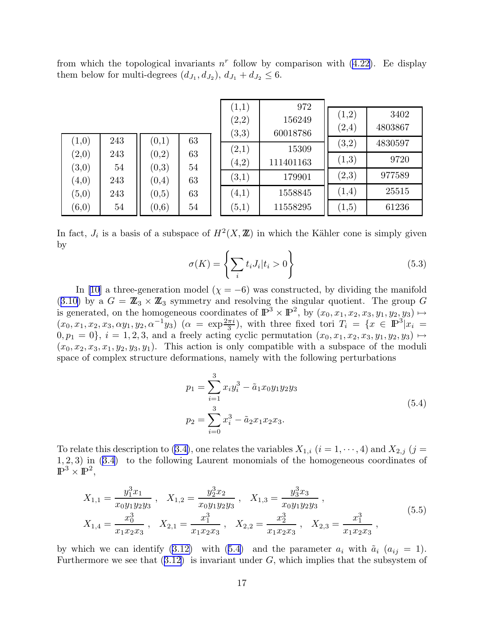<span id="page-17-0"></span>from which the topological invariants  $n<sup>r</sup>$  follow by comparison with [\(4.22\)](#page-16-0). Ee display them below for multi-degrees  $(d_{J_1}, d_{J_2}), d_{J_1} + d_{J_2} \leq 6$ .

|                                |           |                |          | (1,1)                 | 972               | $\left( 1,2\right)$ | 3402    |
|--------------------------------|-----------|----------------|----------|-----------------------|-------------------|---------------------|---------|
|                                |           |                |          | $\scriptstyle{(2,2)}$ | 156249            | $\left( 2,4\right)$ | 4803867 |
| (1,0)                          | 243       | (0,1)          | 63       | (3,3)<br>(2,1)        | 60018786<br>15309 | (3,2)               | 4830597 |
| $\scriptstyle{(2,0)}$<br>(3,0) | 243<br>54 | (0,2)<br>(0,3) | 63<br>54 | (4,2)                 | 111401163         | $\left( 1,3\right)$ | 9720    |
| (4,0)                          | 243       | (0,4)          | 63       | (3,1)                 | 179901            | $\left( 2,3\right)$ | 977589  |
| $\scriptstyle{(5,0)}$          | 243       | (0, 5)         | 63       | (4,1)                 | 1558845           | (1,4)               | 25515   |
| $\left( 6,\!0\right)$          | 54        | (0, 6)         | 54       | (5,1)                 | 11558295          | $\left( 1,5\right)$ | 61236   |

In fact,  $J_i$  is a basis of a subspace of  $H^2(X,\mathbb{Z})$  in which the Kähler cone is simply given by

$$
\sigma(K) = \left\{ \sum_{i} t_i J_i | t_i > 0 \right\} \tag{5.3}
$$

In [\[10](#page-48-0)] a three-generation model ( $\chi = -6$ ) was constructed, by dividing the manifold  $(3.10)$  $(3.10)$  $(3.10)$  by a  $G = \mathbb{Z}_3 \times \mathbb{Z}_3$  symmetry and resolving the singular quotient. The group G is generated, on the homogeneous coordinates of  $\mathbb{P}^3 \times \mathbb{P}^2$ , by  $(x_0, x_1, x_2, x_3, y_1, y_2, y_3) \mapsto$  $(x_0, x_1, x_2, x_3, \alpha y_1, y_2, \alpha^{-1} y_3)$   $(\alpha = \exp{\frac{2\pi i}{3}})$ , with three fixed tori  $T_i = \{x \in \mathbb{P}^3 | x_i =$  $(0, p_1 = 0)$ ,  $i = 1, 2, 3$ , and a freely acting cyclic permutation  $(x_0, x_1, x_2, x_3, y_1, y_2, y_3) \mapsto$  $(x_0, x_2, x_3, x_1, y_2, y_3, y_1)$ . This action is only compatible with a subspace of the moduli space of complex structure deformations, namely with the following perturbations

$$
p_1 = \sum_{i=1}^{3} x_i y_i^3 - \tilde{a}_1 x_0 y_1 y_2 y_3
$$
  
\n
$$
p_2 = \sum_{i=0}^{3} x_i^3 - \tilde{a}_2 x_1 x_2 x_3.
$$
\n(5.4)

To relate this description to [\(3.4\)](#page-5-0), one relates the variables  $X_{1,i}$   $(i = 1, \dots, 4)$  and  $X_{2,j}$   $(j =$ 1, 2, 3) in([3.4](#page-5-0)) to the following Laurent monomials of the homogeneous coordinates of  $\mathbb{P}^3\times \mathbb{P}^2,$ 

$$
X_{1,1} = \frac{y_1^3 x_1}{x_0 y_1 y_2 y_3}, \quad X_{1,2} = \frac{y_2^3 x_2}{x_0 y_1 y_2 y_3}, \quad X_{1,3} = \frac{y_3^3 x_3}{x_0 y_1 y_2 y_3},
$$
  
\n
$$
X_{1,4} = \frac{x_0^3}{x_1 x_2 x_3}, \quad X_{2,1} = \frac{x_1^3}{x_1 x_2 x_3}, \quad X_{2,2} = \frac{x_2^3}{x_1 x_2 x_3}, \quad X_{2,3} = \frac{x_1^3}{x_1 x_2 x_3},
$$
\n
$$
(5.5)
$$

by which we can identify [\(3.12\)](#page-7-0) with (5.4) and the parameter  $a_i$  with  $\tilde{a}_i$  ( $a_{ij} = 1$ ). Furthermorewe see that  $(3.12)$  $(3.12)$  $(3.12)$  is invariant under G, which implies that the subsystem of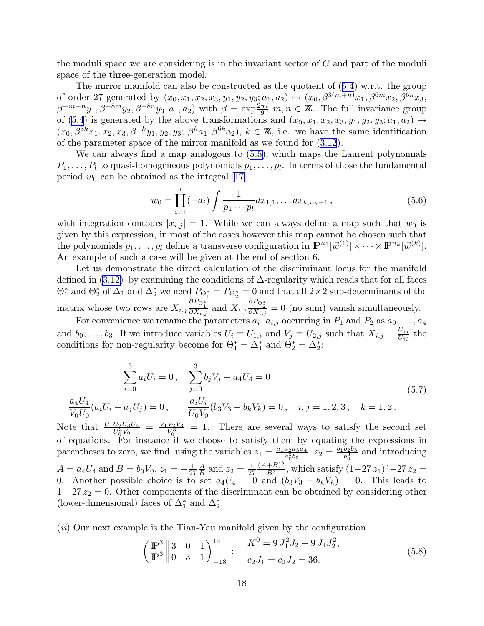<span id="page-18-0"></span>the moduli space we are considering is in the invariant sector of G and part of the moduli space of the three-generation model.

The mirror manifold can also be constructed as the quotient of([5.4](#page-17-0)) w.r.t. the group of order 27 generated by  $(x_0, x_1, x_2, x_3, y_1, y_2, y_3; a_1, a_2) \mapsto (x_0, \beta^{3(m+n)}x_1, \beta^{6m}x_2, \beta^{6n}x_3,$  $\beta^{-m-n}y_1, \beta^{-8m}y_2, \beta^{-8n}y_3; a_1, a_2$  with  $\beta = \exp\frac{2\pi i}{9}m, n \in \mathbb{Z}$ . The full invariance group of([5.4](#page-17-0)) is generated by the above transformations and  $(x_0, x_1, x_2, x_3, y_1, y_2, y_3; a_1, a_2) \mapsto$  $(x_0, \beta^{3k}x_1, x_2, x_3, \beta^{-k}y_1, y_2, y_3; \beta^k a_1, \beta^{6k}a_2), k \in \mathbb{Z}$ , i.e. we have the same identification of the parameter space of the mirror manifold as we found for [\(3.12](#page-7-0)).

We can always find a map analogous to [\(5.5\)](#page-17-0), which maps the Laurent polynomials  $P_1, \ldots, P_l$  to quasi-homogeneous polynomials  $p_1, \ldots, p_l$ . In terms of those the fundamental period $w_0$  can be obtained as the integral [[17\]](#page-48-0)

$$
w_0 = \prod_{i=1}^{l} (-a_i) \int \frac{1}{p_1 \cdots p_l} dx_{1,1}, \dots dx_{k,n_k+1},
$$
\n(5.6)

with integration contours  $|x_{i,j}| = 1$ . While we can always define a map such that  $w_0$  is given by this expression, in most of the cases however this map cannot be chosen such that the polynomials  $p_1, \ldots, p_l$  define a transverse configuration in  $\mathbb{P}^{n_1}[\vec{w}^{(1)}] \times \cdots \times \mathbb{P}^{n_k}[\vec{w}^{(k)}]$ . An example of such a case will be given at the end of section 6.

Let us demonstrate the direct calculation of the discriminant locus for the manifold defined in  $(3.12)$  by examining the conditions of  $\Delta$ -regularity which reads that for all faces  $\Theta_1^*$  and  $\Theta_2^*$  of  $\Delta_1$  and  $\Delta_2^*$  we need  $P_{\Theta_1^*} = P_{\Theta_2^*} = 0$  and that all  $2 \times 2$  sub-determinants of the matrix whose two rows are  $X_{i,j} \frac{\partial P_{\Theta_1^*}}{\partial X_{i,j}}$  and  $X_{i,j} \frac{\partial P_{\Theta_2^*}}{\partial X_{i,j}} = 0$  (no sum) vanish simultaneously.

For convenience we rename the parameters  $a_i$ ,  $a_{i,j}$  occurring in  $P_1$  and  $P_2$  as  $a_0, \ldots, a_4$ and  $b_0, \ldots, b_3$ . If we introduce variables  $U_i \equiv U_{1,i}$  and  $V_j \equiv U_{2,j}$  such that  $X_{i,j} = \frac{U_{ij}}{U_{i0}}$  $\frac{U_{ij}}{U_{i0}}$  the conditions for non-regularity become for  $\Theta_1^* = \Delta_1^*$  and  $\Theta_2^* = \Delta_2^*$ :

$$
\sum_{i=0}^{3} a_i U_i = 0, \quad \sum_{j=0}^{3} b_j V_j + a_4 U_4 = 0
$$
\n
$$
\frac{a_4 U_4}{V_0 U_0} (a_i U_i - a_j U_j) = 0, \quad \frac{a_i U_i}{U_0 V_0} (b_3 V_3 - b_k V_k) = 0, \quad i, j = 1, 2, 3, \quad k = 1, 2.
$$
\n(5.7)

Note that  $\frac{U_1 U_2 U_3 U_4}{U_0^3 V_0} = \frac{V_1 V_2 V_3}{V_0^3}$ of equations. For instance if we choose to satisfy them by equating the expressions in  $\frac{V_2 V_3}{V_0^3}$  = 1. There are several ways to satisfy the second set parentheses to zero, we find, using the variables  $z_1 = \frac{a_1 a_2 a_3 a_4}{a_1^3 b_0}$  $\frac{a_2a_3a_4}{a_0^3b_0}, z_2 = \frac{b_1b_2b_3}{b_0^3}$  $rac{b_2b_3}{b_0^3}$  and introducing  $A = a_4 U_4$  and  $B = b_0 V_0$ ,  $z_1 = -\frac{1}{27}$ 27  $\overline{A}$  $\frac{A}{B}$  and  $z_2 = \frac{1}{27}$ 27  $\frac{(A+B)^3}{B^3}$ , which satisfy  $(1-27z_1)^3-27z_2=$ 0. Another possible choice is to set  $a_4U_4 = 0$  and  $(b_3V_3 - b_kV_k) = 0$ . This leads to  $1-27 z_2 = 0$ . Other components of the discriminant can be obtained by considering other (lower-dimensional) faces of  $\Delta_1^*$  and  $\Delta_2^*$ .

 $(iii)$  Our next example is the Tian-Yau manifold given by the configuration

$$
\left(\begin{array}{ccc}\n\mathbb{P}^3 & 3 & 0 & 1 \\
\mathbb{P}^3 & 0 & 3 & 1\n\end{array}\right)_{-18}^{14} : \quad\n\begin{array}{c}\nK^0 = 9 J_1^2 J_2 + 9 J_1 J_2^2, \\
c_2 J_1 = c_2 J_2 = 36.\n\end{array} \tag{5.8}
$$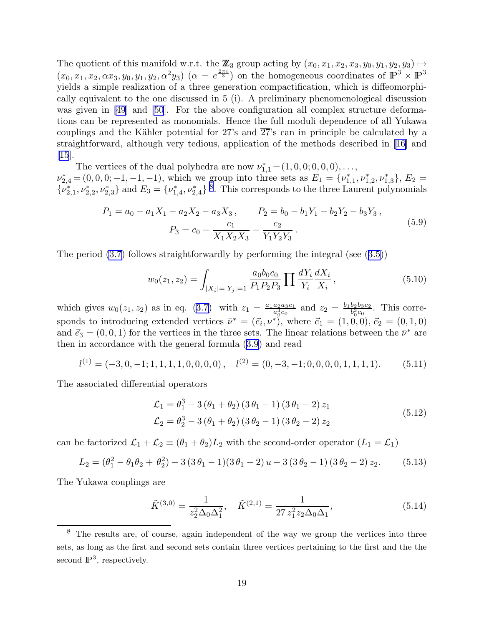The quotient of this manifold w.r.t. the  $\mathbb{Z}_3$  group acting by  $(x_0, x_1, x_2, x_3, y_0, y_1, y_2, y_3) \mapsto$  $(x_0, x_1, x_2, \alpha x_3, y_0, y_1, y_2, \alpha^2 y_3)$   $(\alpha = e^{\frac{2\pi i}{3}})$  on the homogeneous coordinates of  $\mathbb{P}^3 \times \mathbb{P}^3$ yields a simple realization of a three generation compactification, which is diffeomorphically equivalent to the one discussed in 5 (i). A preliminary phenomenological discussion wasgiven in [[49](#page-50-0)] and [\[50](#page-50-0)]. For the above configuration all complex structure deformations can be represented as monomials. Hence the full moduli dependence of all Yukawa couplings and the Kähler potential for 27's and  $2\overline{7}$ 's can in principle be calculated by a straightforward, although very tedious, application of the methods described in[[16\]](#page-48-0) and [\[15](#page-48-0)].

The vertices of the dual polyhedra are now  $\nu_{1,1}^* = (1, 0, 0, 0, 0, 0, \ldots,$  $\nu_{2,4}^* = (0,0,0;-1,-1,-1)$ , which we group into three sets as  $E_1 = \{\nu_{1,1}^*, \nu_{1,2}^*, \nu_{1,3}^*\}, E_2 =$  $\{\nu_{2,1}^*,\nu_{2,2}^*,\nu_{2,3}^*\}$  and  $E_3 = \{\nu_{1,4}^*,\nu_{2,4}^*\}$ <sup>8</sup>. This corresponds to the three Laurent polynomials

$$
P_1 = a_0 - a_1 X_1 - a_2 X_2 - a_3 X_3, \qquad P_2 = b_0 - b_1 Y_1 - b_2 Y_2 - b_3 Y_3,
$$
  

$$
P_3 = c_0 - \frac{c_1}{X_1 X_2 X_3} - \frac{c_2}{Y_1 Y_2 Y_3}.
$$
 (5.9)

Theperiod  $(3.7)$  follows straightforwardly by performing the integral (see  $(3.5)$  $(3.5)$  $(3.5)$ )

$$
w_0(z_1, z_2) = \int_{|X_i| = |Y_j| = 1} \frac{a_0 b_0 c_0}{P_1 P_2 P_3} \prod \frac{dY_i}{Y_i} \frac{dX_i}{X_i},
$$
\n(5.10)

which gives  $w_0(z_1, z_2)$  as in eq. [\(3.7\)](#page-6-0) with  $z_1 = \frac{a_1 a_2 a_3 c_1}{a_1^3 c_0}$  $\frac{a_2 a_3 c_1}{a_0^3 c_0}$  and  $z_2 = \frac{b_1 b_2 b_3 c_2}{b_0^3 c_0}$  $\frac{b_2b_3c_2}{b_0^3c_0}$ . This corresponds to introducing extended vertices  $\bar{\nu}^* = (\vec{e}_i, \nu^*)$ , where  $\vec{e}_1 = (1, 0, 0), \vec{e}_2 = (0, 1, 0)$ and  $\vec{e}_3 = (0, 0, 1)$  for the vertices in the three sets. The linear relations between the  $\bar{\nu}^*$  are then in accordance with the general formula([3.9](#page-6-0)) and read

$$
l^{(1)} = (-3, 0, -1; 1, 1, 1, 1, 0, 0, 0, 0), \quad l^{(2)} = (0, -3, -1; 0, 0, 0, 0, 1, 1, 1, 1). \tag{5.11}
$$

The associated differential operators

$$
\mathcal{L}_1 = \theta_1^3 - 3(\theta_1 + \theta_2)(3\theta_1 - 1)(3\theta_1 - 2) z_1 \n\mathcal{L}_2 = \theta_2^3 - 3(\theta_1 + \theta_2)(3\theta_2 - 1)(3\theta_2 - 2) z_2
$$
\n(5.12)

can be factorized  $\mathcal{L}_1 + \mathcal{L}_2 \equiv (\theta_1 + \theta_2)L_2$  with the second-order operator  $(L_1 = \mathcal{L}_1)$ 

$$
L_2 = (\theta_1^2 - \theta_1 \theta_2 + \theta_2^2) - 3(3\theta_1 - 1)(3\theta_1 - 2)u - 3(3\theta_2 - 1)(3\theta_2 - 2)z_2.
$$
 (5.13)

The Yukawa couplings are

$$
\tilde{K}^{(3,0)} = \frac{1}{z_2^2 \Delta_0 \Delta_1^2}, \quad \tilde{K}^{(2,1)} = \frac{1}{27 z_1^2 z_2 \Delta_0 \Delta_1},\tag{5.14}
$$

<sup>8</sup> The results are, of course, again independent of the way we group the vertices into three sets, as long as the first and second sets contain three vertices pertaining to the first and the the second  $\mathbb{P}^3$ , respectively.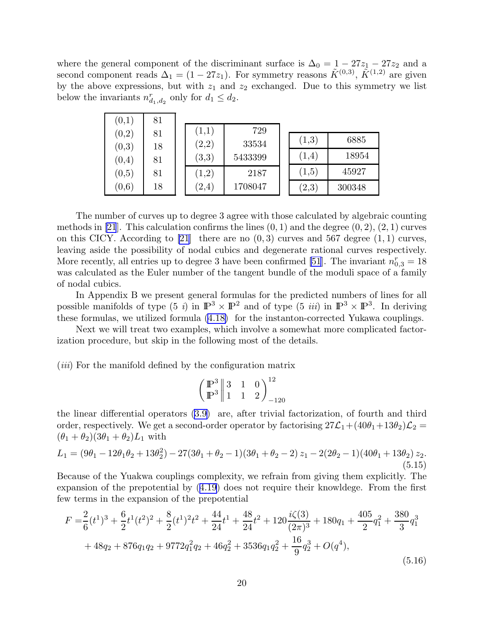where the general component of the discriminant surface is  $\Delta_0 = 1 - 27z_1 - 27z_2$  and a second component reads  $\Delta_1 = (1 - 27z_1)$ . For symmetry reasons  $\tilde{K}^{(0,3)}$ ,  $\tilde{K}^{(1,2)}$  are given by the above expressions, but with  $z_1$  and  $z_2$  exchanged. Due to this symmetry we list below the invariants  $n_{d_1,d_2}^r$  only for  $d_1 \leq d_2$ .

| (0,1)  | 81 |                     |         |                     |        |
|--------|----|---------------------|---------|---------------------|--------|
| (0,2)  | 81 | (1,1)               | 729     |                     |        |
|        |    | (2,2)               | 33534   | (1,3)               | 6885   |
| (0,3)  | 18 |                     |         |                     |        |
| (0,4)  | 81 | $\left( 3,3\right)$ | 5433399 | (1,4)               | 18954  |
| (0, 5) | 81 | (1,2)               | 2187    | (1,5)               | 45927  |
| (0, 6) | 18 | (2,4)               | 1708047 | $\left( 2,3\right)$ | 300348 |

The number of curves up to degree 3 agree with those calculated by algebraic counting methods in [\[21](#page-48-0)]. This calculation confirms the lines  $(0, 1)$  and the degree  $(0, 2)$ ,  $(2, 1)$  curves on this CICY. According to [\[21](#page-48-0)] there are no  $(0, 3)$  curves and 567 degree  $(1, 1)$  curves, leaving aside the possibility of nodal cubics and degenerate rational curves respectively. More recently, all entries up to degree 3 have been confirmed [\[51](#page-50-0)]. The invariant  $n_{0,3}^r = 18$ was calculated as the Euler number of the tangent bundle of the moduli space of a family of nodal cubics.

In Appendix B we present general formulas for the predicted numbers of lines for all possible manifolds of type  $(5 i)$  in  $\mathbb{P}^3 \times \mathbb{P}^2$  and of type  $(5 ii)$  in  $\mathbb{P}^3 \times \mathbb{P}^3$ . In deriving these formulas, we utilized formula [\(4.18\)](#page-14-0) for the instanton-corrected Yukawa couplings.

Next we will treat two examples, which involve a somewhat more complicated factorization procedure, but skip in the following most of the details.

(*iii*) For the manifold defined by the configuration matrix

$$
\left(\n \begin{array}{c}\n P^3 \\
 P^3\n \end{array}\n \middle| \n \begin{array}{ccc}\n 3 & 1 & 0 \\
 1 & 1 & 2\n \end{array}\n \right)^{12}_{-120}
$$

the linear differential operators [\(3.9\)](#page-6-0) are, after trivial factorization, of fourth and third order, respectively. We get a second-order operator by factorising  $27\mathcal{L}_1+(40\theta_1+13\theta_2)\mathcal{L}_2 =$  $(\theta_1 + \theta_2)(3\theta_1 + \theta_2)L_1$  with

$$
L_1 = (9\theta_1 - 12\theta_1\theta_2 + 13\theta_2^2) - 27(3\theta_1 + \theta_2 - 1)(3\theta_1 + \theta_2 - 2) z_1 - 2(2\theta_2 - 1)(40\theta_1 + 13\theta_2) z_2.
$$
\n(5.15)

Because of the Yuakwa couplings complexity, we refrain from giving them explicitly. The expansion of the prepotential by([4.19](#page-14-0)) does not require their knowldege. From the first few terms in the expansion of the prepotential

$$
F = \frac{2}{6}(t^1)^3 + \frac{6}{2}t^1(t^2)^2 + \frac{8}{2}(t^1)^2t^2 + \frac{44}{24}t^1 + \frac{48}{24}t^2 + 120\frac{i\zeta(3)}{(2\pi)^3} + 180q_1 + \frac{405}{2}q_1^2 + \frac{380}{3}q_1^3
$$
  
+ 48q\_2 + 876q\_1q\_2 + 9772q\_1^2q\_2 + 46q\_2^2 + 3536q\_1q\_2^2 + \frac{16}{9}q\_2^3 + O(q^4), \t(5.16)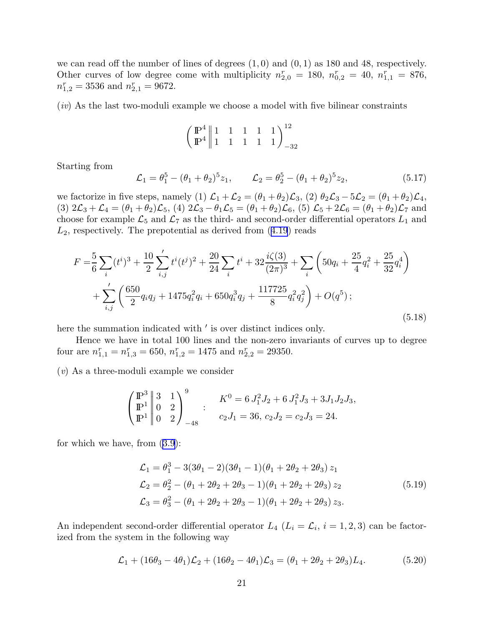we can read off the number of lines of degrees  $(1,0)$  and  $(0,1)$  as 180 and 48, respectively. Other curves of low degree come with multiplicity  $n_{2,0}^r = 180$ ,  $n_{0,2}^r = 40$ ,  $n_{1,1}^r = 876$ ,  $n_{1,2}^r = 3536$  and  $n_{2,1}^r = 9672$ .

 $(iv)$  As the last two-moduli example we choose a model with five bilinear constraints

$$
\left(\begin{array}{c|cccc}\n\mathbb{P}^4 & 1 & 1 & 1 & 1 & 1 \\
\mathbb{P}^4 & 1 & 1 & 1 & 1 & 1\n\end{array}\right)_{-32}^{12}
$$

Starting from

$$
\mathcal{L}_1 = \theta_1^5 - (\theta_1 + \theta_2)^5 z_1, \qquad \mathcal{L}_2 = \theta_2^5 - (\theta_1 + \theta_2)^5 z_2,\tag{5.17}
$$

we factorize in five steps, namely (1)  $\mathcal{L}_1 + \mathcal{L}_2 = (\theta_1 + \theta_2)\mathcal{L}_3$ , (2)  $\theta_2\mathcal{L}_3 - 5\mathcal{L}_2 = (\theta_1 + \theta_2)\mathcal{L}_4$ , (3)  $2\mathcal{L}_3 + \mathcal{L}_4 = (\theta_1 + \theta_2)\mathcal{L}_5$ , (4)  $2\mathcal{L}_3 - \theta_1\mathcal{L}_5 = (\theta_1 + \theta_2)\mathcal{L}_6$ , (5)  $\mathcal{L}_5 + 2\mathcal{L}_6 = (\theta_1 + \theta_2)\mathcal{L}_7$  and choose for example  $\mathcal{L}_5$  and  $\mathcal{L}_7$  as the third- and second-order differential operators  $L_1$  and  $L_2$ ,respectively. The prepotential as derived from  $(4.19)$  $(4.19)$  $(4.19)$  reads

$$
F = \frac{5}{6} \sum_{i} (t^{i})^{3} + \frac{10}{2} \sum_{i,j}^{\prime} t^{i} (t^{j})^{2} + \frac{20}{24} \sum_{i} t^{i} + 32 \frac{i\zeta(3)}{(2\pi)^{3}} + \sum_{i} \left( 50q_{i} + \frac{25}{4}q_{i}^{2} + \frac{25}{32}q_{i}^{4} \right) + \sum_{i,j}^{\prime} \left( \frac{650}{2}q_{i}q_{j} + 1475q_{i}^{2}q_{i} + 650q_{i}^{3}q_{j} + \frac{117725}{8}q_{i}^{2}q_{j}^{2} \right) + O(q^{5});
$$
\n
$$
(5.18)
$$

here the summation indicated with  $'$  is over distinct indices only.

Hence we have in total 100 lines and the non-zero invariants of curves up to degree four are  $n_{1,1}^r = n_{1,3}^r = 650$ ,  $n_{1,2}^r = 1475$  and  $n_{2,2}^r = 29350$ .

(v) As a three-moduli example we consider

$$
\begin{pmatrix} \mathbb{P}^3 \\ \mathbb{P}^1 \\ \mathbb{P}^1 \end{pmatrix} \begin{pmatrix} 3 & 1 \\ 0 & 2 \\ 0 & 2 \end{pmatrix}^9 = 6 J_1^2 J_2 + 6 J_1^2 J_3 + 3 J_1 J_2 J_3,
$$
  

$$
c_2 J_1 = 36, c_2 J_2 = c_2 J_3 = 24.
$$

for which we have, from([3.9](#page-6-0)):

$$
\mathcal{L}_1 = \theta_1^3 - 3(3\theta_1 - 2)(3\theta_1 - 1)(\theta_1 + 2\theta_2 + 2\theta_3) z_1
$$
  
\n
$$
\mathcal{L}_2 = \theta_2^2 - (\theta_1 + 2\theta_2 + 2\theta_3 - 1)(\theta_1 + 2\theta_2 + 2\theta_3) z_2
$$
  
\n
$$
\mathcal{L}_3 = \theta_3^2 - (\theta_1 + 2\theta_2 + 2\theta_3 - 1)(\theta_1 + 2\theta_2 + 2\theta_3) z_3.
$$
\n(5.19)

An independent second-order differential operator  $L_4$   $(L_i = \mathcal{L}_i, i = 1, 2, 3)$  can be factorized from the system in the following way

$$
\mathcal{L}_1 + (16\theta_3 - 4\theta_1)\mathcal{L}_2 + (16\theta_2 - 4\theta_1)\mathcal{L}_3 = (\theta_1 + 2\theta_2 + 2\theta_3)L_4.
$$
 (5.20)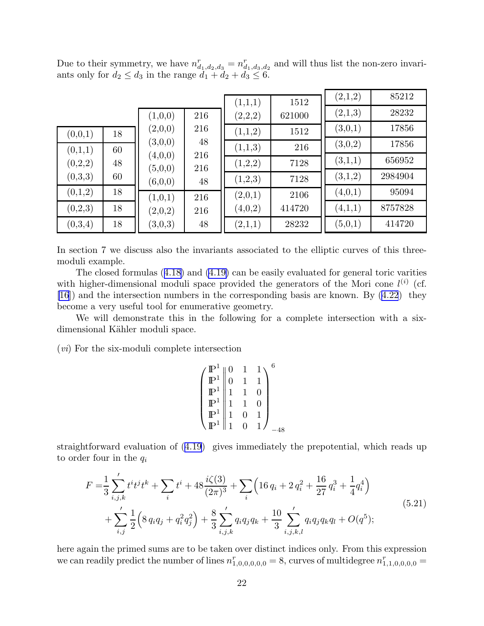Due to their symmetry, we have  $n_{d_1,d_2,d_3}^r = n_{d_1,d_3,d_2}^r$  and will thus list the non-zero invariants only for  $d_2 \leq d_3$  in the range  $d_1 + d_2 + d_3 \leq 6$ .

|         |    |                    |            | (1,1,1) | 1512   | (2,1,2) | 85212   |
|---------|----|--------------------|------------|---------|--------|---------|---------|
|         |    | (1,0,0)            | 216        | (2,2,2) | 621000 | (2,1,3) | 28232   |
| (0,0,1) | 18 | (2,0,0)            | 216        | (1,1,2) | 1512   | (3,0,1) | 17856   |
| (0,1,1) | 60 | (3,0,0)            | 48         | (1,1,3) | 216    | (3,0,2) | 17856   |
| (0,2,2) | 48 | (4,0,0)<br>(5,0,0) | 216<br>216 | (1,2,2) | 7128   | (3,1,1) | 656952  |
| (0,3,3) | 60 | (6,0,0)            | 48         | (1,2,3) | 7128   | (3,1,2) | 2984904 |
| (0,1,2) | 18 | (1,0,1)            | 216        | (2,0,1) | 2106   | (4,0,1) | 95094   |
| (0,2,3) | 18 | (2,0,2)            | 216        | (4,0,2) | 414720 | (4,1,1) | 8757828 |
| (0,3,4) | 18 | (3,0,3)            | 48         | (2,1,1) | 28232  | (5,0,1) | 414720  |

In section 7 we discuss also the invariants associated to the elliptic curves of this threemoduli example.

The closed formulas([4.18\)](#page-14-0) and [\(4.19\)](#page-14-0) can be easily evaluated for general toric varities with higher-dimensional moduli space provided the generators of the Mori cone  $l^{(i)}$  (cf. [\[16](#page-48-0)]) and the intersection numbers in the corresponding basis are known. By [\(4.22](#page-16-0)) they become a very useful tool for enumerative geometry.

We will demonstrate this in the following for a complete intersection with a sixdimensional Kähler moduli space.

(vi) For the six-moduli complete intersection

$$
\left(\begin{array}{c|cc} \mathbb{P}^1 & 0 & 1 & 1 \\ \mathbb{P}^1 & 0 & 1 & 1 \\ \mathbb{P}^1 & 1 & 1 & 0 \\ \mathbb{P}^1 & 1 & 1 & 0 \\ \mathbb{P}^1 & 1 & 0 & 1 \\ \mathbb{P}^1 & 1 & 0 & 1 \end{array}\right)_{-48}
$$

straightforward evaluation of([4.19](#page-14-0)) gives immediately the prepotential, which reads up to order four in the  $q_i$ 

$$
F = \frac{1}{3} \sum_{i,j,k}^{\prime} t^i t^j t^k + \sum_i t^i + 48 \frac{i \zeta(3)}{(2\pi)^3} + \sum_i \left( 16 q_i + 2 q_i^2 + \frac{16}{27} q_i^3 + \frac{1}{4} q_i^4 \right) + \sum_{i,j}^{\prime} \frac{1}{2} \left( 8 q_i q_j + q_i^2 q_j^2 \right) + \frac{8}{3} \sum_{i,j,k}^{\prime} q_i q_j q_k + \frac{10}{3} \sum_{i,j,k,l}^{\prime} q_i q_j q_k q_l + O(q^5);
$$
(5.21)

here again the primed sums are to be taken over distinct indices only. From this expression we can readily predict the number of lines  $n_{1,0,0,0,0,0}^r = 8$ , curves of multidegree  $n_{1,1,0,0,0,0}^r =$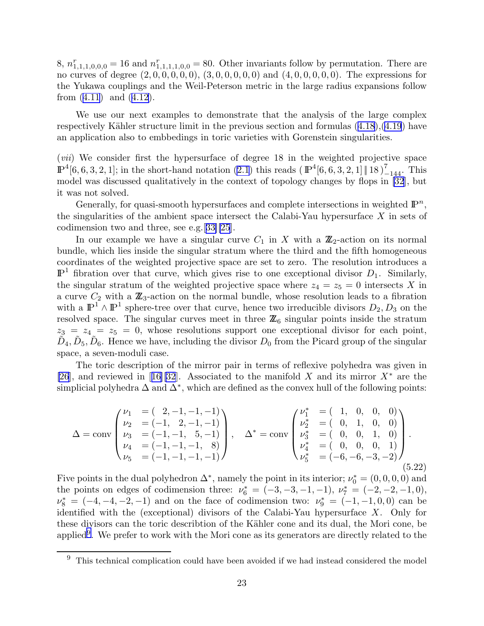<span id="page-23-0"></span>8,  $n_{1,1,1,0,0,0}^r = 16$  and  $n_{1,1,1,1,0,0}^r = 80$ . Other invariants follow by permutation. There are no curves of degree  $(2, 0, 0, 0, 0, 0, 0, 0, 0, 0, 0, 0, 0)$  and  $(4, 0, 0, 0, 0, 0, 0)$ . The expressions for the Yukawa couplings and the Weil-Peterson metric in the large radius expansions follow from([4.11](#page-12-0)) and([4.12](#page-12-0)).

We use our next examples to demonstrate that the analysis of the large complex respectivelyKähler structure limit in the previous section and formulas  $(4.18)$  $(4.18)$  $(4.18)$ , $(4.19)$  $(4.19)$  $(4.19)$  have an application also to embbedings in toric varieties with Gorenstein singularities.

(vii) We consider first the hypersurface of degree 18 in the weighted projective space  $\mathbb{P}^4[6,6,3,2,1]$ ; in the short-hand notation  $(2.1)$  this reads  $(\mathbb{P}^4[6,6,3,2,1] \| 18)$ <sub>-144</sub>. This model was discussed qualitatively in the context of topology changes by flops in [\[32](#page-49-0)], but it was not solved.

Generally, for quasi-smooth hypersurfaces and complete intersections in weighted  $\mathbb{P}^n$ , the singularities of the ambient space intersect the Calabi-Yau hypersurface  $X$  in sets of codimension two and three, see e.g.[[33\]\[25](#page-49-0)].

In our example we have a singular curve  $C_1$  in X with a  $\mathbb{Z}_2$ -action on its normal bundle, which lies inside the singular stratum where the third and the fifth homogeneous coordinates of the weighted projective space are set to zero. The resolution introduces a  $\mathbb{P}^{1}$  fibration over that curve, which gives rise to one exceptional divisor  $D_{1}$ . Similarly, the singular stratum of the weighted projective space where  $z_4 = z_5 = 0$  intersects X in a curve  $C_2$  with a  $\mathbb{Z}_3$ -action on the normal bundle, whose resolution leads to a fibration with a  $\mathbb{P}^1 \wedge \mathbb{P}^1$  sphere-tree over that curve, hence two irreducible divisors  $D_2, D_3$  on the resolved space. The singular curves meet in three  $\mathbb{Z}_6$  singular points inside the stratum  $z_3 = z_4 = z_5 = 0$ , whose resolutions support one exceptional divisor for each point,  $\tilde{D}_4, \tilde{D}_5, \tilde{D}_6$ . Hence we have, including the divisor  $D_0$  from the Picard group of the singular space, a seven-moduli case.

The toric description of the mirror pair in terms of reflexive polyhedra was given in [\[26](#page-49-0)],and reviewed in [[16\]](#page-48-0)[\[32](#page-49-0)]. Associated to the manifold X and its mirror  $X^*$  are the simplicial polyhedra  $\Delta$  and  $\Delta^*$ , which are defined as the convex hull of the following points:

$$
\Delta = \text{conv}\begin{pmatrix} \nu_1 & = (2, -1, -1, -1) \\ \nu_2 & = (-1, 2, -1, -1) \\ \nu_3 & = (-1, -1, 5, -1) \\ \nu_4 & = (-1, -1, -1, 8) \\ \nu_5 & = (-1, -1, -1, -1) \end{pmatrix}, \quad \Delta^* = \text{conv}\begin{pmatrix} \nu_1^* & = (1, 0, 0, 0) \\ \nu_2^* & = (0, 1, 0, 0) \\ \nu_3^* & = (0, 0, 1, 0) \\ \nu_4^* & = (0, 0, 0, 1) \\ \nu_5^* & = (-6, -6, -3, -2) \end{pmatrix}.
$$
\n(5.22)

Five points in the dual polyhedron  $\Delta^*$ , namely the point in its interior;  $\nu_0^* = (0, 0, 0, 0)$  and the points on edges of codimension three:  $\nu_6^* = (-3, -3, -1, -1), \nu_7^* = (-2, -2, -1, 0),$  $\nu_8^* = (-4, -4, -2, -1)$  and on the face of codimension two:  $\nu_9^* = (-1, -1, 0, 0)$  can be identified with the (exceptional) divisors of the Calabi-Yau hypersurface X. Only for these divisors can the toric describtion of the Kähler cone and its dual, the Mori cone, be applied<sup>9</sup>. We prefer to work with the Mori cone as its generators are directly related to the

 $9$  This technical complication could have been avoided if we had instead considered the model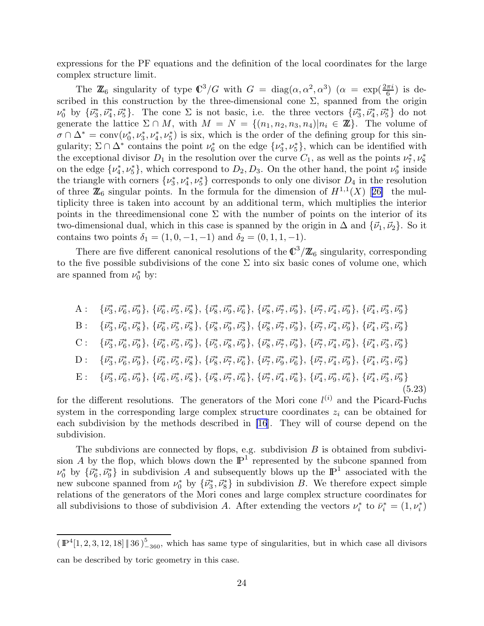expressions for the PF equations and the definition of the local coordinates for the large complex structure limit.

The  $\mathbb{Z}_6$  singularity of type  $\mathbb{C}^3/G$  with  $G = \text{diag}(\alpha, \alpha^2, \alpha^3)$   $(\alpha = \exp(\frac{2\pi i}{6})$  is described in this construction by the three-dimensional cone  $\Sigma$ , spanned from the origin  $\nu_0^*$  by  ${\{\vec{\nu}_3^*, \vec{\nu}_4^*, \vec{\nu}_5^*\}}$ . The cone  $\Sigma$  is not basic, i.e. the three vectors  ${\{\vec{\nu}_3^*, \vec{\nu}_4^*, \vec{\nu}_5^*\}}$  do not generate the lattice  $\Sigma \cap M$ , with  $M = N = \{(n_1, n_2, n_3, n_4) | n_i \in \mathbb{Z}\}\.$  The volume of  $\sigma \cap \Delta^* = \text{conv}(\nu_0^*, \nu_3^*, \nu_4^*, \nu_5^*)$  is six, which is the order of the defining group for this singularity;  $\Sigma \cap \Delta^*$  contains the point  $\nu_6^*$  on the edge  $\{\nu_3^*, \nu_5^*\}$ , which can be identified with the exceptional divisor  $D_1$  in the resolution over the curve  $C_1$ , as well as the points  $\nu_7^*, \nu_8^*$ on the edge  $\{\nu_4^*, \nu_5^*\}$ , which correspond to  $D_2, D_3$ . On the other hand, the point  $\nu_9^*$  inside the triangle with corners  $\{\nu_3^*, \nu_4^*, \nu_5^*\}$  corresponds to only one divisor  $D_4$  in the resolution ofthree  $\mathbb{Z}_6$  singular points. In the formula for the dimension of  $H^{1,1}(X)$  [[26\]](#page-49-0) the multiplicity three is taken into account by an additional term, which multiplies the interior points in the threedimensional cone  $\Sigma$  with the number of points on the interior of its two-dimensional dual, which in this case is spanned by the origin in  $\Delta$  and  $\{\vec{\nu}_1,\vec{\nu}_2\}$ . So it contains two points  $\delta_1 = (1, 0, -1, -1)$  and  $\delta_2 = (0, 1, 1, -1)$ .

There are five different canonical resolutions of the  $\mathbb{C}^3/\mathbb{Z}_6$  singularity, corresponding to the five possible subdivisions of the cone  $\Sigma$  into six basic cones of volume one, which are spanned from  $\nu_0^*$  by:

A: 
$$
\{\vec{v}_3^*, \vec{v}_6^*, \vec{v}_9^*\}, \{\vec{v}_6^*, \vec{v}_5^*, \vec{v}_8^*\}, \{\vec{v}_8^*, \vec{v}_9^*, \vec{v}_6^*\}, \{\vec{v}_8^*, \vec{v}_7^*, \vec{v}_9^*\}, \{\vec{v}_7^*, \vec{v}_4^*, \vec{v}_9^*\}, \{\vec{v}_4^*, \vec{v}_3^*, \vec{v}_9^*\}
$$
  
\nB:  $\{\vec{v}_3^*, \vec{v}_6^*, \vec{v}_8^*\}, \{\vec{v}_6^*, \vec{v}_5^*, \vec{v}_8^*\}, \{\vec{v}_8^*, \vec{v}_9^*, \vec{v}_3^*\}, \{\vec{v}_8^*, \vec{v}_7^*, \vec{v}_9^*\}, \{\vec{v}_7^*, \vec{v}_4^*, \vec{v}_3^*\}, \{\vec{v}_4^*, \vec{v}_3^*, \vec{v}_9^*\}$   
\nC:  $\{\vec{v}_3^*, \vec{v}_6^*, \vec{v}_9^*\}, \{\vec{v}_6^*, \vec{v}_5^*, \vec{v}_9^*\}, \{\vec{v}_5^*, \vec{v}_8^*, \vec{v}_9^*\}, \{\vec{v}_8^*, \vec{v}_7^*, \vec{v}_9^*\}, \{\vec{v}_7^*, \vec{v}_4^*, \vec{v}_3^*\}, \{\vec{v}_4^*, \vec{v}_3^*, \vec{v}_9^*\}$   
\nD:  $\{\vec{v}_3^*, \vec{v}_6^*, \vec{v}_9^*\}, \{\vec{v}_6^*, \vec{v}_5^*, \vec{v}_8^*\}, \{\vec{v}_8^*, \vec{v}_7^*, \vec{v}_6^*\}, \{\vec{v}_7^*, \vec{v}_9^*, \vec{v}_6^*\}, \{\vec{v}_7^*, \vec{v}_4^*, \vec{v}_3^*\}, \{\vec{v}_4^*, \vec{v}_3^*, \vec{v}_9^*\}$   
\nE:  $\{\vec{v}_3^*, \vec{v}_6^*, \vec{v}_9^*\}, \{\vec{v}_6^*, \vec{v}_5^*, \vec{v}_8^*\}, \{\vec{v}_8^*, \vec{v}_7^*, \vec{v}_6^*\}, \{\vec{v}_7^*, \vec{v}_4^*, \vec{v}_6$ 

for the different resolutions. The generators of the Mori cone  $l^{(i)}$  and the Picard-Fuchs system in the corresponding large complex structure coordinates  $z_i$  can be obtained for each subdivision by the methods described in [\[16](#page-48-0)]. They will of course depend on the subdivision.

The subdivions are connected by flops, e.g. subdivision  $B$  is obtained from subdivision A by the flop, which blows down the  $\mathbb{P}^1$  represented by the subcone spanned from  $\nu_0^*$  by  $\{\vec{\nu}_6^*, \vec{\nu}_9^*\}$  in subdivision A and subsequently blows up the  $\mathbb{P}^1$  associated with the new subcone spanned from  $\nu_0^*$  by  $\{\vec{\nu}_3^*, \vec{\nu}_8^*\}$  in subdivision B. We therefore expect simple relations of the generators of the Mori cones and large complex structure coordinates for all subdivisions to those of subdivision A. After extending the vectors  $\nu_i^*$  to  $\bar{\nu}_i^* = (1, \nu_i^*)$ 

 $(\mathbb{P}^4[1, 2, 3, 12, 18] \| 36)_{-360}^5$ , which has same type of singularities, but in which case all divisors can be described by toric geometry in this case.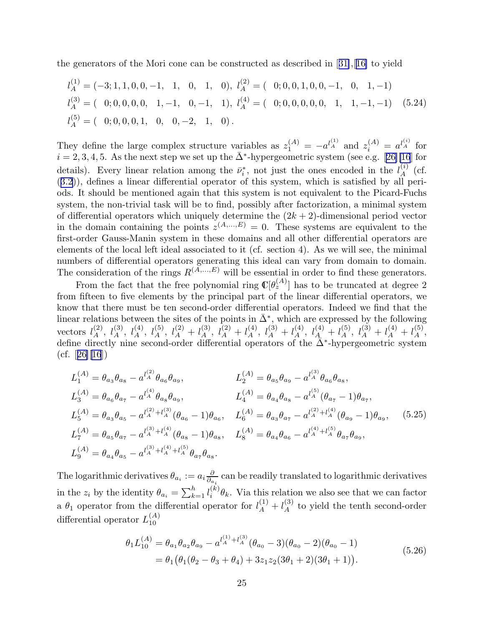<span id="page-25-0"></span>the generators of the Mori cone can be constructed as described in[[31\]](#page-49-0),[[16\]](#page-48-0) to yield

$$
l_A^{(1)} = (-3; 1, 1, 0, 0, -1, 1, 0, 1, 0), l_A^{(2)} = (0; 0, 0, 1, 0, 0, -1, 0, 1, -1)
$$
  
\n
$$
l_A^{(3)} = (0; 0, 0, 0, 0, 1, -1, 0, -1, 1), l_A^{(4)} = (0; 0, 0, 0, 0, 1, 1, -1, -1) (5.24)
$$
  
\n
$$
l_A^{(5)} = (0; 0, 0, 0, 1, 0, -2, 1, 0).
$$

They define the large complex structure variables as  $z_1^{(A)} = -a^{l_A^{(1)}}$  and  $z_i^{(A)} = a^{l_A^{(i)}}$  for  $i = 2, 3, 4, 5$  $i = 2, 3, 4, 5$  $i = 2, 3, 4, 5$ . As the next step we set up the  $\bar{\Delta}^*$ -hypergeometric system (see e.g. [[26\]](#page-49-0)[\[16](#page-48-0)] for details). Every linear relation among the  $\bar{\nu}_i^*$ , not just the ones encoded in the  $l_A^{(i)}$  $\mathop{A}\limits^{\left( i\right) }$  (cf. ([3.2](#page-5-0))), defines a linear differential operator of this system, which is satisfied by all periods. It should be mentioned again that this system is not equivalent to the Picard-Fuchs system, the non-trivial task will be to find, possibly after factorization, a minimal system of differential operators which uniquely determine the  $(2k + 2)$ -dimensional period vector in the domain containing the points  $z^{(A,...,E)} = 0$ . These systems are equivalent to the first-order Gauss-Manin system in these domains and all other differential operators are elements of the local left ideal associated to it (cf. section 4). As we will see, the minimal numbers of differential operators generating this ideal can vary from domain to domain. The consideration of the rings  $R^{(\tilde{A},...,E)}$  will be essential in order to find these generators.

From the fact that the free polynomial ring  $\mathbb{C}[\theta_z^{(A)}]$  has to be truncated at degree 2 from fifteen to five elements by the principal part of the linear differential operators, we know that there must be ten second-order differential operators. Indeed we find that the linear relations between the sites of the points in  $\bar{\Delta}^*$ , which are expressed by the following vectors  $l_A^{(2)}$ ,  $l_A^{(3)}$ ,  $l_A^{(4)}$ ,  $l_A^{(5)}$ ,  $l_A^{(2)} + l_A^{(3)}$ ,  $l_A^{(2)} + l_A^{(4)}$ ,  $l_A^{(3)} + l_A^{(4)}$ ,  $l_A^{(4)} + l_A^{(5)}$ ,  $l_A^{(3)} + l_A^{(4)} + l_A^{(5)}$ , define directly nine second-order differential operators of the  $\bar{\Delta}^*$ -hypergeometric system  $(cf. |26||16|)$  $(cf. |26||16|)$  $(cf. |26||16|)$ 

$$
L_{1}^{(A)} = \theta_{a_{3}} \theta_{a_{8}} - a_{4}^{(2)} \theta_{a_{6}} \theta_{a_{9}},
$$
\n
$$
L_{2}^{(A)} = \theta_{a_{5}} \theta_{a_{9}} - a_{4}^{(3)} \theta_{a_{6}} \theta_{a_{8}},
$$
\n
$$
L_{3}^{(A)} = \theta_{a_{6}} \theta_{a_{7}} - a_{4}^{(4)} \theta_{a_{8}} \theta_{a_{9}},
$$
\n
$$
L_{4}^{(A)} = \theta_{a_{4}} \theta_{a_{8}} - a_{4}^{(5)} (\theta_{a_{7}} - 1) \theta_{a_{7}},
$$
\n
$$
L_{5}^{(A)} = \theta_{a_{3}} \theta_{a_{5}} - a_{4}^{(2)} + l_{A}^{(3)} (\theta_{a_{6}} - 1) \theta_{a_{6}},
$$
\n
$$
L_{6}^{(A)} = \theta_{a_{3}} \theta_{a_{7}} - a_{4}^{(2)} + l_{A}^{(4)} (\theta_{a_{9}} - 1) \theta_{a_{9}},
$$
\n
$$
L_{7}^{(A)} = \theta_{a_{5}} \theta_{a_{7}} - a_{4}^{(3)} + l_{A}^{(4)} (\theta_{a_{8}} - 1) \theta_{a_{8}},
$$
\n
$$
L_{8}^{(A)} = \theta_{a_{4}} \theta_{a_{6}} - a_{4}^{(4)} + l_{A}^{(5)} \theta_{a_{7}} \theta_{a_{9}},
$$
\n
$$
L_{9}^{(A)} = \theta_{a_{4}} \theta_{a_{5}} - a_{4}^{(3)} + l_{A}^{(4)} + l_{A}^{(5)} \theta_{a_{7}} \theta_{a_{8}}.
$$
\n
$$
(5.25)
$$

The logarithmic derivatives  $\theta_{a_i} := a_i \frac{\partial}{\partial a_i}$  $\frac{\partial}{\partial a_i}$  can be readily translated to logarithmic derivatives in the  $z_i$  by the identity  $\theta_{a_i} = \sum_{k=1}^{h} l_i^{(k)}$  $\lambda_i^{(k)}\theta_k$ . Via this relation we also see that we can factor a  $\theta_1$  operator from the differential operator for  $l_A^{(1)} + l_A^{(3)}$  to yield the tenth second-order differential operator  $L_{10}^{(A)}$ 10

$$
\theta_1 L_{10}^{(A)} = \theta_{a_1} \theta_{a_2} \theta_{a_9} - a^{l_A^{(1)} + l_A^{(3)}} (\theta_{a_0} - 3)(\theta_{a_0} - 2)(\theta_{a_0} - 1)
$$
  
=  $\theta_1 (\theta_1 (\theta_2 - \theta_3 + \theta_4) + 3z_1 z_2 (3\theta_1 + 2)(3\theta_1 + 1)).$  (5.26)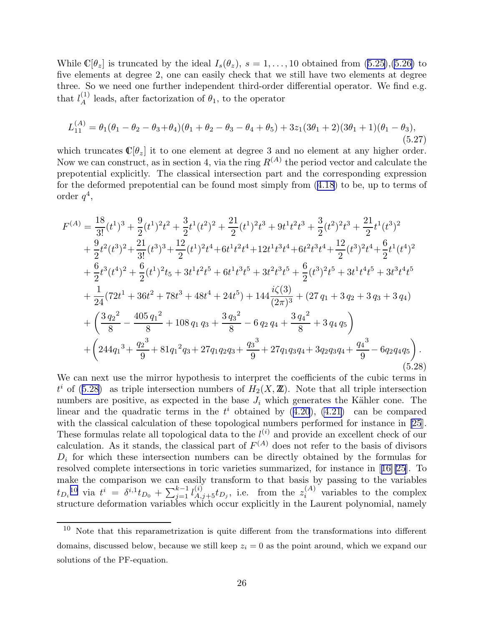<span id="page-26-0"></span>While  $\mathbb{C}[\theta_z]$  is truncated by the ideal  $I_s(\theta_z)$ ,  $s = 1, \ldots, 10$  obtained from  $(5.25),(5.26)$  $(5.25),(5.26)$  to five elements at degree 2, one can easily check that we still have two elements at degree three. So we need one further independent third-order differential operator. We find e.g. that  $l_A^{(1)}$  leads, after factorization of  $\theta_1$ , to the operator

$$
L_{11}^{(A)} = \theta_1(\theta_1 - \theta_2 - \theta_3 + \theta_4)(\theta_1 + \theta_2 - \theta_3 - \theta_4 + \theta_5) + 3z_1(3\theta_1 + 2)(3\theta_1 + 1)(\theta_1 - \theta_3),
$$
\n(5.27)

which truncates  $\mathbb{C}[\theta_z]$  it to one element at degree 3 and no element at any higher order. Now we can construct, as in section 4, via the ring  $R^{(A)}$  the period vector and calculate the prepotential explicitly. The classical intersection part and the corresponding expression for the deformed prepotential can be found most simply from([4.18](#page-14-0)) to be, up to terms of order  $q^4$ ,

$$
F^{(A)} = \frac{18}{3!} (t^1)^3 + \frac{9}{2} (t^1)^2 t^2 + \frac{3}{2} t^1 (t^2)^2 + \frac{21}{2} (t^1)^2 t^3 + 9 t^1 t^2 t^3 + \frac{3}{2} (t^2)^2 t^3 + \frac{21}{2} t^1 (t^3)^2 + \frac{9}{2} t^2 (t^3)^2 + \frac{21}{3!} (t^3)^3 + \frac{12}{2} (t^1)^2 t^4 + 6 t^1 t^2 t^4 + 12 t^1 t^3 t^4 + 6 t^2 t^3 t^4 + \frac{12}{2} (t^3)^2 t^4 + \frac{6}{2} t^1 (t^4)^2 + \frac{6}{2} t^3 (t^4)^2 + \frac{6}{2} (t^1)^2 t_5 + 3 t^1 t^2 t^5 + 6 t^1 t^3 t^5 + 3 t^2 t^3 t^5 + \frac{6}{2} (t^3)^2 t^5 + 3 t^1 t^4 t^5 + 3 t^3 t^4 t^5 + \frac{1}{24} (72 t^1 + 36 t^2 + 78 t^3 + 48 t^4 + 24 t^5) + 144 \frac{i\zeta(3)}{(2\pi)^3} + (27 q_1 + 3 q_2 + 3 q_3 + 3 q_4) + \left( \frac{3 q_2^2}{8} - \frac{405 q_1^2}{8} + 108 q_1 q_3 + \frac{3 q_3^2}{8} - 6 q_2 q_4 + \frac{3 q_4^2}{8} + 3 q_4 q_5 \right) + \left( 244 q_1^3 + \frac{q_2^3}{9} + 81 q_1^2 q_3 + 27 q_1 q_2 q_3 + \frac{q_3^3}{9} + 27 q_1 q_3 q_4 + 3 q_2 q_3 q_4 + \frac{q_4^3}{9} - 6 q_2 q_4 q_5 \right).
$$
\n(5.28)

We can next use the mirror hypothesis to interpret the coefficients of the cubic terms in  $t^i$  of (5.28) as triple intersection numbers of  $H_2(X, \mathbb{Z})$ . Note that all triple intersection numbers are positive, as expected in the base  $J_i$  which generates the Kähler cone. The linearand the quadratic terms in the  $t^i$  obtained by  $(4.20)$  $(4.20)$  $(4.20)$ ,  $(4.21)$  can be compared with the classical calculation of these topological numbers performed for instance in [\[25](#page-49-0)]. These formulas relate all topological data to the  $l^{(i)}$  and provide an excellent check of our calculation. As it stands, the classical part of  $F^{(A)}$  does not refer to the basis of divisors  $D_i$  for which these intersection numbers can be directly obtained by the formulas for resolved complete intersections in toric varieties summarized, for instance in[[16\]](#page-48-0)[\[25](#page-49-0)]. To make the comparison we can easily transform to that basis by passing to the variables  $t_{D_i}^{10}$  via  $t^i = \delta^{i,1} t_{D_0} + \sum_{j=1}^{k-1} l_{A,j+5}^{(i)} t_{D_j}$ , i.e. from the  $z_i^{(A)}$  $i^{(A)}$  variables to the complex structure deformation variables which occur explicitly in the Laurent polynomial, namely

 $10$  Note that this reparametrization is quite different from the transformations into different domains, discussed below, because we still keep  $z_i = 0$  as the point around, which we expand our solutions of the PF-equation.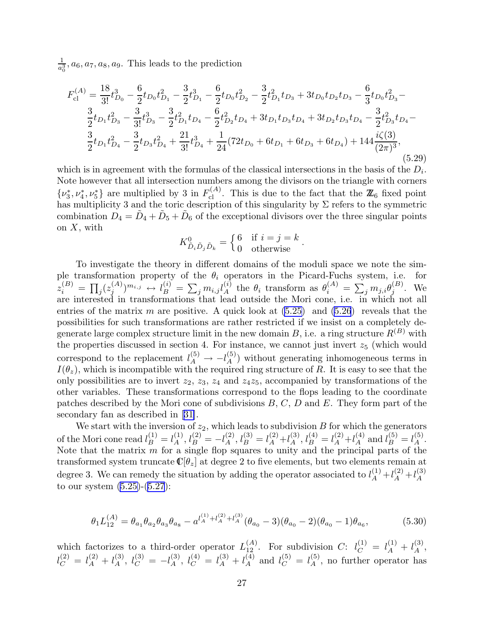1  $\frac{1}{a_0^3}$ ,  $a_6$ ,  $a_7$ ,  $a_8$ ,  $a_9$ . This leads to the prediction

$$
F_{\text{cl}}^{(A)} = \frac{18}{3!}t_{D_0}^3 - \frac{6}{2}t_{D_0}t_{D_1}^2 - \frac{3}{2}t_{D_1}^3 - \frac{6}{2}t_{D_0}t_{D_2}^2 - \frac{3}{2}t_{D_1}^2t_{D_3} + 3t_{D_0}t_{D_2}t_{D_3} - \frac{6}{3}t_{D_0}t_{D_3}^2 - \frac{3}{2}t_{D_1}t_{D_3}^2 - \frac{3}{3!}t_{D_3}^3 - \frac{3}{2}t_{D_1}^2t_{D_4} - \frac{6}{2}t_{D_2}^2t_{D_4} + 3t_{D_1}t_{D_3}t_{D_4} + 3t_{D_2}t_{D_3}t_{D_4} - \frac{3}{2}t_{D_3}^2t_{D_4} - \frac{3}{2}t_{D_1}t_{D_4}^2 - \frac{3}{2}t_{D_3}t_{D_4}^2 + \frac{21}{3!}t_{D_4}^3 + \frac{1}{24}(72t_{D_0} + 6t_{D_1} + 6t_{D_3} + 6t_{D_4}) + 144\frac{i\zeta(3)}{(2\pi)^3},
$$
\n(5.29)

which is in agreement with the formulas of the classical intersections in the basis of the  $D_i$ . Note however that all intersection numbers among the divisors on the triangle with corners  $\{\nu_3^*, \nu_4^*, \nu_5^*\}$  are multiplied by 3 in  $F_{\text{cl}}^{(A)}$ . This is due to the fact that the  $\mathbb{Z}_6$  fixed point has multiplicity 3 and the toric description of this singularity by  $\Sigma$  refers to the symmetric combination  $D_4 = \tilde{D}_4 + \tilde{D}_5 + \tilde{D}_6$  of the exceptional divisors over the three singular points on  $X$ , with

$$
K^0_{\tilde{D}_i \tilde{D}_j \tilde{D}_k} = \begin{cases} 6 & \text{if } i = j = k \\ 0 & \text{otherwise} \end{cases}
$$

.

To investigate the theory in different domains of the moduli space we note the simple transformation property of the  $\theta_i$  operators in the Picard-Fuchs system, i.e. for  $z^{(B)}_i \, = \, \prod_j (z^{(A)}_j$  $j^{(A)}j^{m_{i,j}} \leftrightarrow l_B^{(i)} = \sum_j m_{i,j} l_A^{(i)}$  the  $\theta_i$  transform as  $\theta_i^{(A)} = \sum_j m_{j,i} \theta_j^{(B)}$  $j^{(D)}$ . We are interested in transformations that lead outside the Mori cone, i.e. in which not all entries of the matrix m are positive. A quick look at  $(5.25)$  and  $(5.26)$  reveals that the possibilities for such transformations are rather restricted if we insist on a completely degenerate large complex structure limit in the new domain  $B$ , i.e. a ring structure  $R^{(B)}$  with the properties discussed in section 4. For instance, we cannot just invert  $z_5$  (which would correspond to the replacement  $l_A^{(5)} \to -l_A^{(5)}$  without generating inhomogeneous terms in  $I(\theta_z)$ , which is incompatible with the required ring structure of R. It is easy to see that the only possibilities are to invert  $z_2$ ,  $z_3$ ,  $z_4$  and  $z_4z_5$ , accompanied by transformations of the other variables. These transformations correspond to the flops leading to the coordinate patches described by the Mori cone of subdivisions  $B, C, D$  and  $E$ . They form part of the secondary fan as described in[[31\]](#page-49-0).

We start with the inversion of  $z_2$ , which leads to subdivision  $B$  for which the generators of the Mori cone read  $l_B^{(1)} = l_A^{(1)}$ ,  $l_B^{(2)} = -l_A^{(2)}$ ,  $l_B^{(3)} = l_A^{(2)} + l_A^{(3)}$ ,  $l_B^{(4)} = l_A^{(2)} + l_A^{(4)}$  and  $l_B^{(5)} = l_A^{(5)}$ . Note that the matrix  $\overline{m}$  for a single flop squares to unity and the principal parts of the transformed system truncate  $\mathbb{C}[\theta_z]$  at degree 2 to five elements, but two elements remain at degree 3. We can remedy the situation by adding the operator associated to  $l_A^{(1)} + l_A^{(2)} + l_A^{(3)}$ A to our system [\(5.25\)](#page-25-0)-([5.27](#page-26-0)):

$$
\theta_1 L_{12}^{(A)} = \theta_{a_1} \theta_{a_2} \theta_{a_3} \theta_{a_8} - a^{l_A^{(1)} + l_A^{(2)} + l_A^{(3)}} (\theta_{a_0} - 3)(\theta_{a_0} - 2)(\theta_{a_0} - 1)\theta_{a_6},
$$
\n(5.30)

which factorizes to a third-order operator  $L_{12}^{(A)}$ . For subdivision C:  $l_C^{(1)} = l_A^{(1)} + l_A^{(3)}$ ,  $l_C^{(2)} = l_A^{(2)} + l_A^{(3)}$ ,  $l_C^{(3)} = -l_A^{(3)}$ ,  $l_C^{(4)} = l_A^{(3)} + l_A^{(4)}$  and  $l_C^{(5)} = l_A^{(5)}$ , no further operator has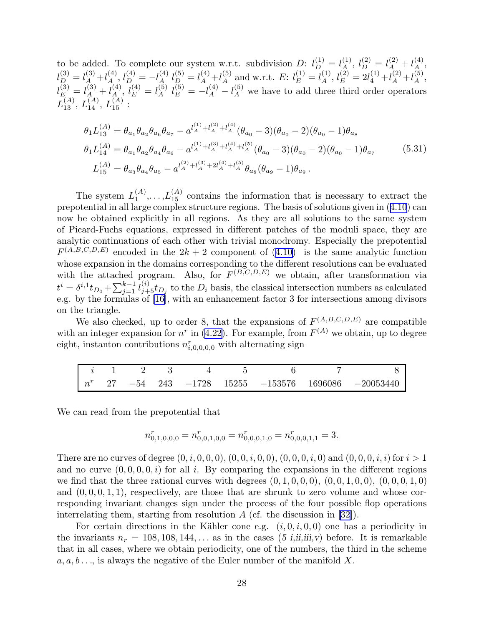to be added. To complete our system w.r.t. subdivision  $D: l_D^{(1)} = l_A^{(1)}, l_D^{(2)} = l_A^{(2)} + l_A^{(4)},$  $l_{D}^{(3)}=l_{A}^{(3)}+l_{A}^{(4)}$  $l_A^{(4)}, l_D^{(4)} = -l_A^{(4)}$  $\ell_A^{(4)} l_D^{(5)} = l_A^{(4)} + l_A^{(5)}$  $\mathcal{L}_{A}^{(5)}$  and w.r.t.  $E: l_{E}^{(1)} = l_{A}^{(1)}$  $\lambda_A^{(1)}, l_E^{(2)} = 2l_4^{(1)} + l_A^{(2)} + l_A^{(5)}$  $\mathop{A}\limits^{(5)},$  $l_E^{(3)} = l_A^{(3)} + l_{A}^{(4)}, l_E^{(4)} = l_A^{(5)} l_E^{(5)} = -l_A^{(4)} - l_A^{(5)}$  we have to add three third order operators  $L^{(A)}_{13},\, L^{(A)}_{14},\, L^{(A)}_{15}:$ 

$$
\theta_1 L_{13}^{(A)} = \theta_{a_1} \theta_{a_2} \theta_{a_6} \theta_{a_7} - a^{l_A^{(1)} + l_A^{(2)} + l_A^{(4)}} (\theta_{a_0} - 3)(\theta_{a_0} - 2)(\theta_{a_0} - 1)\theta_{a_8}
$$
  
\n
$$
\theta_1 L_{14}^{(A)} = \theta_{a_1} \theta_{a_2} \theta_{a_4} \theta_{a_6} - a^{l_A^{(1)} + l_A^{(3)} + l_A^{(4)} + l_A^{(5)}} (\theta_{a_0} - 3)(\theta_{a_0} - 2)(\theta_{a_0} - 1)\theta_{a_7}
$$
  
\n
$$
L_{15}^{(A)} = \theta_{a_3} \theta_{a_4} \theta_{a_5} - a^{l_A^{(2)} + l_A^{(3)} + 2l_A^{(4)} + l_A^{(5)}} \theta_{a_8} (\theta_{a_9} - 1)\theta_{a_9}.
$$
\n(5.31)

The system  $L_1^{(A)}$  $L_1^{(A)}, \ldots, L_{15}^{(A)}$  contains the information that is necessary to extract the prepotential in all large complex structure regions. The basis of solutions given in([4.10\)](#page-12-0) can now be obtained explicitly in all regions. As they are all solutions to the same system of Picard-Fuchs equations, expressed in different patches of the moduli space, they are analytic continuations of each other with trivial monodromy. Especially the prepotential  $F^{(A,B,C,D,E)}$ encoded in the  $2k+2$  component of  $(4.10)$  $(4.10)$  is the same analytic function whose expansion in the domains corresponding to the different resolutions can be evaluated with the attached program. Also, for  $F^{(B,C,D,E)}$  we obtain, after transformation via  $t^i = \delta^{i,1} t_{D_0} + \sum_{j=1}^{k-1} l_{j+5}^{(i)} t_{D_j}$  to the  $D_i$  basis, the classical intersection numbers as calculated e.g. by the formulas of[[16\]](#page-48-0), with an enhancement factor 3 for intersections among divisors on the triangle.

We also checked, up to order 8, that the expansions of  $F^{(A,B,C,D,E)}$  are compatible with an integer expansion for  $n^r$  in [\(4.22\)](#page-16-0). For example, from  $F^{(A)}$  we obtain, up to degree eight, instanton contributions  $n_{i,0,0,0,0}^r$  with alternating sign

|  |  |  |  | $i$ 1 2 3 4 5 6 7 8                                    |
|--|--|--|--|--------------------------------------------------------|
|  |  |  |  | $n^r$ 27 -54 243 -1728 15255 -153576 1696086 -20053440 |

We can read from the prepotential that

$$
n_{0,1,0,0,0}^r = n_{0,0,1,0,0}^r = n_{0,0,0,1,0}^r = n_{0,0,0,1,1}^r = 3.
$$

There are no curves of degree  $(0, i, 0, 0, 0), (0, 0, i, 0, 0), (0, 0, 0, i, 0)$  and  $(0, 0, 0, i, i)$  for  $i > 1$ and no curve  $(0, 0, 0, 0, i)$  for all i. By comparing the expansions in the different regions we find that the three rational curves with degrees  $(0, 1, 0, 0, 0)$ ,  $(0, 0, 1, 0, 0)$ ,  $(0, 0, 0, 1, 0)$ and  $(0, 0, 0, 1, 1)$ , respectively, are those that are shrunk to zero volume and whose corresponding invariant changes sign under the process of the four possible flop operations interrelating them, starting from resolution  $A$  (cf. the discussion in [\[32](#page-49-0)]).

For certain directions in the Kähler cone e.g.  $(i, 0, i, 0, 0)$  one has a periodicity in the invariants  $n_r = 108, 108, 144, \ldots$  as in the cases (5 i,ii,iii,v) before. It is remarkable that in all cases, where we obtain periodicity, one of the numbers, the third in the scheme  $a, a, b \ldots$ , is always the negative of the Euler number of the manifold X.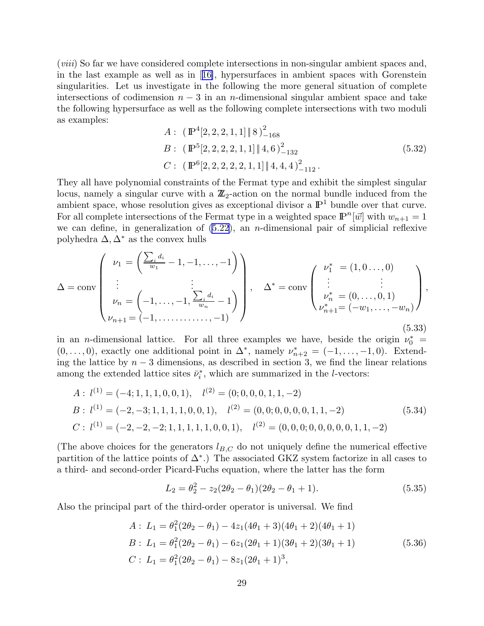<span id="page-29-0"></span>(viii) So far we have considered complete intersections in non-singular ambient spaces and, in the last example as well as in[[16\]](#page-48-0), hypersurfaces in ambient spaces with Gorenstein singularities. Let us investigate in the following the more general situation of complete intersections of codimension  $n-3$  in an n-dimensional singular ambient space and take the following hypersurface as well as the following complete intersections with two moduli as examples:

$$
A: (\mathbb{P}^{4}[2, 2, 2, 1, 1] \| 8)_{-168}^{2}
$$
  
\n
$$
B: (\mathbb{P}^{5}[2, 2, 2, 2, 1, 1] \| 4, 6)_{-132}^{2}
$$
  
\n
$$
C: (\mathbb{P}^{6}[2, 2, 2, 2, 2, 1, 1] \| 4, 4, 4)_{-112}^{2}.
$$
\n
$$
(5.32)
$$

They all have polynomial constraints of the Fermat type and exhibit the simplest singular locus, namely a singular curve with a  $\mathbb{Z}_2$ -action on the normal bundle induced from the ambient space, whose resolution gives as exceptional divisor a  $\mathbb{P}^1$  bundle over that curve. For all complete intersections of the Fermat type in a weighted space  $\mathbb{P}^n[\vec{w}]$  with  $w_{n+1} = 1$ we can define, in generalization of  $(5.22)$ , an *n*-dimensional pair of simplicial reflexive polyhedra  $\Delta, \Delta^*$  as the convex hulls

$$
\Delta = \text{conv}\left(\begin{array}{c}\nu_1 = \left(\frac{\sum_i d_i}{w_1} - 1, -1, \dots, -1\right) \\ \vdots \\ \nu_n = \left(-1, \dots, -1, \frac{\sum_i d_i}{w_n} - 1\right) \\ \nu_{n+1} = \left(-1, \dots, \dots, -1\right)\end{array}\right), \quad \Delta^* = \text{conv}\left(\begin{array}{c}\nu_1^* = (1, 0 \dots, 0) \\ \vdots \\ \nu_n^* = (0, \dots, 0, 1) \\ \nu_{n+1}^* = \left(-w_1, \dots, -w_n\right)\end{array}\right),\tag{5.33}
$$

in an *n*-dimensional lattice. For all three examples we have, beside the origin  $\nu_0^*$  =  $(0, \ldots, 0)$ , exactly one additional point in  $\Delta^*$ , namely  $\nu_{n+2}^* = (-1, \ldots, -1, 0)$ . Extending the lattice by  $n-3$  dimensions, as described in section 3, we find the linear relations among the extended lattice sites  $\bar{\nu}_i^*$ , which are summarized in the *l*-vectors:

$$
A: l^{(1)} = (-4; 1, 1, 1, 0, 0, 1), l^{(2)} = (0; 0, 0, 0, 1, 1, -2)
$$
  
\n
$$
B: l^{(1)} = (-2, -3; 1, 1, 1, 1, 0, 0, 1), l^{(2)} = (0, 0; 0, 0, 0, 0, 1, 1, -2)
$$
  
\n
$$
C: l^{(1)} = (-2, -2, -2; 1, 1, 1, 1, 1, 0, 0, 1), l^{(2)} = (0, 0, 0; 0, 0, 0, 0, 1, 1, -2)
$$
  
\n(5.34)

(The above choices for the generators  $l_{B,C}$  do not uniquely define the numerical effective partition of the lattice points of  $\Delta^*$ .) The associated GKZ system factorize in all cases to a third- and second-order Picard-Fuchs equation, where the latter has the form

$$
L_2 = \theta_2^2 - z_2(2\theta_2 - \theta_1)(2\theta_2 - \theta_1 + 1). \tag{5.35}
$$

Also the principal part of the third-order operator is universal. We find

$$
A: L_1 = \theta_1^2 (2\theta_2 - \theta_1) - 4z_1 (4\theta_1 + 3)(4\theta_1 + 2)(4\theta_1 + 1)
$$
  
\n
$$
B: L_1 = \theta_1^2 (2\theta_2 - \theta_1) - 6z_1 (2\theta_1 + 1)(3\theta_1 + 2)(3\theta_1 + 1)
$$
  
\n
$$
C: L_1 = \theta_1^2 (2\theta_2 - \theta_1) - 8z_1 (2\theta_1 + 1)^3,
$$
\n(5.36)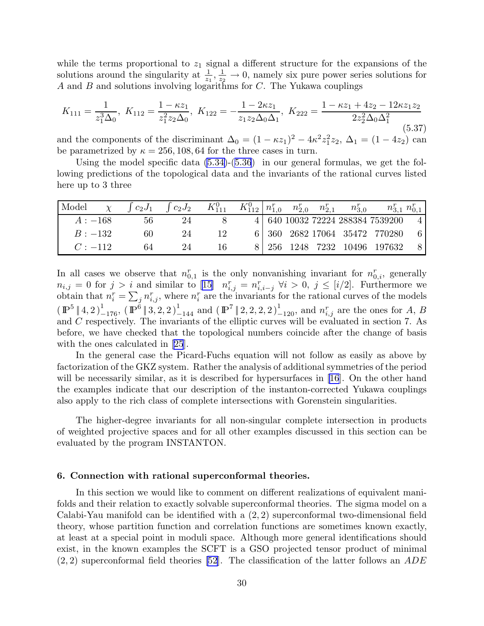<span id="page-30-0"></span>while the terms proportional to  $z_1$  signal a different structure for the expansions of the solutions around the singularity at  $\frac{1}{z_1}, \frac{1}{z_2} \to 0$ , namely six pure power series solutions for A and B and solutions involving logarithms for  $C$ . The Yukawa couplings

$$
K_{111} = \frac{1}{z_1^3 \Delta_0}, \ K_{112} = \frac{1 - \kappa z_1}{z_1^2 z_2 \Delta_0}, \ K_{122} = -\frac{1 - 2\kappa z_1}{z_1 z_2 \Delta_0 \Delta_1}, \ K_{222} = \frac{1 - \kappa z_1 + 4z_2 - 12\kappa z_1 z_2}{2z_2^2 \Delta_0 \Delta_1^2}
$$
(5.37)

and the components of the discriminant  $\Delta_0 = (1 - \kappa z_1)^2 - 4\kappa^2 z_1^2 z_2$ ,  $\Delta_1 = (1 - 4z_2)$  can be parametrized by  $\kappa = 256, 108, 64$  for the three cases in turn.

Using the model specific data [\(5.34\)](#page-29-0)-([5.36](#page-29-0)) in our general formulas, we get the following predictions of the topological data and the invariants of the rational curves listed here up to 3 three

| Model     | $c_2J_1$ |              | $\int c_2 J_2$ $K_{111}^0$ | $K_{112}^0 \begin{bmatrix} n_{1,0}^r & n_{2,0}^r & n_{2,1}^r \end{bmatrix}$ |  | $n_{3.0}^r$ |                                    | $n_{31}^r n_{01}^r$ |
|-----------|----------|--------------|----------------------------|-----------------------------------------------------------------------------|--|-------------|------------------------------------|---------------------|
| $A: -168$ | bb       |              |                            |                                                                             |  |             | 4 640 10032 72224 288384 7539200 4 |                     |
| $B: -132$ | 60       | 24           | 12                         |                                                                             |  |             | 6 360 2682 17064 35472 770280 6    |                     |
| $C: -112$ | 64       | $24^{\circ}$ |                            |                                                                             |  |             | 8   256 1248 7232 10496 197632 8   |                     |

In all cases we observe that  $n_{0,1}^r$  is the only nonvanishing invariant for  $n_{0,i}^r$ , generally  $n_{i,j} = 0$  for  $j > i$  and similar to [\[15](#page-48-0)]  $n_{i,j}^r = n_{i,i-j}^r \forall i > 0, j \leq [i/2]$ . Furthermore we obtain that  $n_i^r = \sum_j n_{i,j}^r$ , where  $n_i^r$  are the invariants for the rational curves of the models  $(\mathbb{P}^{5} | 4, 2)_{-176}^{1}$ ,  $(\mathbb{P}^{6} | 3, 2, 2)_{-144}^{1}$  and  $(\mathbb{P}^{7} | 2, 2, 2, 2)_{-120}^{1}$ , and  $n_{i,j}^{r}$  are the ones for A, B and C respectively. The invariants of the elliptic curves will be evaluated in section 7. As before, we have checked that the topological numbers coincide after the change of basis with the ones calculated in [\[25](#page-49-0)].

In the general case the Picard-Fuchs equation will not follow as easily as above by factorization of the GKZ system. Rather the analysis of additional symmetries of the period will be necessarily similar, as it is described for hypersurfaces in [\[16](#page-48-0)]. On the other hand the examples indicate that our description of the instanton-corrected Yukawa couplings also apply to the rich class of complete intersections with Gorenstein singularities.

The higher-degree invariants for all non-singular complete intersection in products of weighted projective spaces and for all other examples discussed in this section can be evaluated by the program INSTANTON.

## 6. Connection with rational superconformal theories.

In this section we would like to comment on different realizations of equivalent manifolds and their relation to exactly solvable superconformal theories. The sigma model on a Calabi-Yau manifold can be identified with a (2, 2) superconformal two-dimensional field theory, whose partition function and correlation functions are sometimes known exactly, at least at a special point in moduli space. Although more general identifications should exist, in the known examples the SCFT is a GSO projected tensor product of minimal  $(2, 2)$  superconformal field theories [\[52](#page-50-0)]. The classification of the latter follows an ADE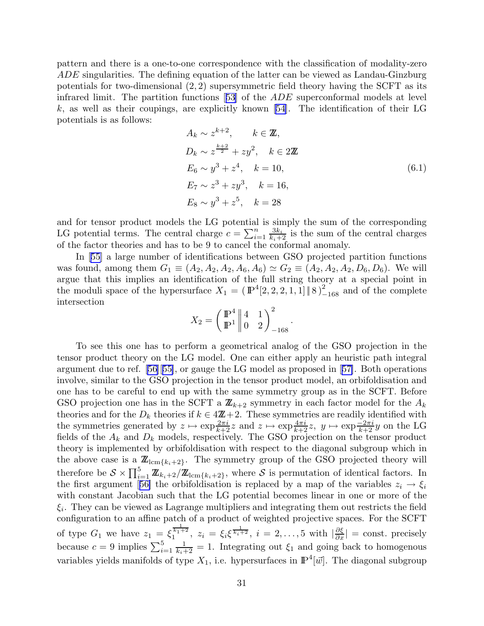pattern and there is a one-to-one correspondence with the classification of modality-zero ADE singularities. The defining equation of the latter can be viewed as Landau-Ginzburg potentials for two-dimensional  $(2, 2)$  supersymmetric field theory having the SCFT as its infrared limit. The partition functions[[53\]](#page-50-0) of the ADE superconformal models at level k, as well as their coupings, are explicitly known  $[54]$ . The identification of their LG potentials is as follows:

$$
A_k \sim z^{k+2}, \qquad k \in \mathbb{Z},
$$
  
\n
$$
D_k \sim z^{\frac{k+2}{2}} + zy^2, \qquad k \in 2\mathbb{Z}
$$
  
\n
$$
E_6 \sim y^3 + z^4, \qquad k = 10,
$$
  
\n
$$
E_7 \sim z^3 + zy^3, \qquad k = 16,
$$
  
\n
$$
E_8 \sim y^3 + z^5, \qquad k = 28
$$
  
\n(6.1)

and for tensor product models the LG potential is simply the sum of the corresponding LG potential terms. The central charge  $c = \sum_{i=1}^{n}$  $\frac{3k_i}{k_i+2}$  is the sum of the central charges of the factor theories and has to be 9 to cancel the conformal anomaly.

In[[55\]](#page-50-0) a large number of identifications between GSO projected partition functions was found, among them  $G_1 \equiv (A_2, A_2, A_3, A_6, A_6) \simeq G_2 \equiv (A_2, A_2, A_2, D_6, D_6)$ . We will argue that this implies an identification of the full string theory at a special point in the moduli space of the hypersurface  $X_1 = (\mathbb{P}^4[2, 2, 2, 1, 1] \| 8)_{-168}^2$  and of the complete intersection

$$
X_2 = \left(\begin{array}{c|cc} \mathbb{P}^4 & 4 & 1 \\ \mathbb{P}^1 & 0 & 2 \end{array}\right)_{-168}^2.
$$

To see this one has to perform a geometrical analog of the GSO projection in the tensor product theory on the LG model. One can either apply an heuristic path integral argument due to ref.[[56\]](#page-50-0)[[55\]](#page-50-0), or gauge the LG model as proposed in[[57\]](#page-50-0). Both operations involve, similar to the GSO projection in the tensor product model, an orbifoldisation and one has to be careful to end up with the same symmetry group as in the SCFT. Before GSO projection one has in the SCFT a  $\mathbb{Z}_{k+2}$  symmetry in each factor model for the  $A_k$ theories and for the  $D_k$  theories if  $k \in 4\mathbb{Z}+2$ . These symmetries are readily identified with the symmetries generated by  $z \mapsto \exp\frac{2\pi i}{k+2}z$  and  $z \mapsto \exp\frac{4\pi i}{k+2}z$ ,  $y \mapsto \exp\frac{-2\pi i}{k+2}y$  on the LG fields of the  $A_k$  and  $D_k$  models, respectively. The GSO projection on the tensor product theory is implemented by orbifoldisation with respect to the diagonal subgroup which in the above case is a  $\mathbb{Z}_{lcm{k_i+2}}$ . The symmetry group of the GSO projected theory will therefore be  $S \times \prod_{i=1}^5 \mathbb{Z}_{k_i+2}/\mathbb{Z}_{\text{lcm}\{k_i+2\}}$ , where S is permutation of identical factors. In thefirst argument [[56\]](#page-50-0) the orbifoldisation is replaced by a map of the variables  $z_i \rightarrow \xi_i$ with constant Jacobian such that the LG potential becomes linear in one or more of the  $\xi_i$ . They can be viewed as Lagrange multipliers and integrating them out restricts the field configuration to an affine patch of a product of weighted projective spaces. For the SCFT of type  $G_1$  we have  $z_1 = \xi_1^{\frac{1}{k_1+2}}$ ,  $z_i = \xi_i \xi_{\frac{1}{k_i+2}}$ ,  $i = 2, ..., 5$  with  $|\frac{\partial \xi}{\partial x}|$  = const. precisely because  $c = 9$  implies  $\sum_{i=1}^{5}$  $\frac{1}{k_i+2} = 1$ . Integrating out  $\xi_1$  and going back to homogenous variables yields manifolds of type  $X_1$ , i.e. hypersurfaces in  $\mathbb{P}^4[\vec{w}]$ . The diagonal subgroup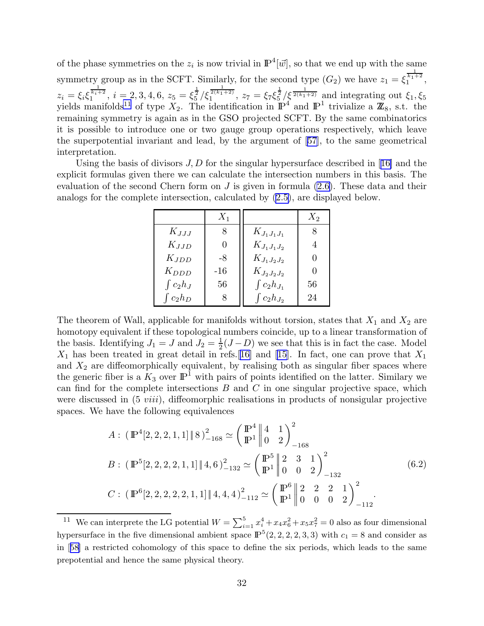<span id="page-32-0"></span>of the phase symmetries on the  $z_i$  is now trivial in  $\mathbb{P}^4[\vec{w}]$ , so that we end up with the same symmetry group as in the SCFT. Similarly, for the second type  $(G_2)$  we have  $z_1 = \xi_1^{\frac{1}{k_1+2}}$ ,  $z_i = \xi_i \xi_1^{\frac{1}{k_i+2}}, i = 2, 3, 4, 6, z_5 = \xi_5^{\frac{1}{2}}/\xi_1^{\frac{1}{2(k_1+2)}}, z_7 = \xi_7 \xi_5^{\frac{1}{2}}/\xi^{\frac{1}{2(k_1+2)}}$  and integrating out  $\xi_1, \xi_5$ yields manifolds<sup>11</sup> of type  $X_2$ . The identification in  $\mathbb{P}^4$  and  $\mathbb{P}^1$  trivialize a  $\mathbb{Z}_8$ , s.t. the remaining symmetry is again as in the GSO projected SCFT. By the same combinatorics it is possible to introduce one or two gauge group operations respectively, which leave the superpotential invariant and lead, by the argument of[[57\]](#page-50-0), to the same geometrical interpretation.

Usingthe basis of divisors  $J, D$  for the singular hypersurface described in [[16\]](#page-48-0) and the explicit formulas given there we can calculate the intersection numbers in this basis. The evaluation of the second Chern form on  $J$  is given in formula  $(2.6)$ . These data and their analogs for the complete intersection, calculated by [\(2.5\)](#page-3-0), are displayed below.

|                | $X_1$    |                    | $X_2$ |
|----------------|----------|--------------------|-------|
| $K_{JJJ}$      | 8        | $K_{J_1J_1J_1}$    | 8     |
| $K_{JJD}$      | $\theta$ | $K_{J_1J_1J_2}$    | 4     |
| $K_{JDD}$      | -8       | $K_{J_1J_2J_2}$    | 0     |
| $K_{DDD}$      | $-16$    | $K_{J_2J_2J_2}$    | 0     |
| $\int c_2 h_J$ | 56       | $\int c_2 h_{J_1}$ | 56    |
| $\int c_2 h_D$ | 8        | $\int c_2 h_{J_2}$ | 24    |

The theorem of Wall, applicable for manifolds without torsion, states that  $X_1$  and  $X_2$  are homotopy equivalent if these topological numbers coincide, up to a linear transformation of the basis. Identifying  $J_1 = J$  and  $J_2 = \frac{1}{2}$  $\frac{1}{2}(J-D)$  we see that this is in fact the case. Model  $X_1$  has been treated in great detail in refs. [[16\]](#page-48-0) and [\[15](#page-48-0)]. In fact, one can prove that  $X_1$ and  $X_2$  are diffeomorphically equivalent, by realising both as singular fiber spaces where the generic fiber is a  $K_3$  over  $\mathbb{P}^1$  with pairs of points identified on the latter. Similary we can find for the complete intersections  $B$  and  $C$  in one singular projective space, which were discussed in  $(5 \text{ viii})$ , diffeomorphic realisations in products of nonsigular projective spaces. We have the following equivalences

$$
A: (\mathbb{P}^{4}[2, 2, 2, 1, 1] \|8)^{2}_{-168} \simeq \left(\frac{\mathbb{P}^{4}}{\mathbb{P}^{1}} \|0\|^{4}_{0} 1\right)^{2}_{-168}
$$
  
\n
$$
B: (\mathbb{P}^{5}[2, 2, 2, 2, 1, 1] \|4, 6)^{2}_{-132} \simeq \left(\frac{\mathbb{P}^{5}}{\mathbb{P}^{1}} \|0\|^{2}_{0} 0 1\right)^{2}_{-132}
$$
  
\n
$$
C: (\mathbb{P}^{6}[2, 2, 2, 2, 2, 1, 1] \|4, 4, 4)^{2}_{-112} \simeq \left(\frac{\mathbb{P}^{6}}{\mathbb{P}^{1}} \|0\|^{2}_{0} 0 0 2\right)^{2}_{-112}.
$$
  
\n(6.2)

<sup>&</sup>lt;sup>11</sup> We can interprete the LG potential  $W = \sum_{i=1}^{5} x_i^4 + x_4 x_6^2 + x_5 x_7^2 = 0$  also as four dimensional hypersurface in the five dimensional ambient space  $\mathbb{P}^{5}(2, 2, 2, 2, 3, 3)$  with  $c_1 = 8$  and consider as in[[58\]](#page-50-0) a restricted cohomology of this space to define the six periods, which leads to the same prepotential and hence the same physical theory.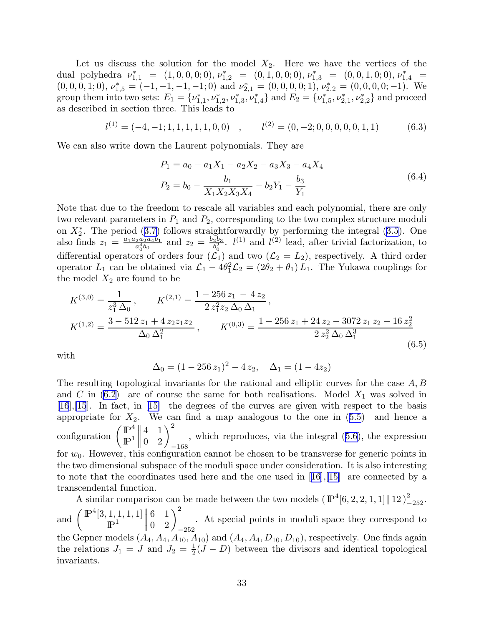Let us discuss the solution for the model  $X_2$ . Here we have the vertices of the dual polyhedra  $\nu_{1,1}^* = (1, 0, 0, 0, 0), \nu_{1,2}^* = (0, 1, 0, 0, 0), \nu_{1,3}^* = (0, 0, 1, 0, 0), \nu_{1,4}^* =$  $(0, 0, 0, 1; 0), \nu_{1,5}^* = (-1, -1, -1, -1; 0)$  and  $\nu_{2,1}^* = (0, 0, 0, 0; 1), \nu_{2,2}^* = (0, 0, 0, 0; -1)$ . We group them into two sets:  $E_1 = \{v_{1,1}^*, v_{1,2}^*, v_{1,3}^*, v_{1,4}^*\}$  and  $E_2 = \{v_{1,5}^*, v_{2,1}^*, v_{2,2}^*\}$  and proceed as described in section three. This leads to

$$
l^{(1)} = (-4, -1; 1, 1, 1, 1, 1, 0, 0) , \qquad l^{(2)} = (0, -2; 0, 0, 0, 0, 0, 1, 1) \tag{6.3}
$$

We can also write down the Laurent polynomials. They are

$$
P_1 = a_0 - a_1 X_1 - a_2 X_2 - a_3 X_3 - a_4 X_4
$$
  

$$
P_2 = b_0 - \frac{b_1}{X_1 X_2 X_3 X_4} - b_2 Y_1 - \frac{b_3}{Y_1}
$$
 (6.4)

Note that due to the freedom to rescale all variables and each polynomial, there are only two relevant parameters in  $P_1$  and  $P_2$ , corresponding to the two complex structure moduli on $X_2^*$ . The period ([3.7\)](#page-6-0) follows straightforwardly by performing the integral ([3.5](#page-5-0)). One also finds  $z_1 = \frac{a_1 a_2 a_2 a_4 b_1}{a_2^4 b_0}$  $\frac{a_2a_2a_4b_1}{a_0^4b_0}$  and  $z_2 = \frac{b_2b_3}{b_0^2}$  $\frac{2b_3}{b_0^2}$ .  $l^{(1)}$  and  $l^{(2)}$  lead, after trivial factorization, to differential operators of orders four  $(\tilde{\mathcal{L}_1})$  and two  $(\mathcal{L}_2 = L_2)$ , respectively. A third order operator  $L_1$  can be obtained via  $\mathcal{L}_1 - 4\theta_1^2 \mathcal{L}_2 = (2\theta_2 + \theta_1) L_1$ . The Yukawa couplings for the model  $X_2$  are found to be

$$
K^{(3,0)} = \frac{1}{z_1^3 \Delta_0}, \qquad K^{(2,1)} = \frac{1 - 256 z_1 - 4 z_2}{2 z_1^2 z_2 \Delta_0 \Delta_1},
$$
  
\n
$$
K^{(1,2)} = \frac{3 - 512 z_1 + 4 z_2 z_1 z_2}{\Delta_0 \Delta_1^2}, \qquad K^{(0,3)} = \frac{1 - 256 z_1 + 24 z_2 - 3072 z_1 z_2 + 16 z_2^2}{2 z_2^2 \Delta_0 \Delta_1^3}
$$
\n
$$
(6.5)
$$

with

$$
\Delta_0 = (1 - 256 z_1)^2 - 4 z_2, \quad \Delta_1 = (1 - 4z_2)
$$

The resulting topological invariants for the rational and elliptic curves for the case  $A, B$ and C in  $(6.2)$  are of course the same for both realisations. Model  $X_1$  was solved in [\[16](#page-48-0)],[\[15](#page-48-0)]. In fact, in[[15\]](#page-48-0) the degrees of the curves are given with respect to the basis appropriatefor  $X_2$ . We can find a map analogous to the one in  $(5.5)$  $(5.5)$  $(5.5)$  and hence a configuration  $\begin{pmatrix} \mathbb{P}^4 \\ \mathbb{P}^1 \end{pmatrix}$  $\mathbb{P}^1$  $\begin{array}{c} \hline \end{array}$  $\mathbf{L}$  $\begin{pmatrix} 4 & 1 \\ 0 & 2 \end{pmatrix}_{-168}^2$ , which reproduces, via the integral([5.6](#page-18-0)), the expression for  $w_0$ . However, this configuration cannot be chosen to be transverse for generic points in the two dimensional subspace of the moduli space under consideration. It is also interesting tonote that the coordinates used here and the one used in  $[16], [15]$  $[16], [15]$  $[16], [15]$  $[16], [15]$  are connected by a transcendental function.

A similar comparison can be made between the two models  $(\mathbb{P}^4[6, 2, 2, 1, 1] \| 12)_{-252}^2$ . and  $\left( \frac{\mathbb{P}^4[3,1,1,1,1]}{\mathbb{P}^1} \right)$  $\mathbb{P}^1$  $\begin{array}{c} \hline \end{array}$   $\begin{pmatrix} 6 & 1 \ 0 & 2 \end{pmatrix}_{-252}^2$ . At special points in moduli space they correspond to the Gepner models  $(A_4, A_4, A_{10}, A_{10})$  and  $(A_4, A_4, D_{10}, D_{10})$ , respectively. One finds again the relations  $J_1 = J$  and  $J_2 = \frac{1}{2}$  $\frac{1}{2}(J - D)$  between the divisors and identical topological invariants.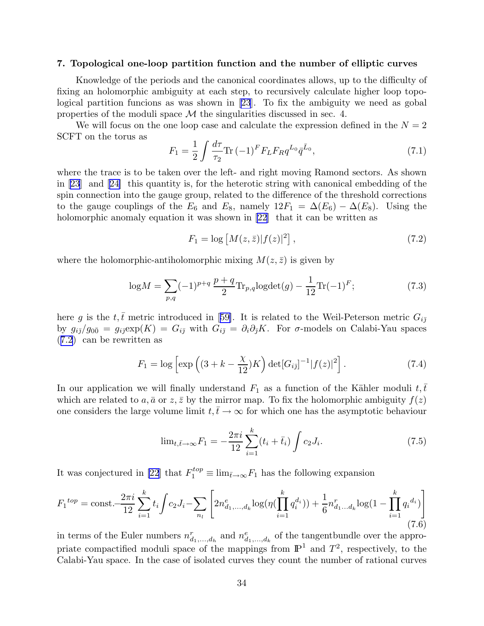#### <span id="page-34-0"></span>7. Topological one-loop partition function and the number of elliptic curves

Knowledge of the periods and the canonical coordinates allows, up to the difficulty of fixing an holomorphic ambiguity at each step, to recursively calculate higher loop topological partition funcions as was shown in [\[23](#page-49-0)]. To fix the ambiguity we need as gobal properties of the moduli space  $\mathcal M$  the singularities discussed in sec. 4.

We will focus on the one loop case and calculate the expression defined in the  $N = 2$ SCFT on the torus as

$$
F_1 = \frac{1}{2} \int \frac{d\tau}{\tau_2} \text{Tr} \, (-1)^F F_L F_R q^{L_0} \bar{q}^{\bar{L}_0},\tag{7.1}
$$

where the trace is to be taken over the left- and right moving Ramond sectors. As shown in [\[23](#page-49-0)] and[[24\]](#page-49-0) this quantity is, for the heterotic string with canonical embedding of the spin connection into the gauge group, related to the difference of the threshold corrections to the gauge couplings of the  $E_6$  and  $E_8$ , namely  $12F_1 = \Delta(E_6) - \Delta(E_8)$ . Using the holomorphicanomaly equation it was shown in [[22\]](#page-49-0) that it can be written as

$$
F_1 = \log \left[ M(z, \bar{z}) |f(z)|^2 \right],\tag{7.2}
$$

where the holomorphic-antiholomorphic mixing  $M(z, \bar{z})$  is given by

$$
\log M = \sum_{p,q} (-1)^{p+q} \frac{p+q}{2} \text{Tr}_{p,q} \log \det(g) - \frac{1}{12} \text{Tr}(-1)^F; \tag{7.3}
$$

hereg is the t,t $\bar{t}$  metric introduced in [[59\]](#page-50-0). It is related to the Weil-Peterson metric  $G_{i\bar{j}}$ by  $g_{i\bar{j}}/g_{0\bar{0}} = g_{i\bar{j}} \exp(K) = G_{i\bar{j}}$  with  $G_{i\bar{j}} = \partial_i \partial_{\bar{j}}K$ . For  $\sigma$ -models on Calabi-Yau spaces (7.2) can be rewritten as

$$
F_1 = \log \left[ \exp \left( (3 + k - \frac{\chi}{12}) K \right) \det[G_{i\bar{j}}]^{-1} |f(z)|^2 \right].
$$
 (7.4)

In our application we will finally understand  $F_1$  as a function of the Kähler moduli  $t, \bar{t}$ which are related to a,  $\bar{a}$  or  $z, \bar{z}$  by the mirror map. To fix the holomorphic ambiguity  $f(z)$ one considers the large volume limit  $t, \bar{t} \to \infty$  for which one has the asymptotic behaviour

$$
\lim_{t,\bar{t}\to\infty}F_1 = -\frac{2\pi i}{12}\sum_{i=1}^k (t_i + \bar{t}_i) \int c_2 J_i.
$$
 (7.5)

It was conjectured in [\[22](#page-49-0)] that  $F_1^{top} \equiv \lim_{\bar{t} \to \infty} F_1$  has the following expansion

$$
F_1^{top} = \text{const.} - \frac{2\pi i}{12} \sum_{i=1}^k t_i \int c_2 J_i - \sum_{n_l} \left[ 2n_{d_1,\dots,d_k}^e \log(\eta(\prod_{i=1}^k q_i^{d_i})) + \frac{1}{6} n_{d_1\dots d_k}^r \log(1 - \prod_{i=1}^k q_i^{d_i}) \right] \tag{7.6}
$$

in terms of the Euler numbers  $n_{d_1,...,d_h}^r$  and  $n_{d_1,...,d_k}^e$  of the tangentbundle over the appropriate compactified moduli space of the mappings from  $\mathbb{P}^1$  and  $T^2$ , respectively, to the Calabi-Yau space. In the case of isolated curves they count the number of rational curves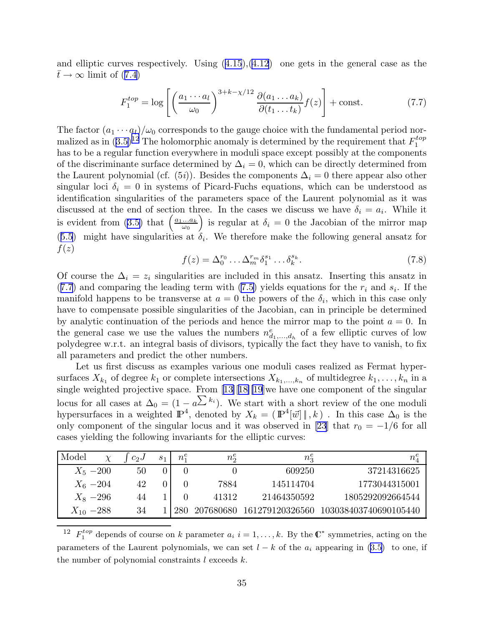<span id="page-35-0"></span>and elliptic curves respectively. Using([4.15](#page-13-0)),([4.12](#page-12-0)) one gets in the general case as the  $\bar{t} \to \infty$  $\bar{t} \to \infty$  $\bar{t} \to \infty$  limit of ([7.4](#page-34-0))

$$
F_1^{top} = \log \left[ \left( \frac{a_1 \cdots a_l}{\omega_0} \right)^{3+k-\chi/12} \frac{\partial (a_1 \cdots a_k)}{\partial (t_1 \cdots t_k)} f(z) \right] + \text{const.}
$$
 (7.7)

The factor  $(a_1 \cdots a_l)/\omega_0$  corresponds to the gauge choice with the fundamental period normalizedas in  $(3.5)^{12}$  $(3.5)^{12}$  $(3.5)^{12}$  The holomorphic anomaly is determined by the requirement that  $F_1^{top}$ 1 has to be a regular function everywhere in moduli space except possibly at the components of the discriminante surface determined by  $\Delta_i = 0$ , which can be directly determined from the Laurent polynomial (cf.  $(5i)$ ). Besides the components  $\Delta_i = 0$  there appear also other singular loci  $\delta_i = 0$  in systems of Picard-Fuchs equations, which can be understood as identification singularities of the parameters space of the Laurent polynomial as it was discussed at the end of section three. In the cases we discuss we have  $\delta_i = a_i$ . While it is evident from [\(3.5\)](#page-5-0) that  $\left(\frac{a_1...a_k}{a_1} \right)$  $\omega_0$ ) is regular at  $\delta_i = 0$  the Jacobian of the mirror map  $(5.5)$  $(5.5)$  $(5.5)$  might have singularities at  $\delta_i$ . We therefore make the following general ansatz for  $f(z)$ 

$$
f(z) = \Delta_0^{r_0} \dots \Delta_m^{r_m} \delta_1^{s_1} \dots \delta_k^{s_k}.
$$
 (7.8)

Of course the  $\Delta_i = z_i$  singularities are included in this ansatz. Inserting this ansatz in  $(7.7)$  and comparing the leading term with  $(7.5)$  yields equations for the  $r_i$  and  $s_i$ . If the manifold happens to be transverse at  $a = 0$  the powers of the  $\delta_i$ , which in this case only have to compensate possible singularities of the Jacobian, can in principle be determined by analytic continuation of the periods and hence the mirror map to the point  $a = 0$ . In the general case we use the values the numbers  $n_{d_1,...,d_h}^e$  of a few elliptic curves of low polydegree w.r.t. an integral basis of divisors, typically the fact they have to vanish, to fix all parameters and predict the other numbers.

Let us first discuss as examples various one moduli cases realized as Fermat hypersurfaces  $X_{k_1}$  of degree  $k_1$  or complete intersections  $X_{k_1,\ldots,k_n}$  of multidegree  $k_1,\ldots,k_n$  in a singleweighted projective space. From [[13\]](#page-48-0)[[18\]\[19](#page-48-0)]we have one component of the singular locus for all cases at  $\Delta_0 = (1 - a^{\sum k_i})$ . We start with a short review of the one moduli hypersurfaces in a weighted  $\mathbb{P}^4$ , denoted by  $X_k = (\mathbb{P}^4[\vec{w}] \mid, k)$ . In this case  $\Delta_0$  is the only component of the singular locus and it was observed in [\[23](#page-49-0)] that  $r_0 = -1/6$  for all cases yielding the following invariants for the elliptic curves:

| Model          | $\mathcal V$ | $c_2$ | S <sub>1</sub> | $n_1^e$ | $n_2^e$   | $n_{\rm \bar{3}}$ |                       |
|----------------|--------------|-------|----------------|---------|-----------|-------------------|-----------------------|
|                | $X_5 - 200$  | 50    |                |         |           | 609250            | 37214316625           |
|                | $X_6 - 204$  | 42    |                |         | 7884      | 145114704         | 1773044315001         |
|                | $X_8 - 296$  | 44    |                |         | 41312     | 21464350592       | 1805292092664544      |
| $X_{10} - 288$ |              | 34    |                |         | 207680680 | 161279120326560   | 103038403740690105440 |

<sup>12</sup>  $F_1^{top}$  depends of course on k parameter  $a_i$  i = 1, ..., k. By the  $\mathbb{C}^*$  symmetries, acting on the parameters of the Laurent polynomials, we can set  $l - k$  of the  $a_i$  appearing in ([3.5\)](#page-5-0) to one, if the number of polynomial constraints  $l$  exceeds  $k$ .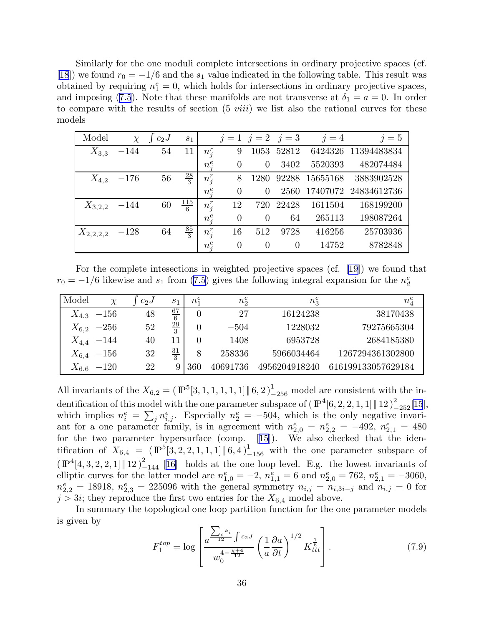Similarly for the one moduli complete intersections in ordinary projective spaces (cf. [\[18](#page-48-0)]) we found  $r_0 = -1/6$  and the  $s_1$  value indicated in the following table. This result was obtained by requiring  $n_1^e = 0$ , which holds for intersections in ordinary projective spaces, and imposing [\(7.5](#page-34-0)). Note that these manifolds are not transverse at  $\delta_1 = a = 0$ . In order to compare with the results of section  $(5 \text{ viii})$  we list also the rational curves for these models

| Model         | $\chi$ | $c_2$ J | $s_1$           |         |                | $j = 1$ $j = 2$ $j = 3$ |          | $j=4$    | $j=5$                |
|---------------|--------|---------|-----------------|---------|----------------|-------------------------|----------|----------|----------------------|
| $X_{3,3}$     | $-144$ | 54      | 11              | $n_i^r$ | 9              | 1053                    | 52812    | 6424326  | 11394483834          |
|               |        |         |                 | $n_i^e$ | $\theta$       | $\overline{0}$          | 3402     | 5520393  | 482074484            |
| $X_{4,2}$     | $-176$ | 56      | $\frac{28}{3}$  | $n_i^r$ | 8              | 1280                    | 92288    | 15655168 | 3883902528           |
|               |        |         |                 | $n_i^e$ | $\overline{0}$ | $\Omega$                | 2560     |          | 17407072 24834612736 |
| $X_{3,2,2}$   | $-144$ | 60      | $\frac{115}{6}$ | $n_i^r$ | 12             | 720                     | 22428    | 1611504  | 168199200            |
|               |        |         |                 | $n_i^e$ | $\theta$       | $\Omega$                | 64       | 265113   | 198087264            |
| $X_{2,2,2,2}$ | $-128$ | 64      | $\frac{85}{3}$  | $n_i^r$ | 16             | 512                     | 9728     | 416256   | 25703936             |
|               |        |         |                 | $n_i^e$ | $\overline{0}$ | $\theta$                | $\theta$ | 14752    | 8782848              |

For the complete intesections in weighted projective spaces (cf. [\[19](#page-48-0)]) we found that  $r_0 = -1/6$  $r_0 = -1/6$  $r_0 = -1/6$  likewise and  $s_1$  from ([7.5](#page-34-0)) gives the following integral expansion for the  $n_d^e$ 

| Model     |                | $c_2$ | $s_1$          | $n_1^e$        | $n_2^e$  | $n_3^e$       | $n_4^e$            |
|-----------|----------------|-------|----------------|----------------|----------|---------------|--------------------|
| $X_{4,3}$ | $-156$         | 48    | $\frac{67}{6}$ | $\overline{0}$ | 27       | 16124238      | 38170438           |
|           | $X_{6,2}$ -256 | 52    | $\frac{29}{3}$ | $\overline{0}$ | $-504$   | 1228032       | 79275665304        |
|           | $X_{4,4}$ -144 | 40    |                | 0              | 1408     | 6953728       | 2684185380         |
|           | $X_{6,4}$ -156 | 32    | $\frac{31}{3}$ | 8              | 258336   | 5966034464    | 1267294361302800   |
| $X_{6,6}$ | $-120$         | 22    | 9              | 360            | 40691736 | 4956204918240 | 616199133057629184 |

All invariants of the  $X_{6,2} = (\mathbb{P}^5[3,1,1,1,1,1] \| 6, 2)_{-256}^1$  model are consistent with the indentification of this model with the one parameter subspace of  $(\mathbb{P}^4[6, 2, 2, 1, 1] \| 12)_{-252}^2[15]$  $(\mathbb{P}^4[6, 2, 2, 1, 1] \| 12)_{-252}^2[15]$  $(\mathbb{P}^4[6, 2, 2, 1, 1] \| 12)_{-252}^2[15]$ , which implies  $n_i^e = \sum_j n_{i,j}^e$ . Especially  $n_2^e = -504$ , which is the only negative invariant for a one parameter family, is in agreement with  $n_{2,0}^e = n_{2,2}^e = -492$ ,  $n_{2,1}^e = 480$ for the two parameter hypersurface (comp.[[15\]](#page-48-0)). We also checked that the identification of  $X_{6,4} = (\mathbb{P}^{5}[3,2,2,1,1,1] \| 6,4)_{-156}^{1}$  with the one parameter subspace of  $(\mathbb{P}^4[4,3,2,2,1] \| 12)_{-144}^2$  [[16\]](#page-48-0) holds at the one loop level. E.g. the lowest invariants of elliptic curves for the latter model are  $n_{1,0}^e = -2$ ,  $n_{1,1}^e = 6$  and  $n_{2,0}^e = 762$ ,  $n_{2,1}^e = -3060$ ,  $n_{2,2}^e = 18918, n_{2,3}^e = 225096$  with the general symmetry  $n_{i,j} = n_{i,3i-j}$  and  $n_{i,j} = 0$  for  $j > 3i$ ; they reproduce the first two entries for the  $X_{6,4}$  model above.

In summary the topological one loop partition function for the one parameter models is given by

$$
F_1^{top} = \log \left[ \frac{a^{\frac{\sum_i k_i}{12}} \int c_2 J}{w_0^{4 - \frac{\chi + 4}{12}}} \left( \frac{1}{a} \frac{\partial a}{\partial t} \right)^{1/2} K_{ttt}^{\frac{1}{6}} \right].
$$
 (7.9)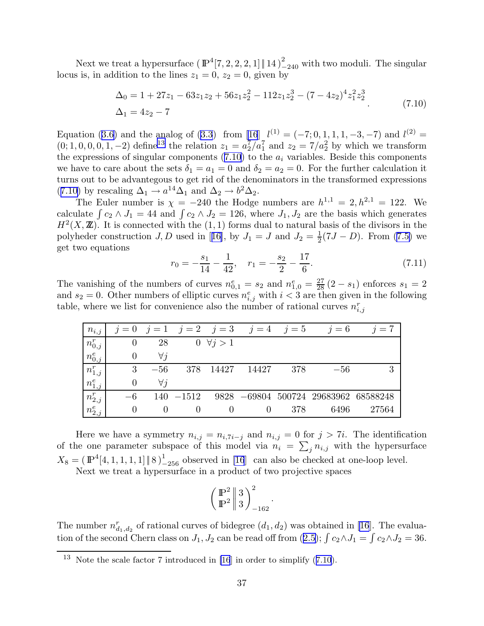Next we treat a hypersurface  $(\mathbb{P}^4[7, 2, 2, 2, 1] \| 14)_{-240}^2$  with two moduli. The singular locus is, in addition to the lines  $z_1 = 0$ ,  $z_2 = 0$ , given by

$$
\Delta_0 = 1 + 27z_1 - 63z_1z_2 + 56z_1z_2^2 - 112z_1z_2^3 - (7 - 4z_2)^4z_1^2z_2^3
$$
  
\n
$$
\Delta_1 = 4z_2 - 7
$$
\n(7.10)

Equation([3.6](#page-5-0)) and the analog of ([3.3](#page-5-0)) from [\[16](#page-48-0)]  $l^{(1)} = (-7, 0, 1, 1, 1, -3, -7)$  and  $l^{(2)} =$  $(0; 1, 0, 0, 0, 1, -2)$  define<sup>13</sup> the relation  $z_1 = a_2^7/a_1^7$  and  $z_2 = 7/a_2^2$  by which we transform the expressions of singular components  $(7.10)$  to the  $a_i$  variables. Beside this components we have to care about the sets  $\delta_1 = a_1 = 0$  and  $\delta_2 = a_2 = 0$ . For the further calculation it turns out to be advantegous to get rid of the denominators in the transformed expressions (7.10) by rescaling  $\Delta_1 \rightarrow a^{14} \Delta_1$  and  $\Delta_2 \rightarrow b^2 \Delta_2$ .

The Euler number is  $\chi = -240$  the Hodge numbers are  $h^{1,1} = 2, h^{2,1} = 122$ . We calculate  $\int c_2 \wedge J_1 = 44$  and  $\int c_2 \wedge J_2 = 126$ , where  $J_1, J_2$  are the basis which generates  $H<sup>2</sup>(X, \mathbb{Z})$ . It is connected with the  $(1, 1)$  forms dual to natural basis of the divisors in the polyhederconstruction  $J, D$  used in [[16\]](#page-48-0), by  $J_1 = J$  and  $J_2 = \frac{1}{2}$  $\frac{1}{2}(7J - D)$ . From  $(7.5)$  we get two equations

$$
r_0 = -\frac{s_1}{14} - \frac{1}{42}, \quad r_1 = -\frac{s_2}{2} - \frac{17}{6}.\tag{7.11}
$$

The vanishing of the numbers of curves  $n_{0,1}^e = s_2$  and  $n_{1,0}^e = \frac{27}{28}(2 - s_1)$  enforces  $s_1 = 2$ and  $s_2 = 0$ . Other numbers of elliptic curves  $n_{i,j}^e$  with  $i < 3$  are then given in the following table, where we list for convenience also the number of rational curves  $n_{i,j}^r$ 

| $n_{i,j}$   |          |             |              |                     | $j = 0$ $j = 1$ $j = 2$ $j = 3$ $j = 4$ $j = 5$ |     | $i = 6$                              | $i=7$ |
|-------------|----------|-------------|--------------|---------------------|-------------------------------------------------|-----|--------------------------------------|-------|
| $n_{0,j}^r$ | $\theta$ | 28          |              | $0 \ \forall j > 1$ |                                                 |     |                                      |       |
| $n_{0,j}^e$ |          | $\forall i$ |              |                     |                                                 |     |                                      |       |
| $n_{1,j}^r$ | 3        | $-56$       | 378          | 14427               | 14427                                           | 378 | $-56$                                | 3     |
| $n_{1,j}^e$ | $\theta$ | $\forall i$ |              |                     |                                                 |     |                                      |       |
| $n_{2,j}^r$ | $-6$     |             | $140 - 1512$ |                     |                                                 |     | 9828 -69804 500724 29683962 68588248 |       |
| $n_{2,j}^e$ | $\theta$ |             |              |                     |                                                 | 378 | 6496                                 | 27564 |

Here we have a symmetry  $n_{i,j} = n_{i,7i-j}$  and  $n_{i,j} = 0$  for  $j > 7i$ . The identification of the one parameter subspace of this model via  $n_i = \sum_j n_{i,j}$  with the hypersurface  $X_8 = (\mathbb{P}^4[4, 1, 1, 1, 1] \| 8)_{-256}^{1}$  observed in [\[16](#page-48-0)] can also be checked at one-loop level.

Next we treat a hypersurface in a product of two projective spaces

$$
\left(\frac{{\rm I \! P}^2}{{\rm I \! P}^2}\right\vert \stackrel{3}{3} \biggr)_{-162}^2
$$

.

The number  $n_{d_1,d_2}^r$  of rational curves of bidegree  $(d_1, d_2)$  was obtained in [\[16](#page-48-0)]. The evaluationof the second Chern class on  $J_1, J_2$  can be read off from  $(2.5)$  $(2.5)$  $(2.5)$ ;  $\int c_2 \wedge J_1 = \int c_2 \wedge J_2 = 36$ .

<sup>&</sup>lt;sup>13</sup> Note the scale factor 7 introduced in [\[16](#page-48-0)] in order to simplify  $(7.10)$ .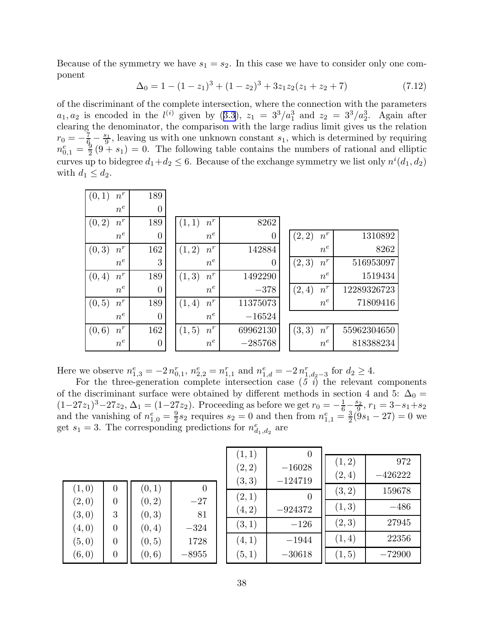Because of the symmetry we have  $s_1 = s_2$ . In this case we have to consider only one component

$$
\Delta_0 = 1 - (1 - z_1)^3 + (1 - z_2)^3 + 3z_1 z_2 (z_1 + z_2 + 7)
$$
\n(7.12)

of the discriminant of the complete intersection, where the connection with the parameters  $a_1, a_2$  $a_1, a_2$  $a_1, a_2$  is encoded in the  $l^{(i)}$  given by  $(3.3), z_1 = 3^3/a_1^3$  $(3.3), z_1 = 3^3/a_1^3$  $(3.3), z_1 = 3^3/a_1^3$  and  $z_2 = 3^3/a_2^3$ . Again after clearing the denominator, the comparison with the large radius limit gives us the relation  $r_0 = -\frac{7}{6} - \frac{s_1}{9}$  $\frac{s_1}{9}$ , leaving us with one unknown constant  $s_1$ , which is determined by requiring  $n_{0,1}^e=\frac{9}{2}$  $\frac{9}{2}(9 + s_1) = 0$ . The following table contains the numbers of rational and elliptic curves up to bidegree  $d_1 + d_2 \leq 6$ . Because of the exchange symmetry we list only  $n^{i}(d_1, d_2)$ with  $d_1 \leq d_2$ .

| (0,1)  | $n^r$ | 189              |                 |                |                              |             |
|--------|-------|------------------|-----------------|----------------|------------------------------|-------------|
|        | $n^e$ | $\theta$         |                 |                |                              |             |
| (0, 2) | $n^r$ | 189              | $n^r$<br>(1,1)  | 8262           |                              |             |
|        | $n^e$ | 0                | $n^e$           | $\overline{0}$ | $\boldsymbol{n}^r$<br>(2, 2) | 1310892     |
| (0, 3) | $n^r$ | 162              | $n^r$<br>(1,2)  | 142884         | $n^e$                        | 8262        |
|        | $n^e$ | 3                | $n^e$           | $\overline{0}$ | $n^r$<br>(2,3)               | 516953097   |
| (0, 4) | $n^r$ | 189              | $n^r$<br>(1, 3) | 1492290        | $n^e$                        | 1519434     |
|        | $n^e$ | $\boldsymbol{0}$ | $n^e$           | $-378$         | $n^r$<br>(2,4)               | 12289326723 |
| (0, 5) | $n^r$ | 189              | $n^r$<br>(1, 4) | 11375073       | $n^e$                        | 71809416    |
|        | $n^e$ | $\overline{0}$   | $n^e$           | $-16524$       |                              |             |
| (0,6)  | $n^r$ | 162              | $n^r$<br>(1,5)  | 69962130       | $n^r$<br>(3, 3)              | 55962304650 |
|        | $n^e$ | 0                | $n^e$           | $-285768$      | $n^e$                        | 818388234   |

Here we observe  $n_{1,3}^e = -2 n_{0,1}^r$ ,  $n_{2,2}^e = n_{1,1}^r$  and  $n_{1,d}^e = -2 n_{1,d_2-3}^r$  for  $d_2 \ge 4$ .

For the three-generation complete intersection case  $(5\ i)$  the relevant components of the discriminant surface were obtained by different methods in section 4 and 5:  $\Delta_0 =$  $(1-27z_1)^3-27z_2, \Delta_1=(1-27z_2).$  Proceeding as before we get  $r_0=-\frac{1}{6} - \frac{s_2}{9}$  $\frac{s_2}{9}, r_1 = 3 - s_1 + s_2$ and the vanishing of  $n_{1,0}^e = \frac{9}{2}$  $\frac{9}{2}s_2$  requires  $s_2=0$  and then from  $n_{1,1}^e=\frac{3}{2}$  $\frac{3}{2}(9s_1-27)=0$  we get  $s_1 = 3$ . The corresponding predictions for  $n_{d_1, d_2}^e$  are

| (1,0)  | $\overline{0}$   | (0,1)  |          |
|--------|------------------|--------|----------|
| (2,0)  | $\theta$         | (0, 2) | $-27\,$  |
| (3,0)  | 3                | (0, 3) | 81       |
| (4,0)  | 0                | (0, 4) | $-324\,$ |
| (5,0)  | 0                | (0, 5) | 1728     |
| (6, 0) | $\left( \right)$ | (0,6)  | 8955     |

| (1,1)            |                       |        |           |
|------------------|-----------------------|--------|-----------|
|                  |                       | (1, 2) | 972       |
| (2, 2)<br>(3, 3) | $-16028$<br>$-124719$ | (2,4)  | $-426222$ |
| (2,1)            |                       | (3,2)  | 159678    |
| (4, 2)           | $-924372$             | (1, 3) | $-486$    |
| (3,1)            | $-126$                | (2,3)  | 27945     |
| (4,1)            | $-1944$               | (1,4)  | 22356     |
| (5,1)            | $-30618$              | (1, 5) | $-72900$  |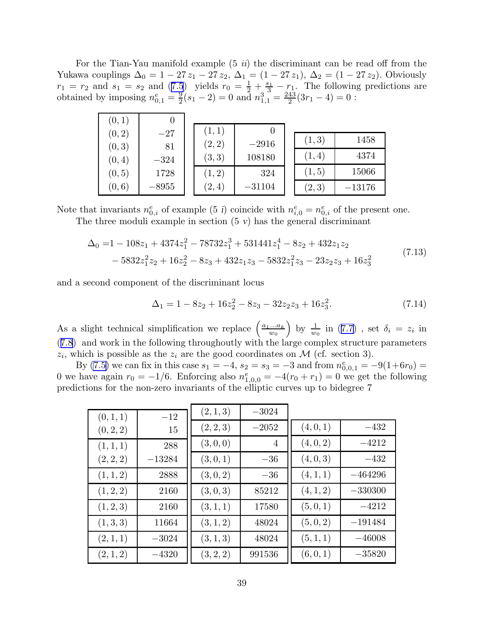For the Tian-Yau manifold example  $(5\,\mathrm{i}i)$  the discriminant can be read off from the Yukawa couplings  $\Delta_0 = 1 - 27 z_1 - 27 z_2$ ,  $\Delta_1 = (1 - 27 z_1)$ ,  $\Delta_2 = (1 - 27 z_2)$ . Obviously  $r_1 = r_2$  $r_1 = r_2$  $r_1 = r_2$  and  $s_1 = s_2$  and  $(7.5)$  $(7.5)$  $(7.5)$  yields  $r_0 = \frac{1}{2} + \frac{s_1}{3} - r_1$ . The following predictions are obtained by imposing  $n_{0,1}^e = \frac{9}{2}$  $\frac{9}{2}(s_1-2)=0$  and  $n_{1,1}^3=\frac{243}{2}$  $\frac{43}{2}(3r_1-4)=0$ :

| (0,1)            | O            |                  |                   |        |          |
|------------------|--------------|------------------|-------------------|--------|----------|
| (0, 2)           | $-27$        | (1,1)            |                   | (1, 3) | 1458     |
| (0, 3)<br>(0, 4) | 81<br>$-324$ | (2, 2)<br>(3, 3) | $-2916$<br>108180 | (1,4)  | 4374     |
| (0, 5)           | 1728         | (1, 2)           | 324               | (1, 5) | 15066    |
| (0,6)            | $-8955$      | (2,4)            | $-31104$          | (2,3)  | $-13176$ |

Note that invariants  $n_{0,i}^e$  of example (5 i) coincide with  $n_{i,0}^e = n_{0,i}^e$  of the present one.

The three moduli example in section  $(5 \text{ v})$  has the general discriminant

$$
\Delta_0 = 1 - 108z_1 + 4374z_1^2 - 78732z_1^3 + 531441z_1^4 - 8z_2 + 432z_1z_2
$$
  
- 5832z\_1^2z\_2 + 16z\_2^2 - 8z\_3 + 432z\_1z\_3 - 5832z\_1^2z\_3 - 23z\_2z\_3 + 16z\_3^2 (7.13)

and a second component of the discriminant locus

$$
\Delta_1 = 1 - 8z_2 + 16z_2^2 - 8z_3 - 32z_2z_3 + 16z_3^2. \tag{7.14}
$$

As a slight technical simplification we replace  $\left(\frac{a_1...a_k}{w_0}\right)$  $w_0$ by $\frac{1}{w_0}$  in ([7.7](#page-35-0)), set  $\delta_i = z_i$  in ([7.8](#page-35-0)) and work in the following throughoutly with the large complex structure parameters  $z_i$ , which is possible as the  $z_i$  are the good coordinates on M (cf. section 3).

By [\(7.5\)](#page-34-0) we can fix in this case  $s_1 = -4$ ,  $s_2 = s_3 = -3$  and from  $n_{0,0,1}^e = -9(1+6r_0) =$ 0 we have again  $r_0 = -1/6$ . Enforcing also  $n_{1,0,0}^e = -4(r_0 + r_1) = 0$  we get the following predictions for the non-zero invariants of the elliptic curves up to bidegree 7

| (0,1,1)   | $-12$    | (2,1,3)   | $-3024$        |           |           |
|-----------|----------|-----------|----------------|-----------|-----------|
| (0, 2, 2) | 15       | (2, 2, 3) | $-2052$        | (4,0,1)   | $-432$    |
| (1, 1, 1) | 288      | (3,0,0)   | $\overline{4}$ | (4,0,2)   | $-4212$   |
| (2, 2, 2) | $-13284$ | (3,0,1)   | $-36$          | (4,0,3)   | $-432$    |
| (1, 1, 2) | 2888     | (3,0,2)   | $-36$          | (4, 1, 1) | $-464296$ |
| (1, 2, 2) | 2160     | (3,0,3)   | 85212          | (4, 1, 2) | $-330300$ |
| (1, 2, 3) | 2160     | (3, 1, 1) | 17580          | (5,0,1)   | $-4212$   |
| (1,3,3)   | 11664    | (3, 1, 2) | 48024          | (5,0,2)   | $-191484$ |
| (2,1,1)   | $-3024$  | (3, 1, 3) | 48024          | (5,1,1)   | $-46008$  |
| (2,1,2)   | $-4320$  | (3, 2, 2) | 991536         | (6, 0, 1) | $-35820$  |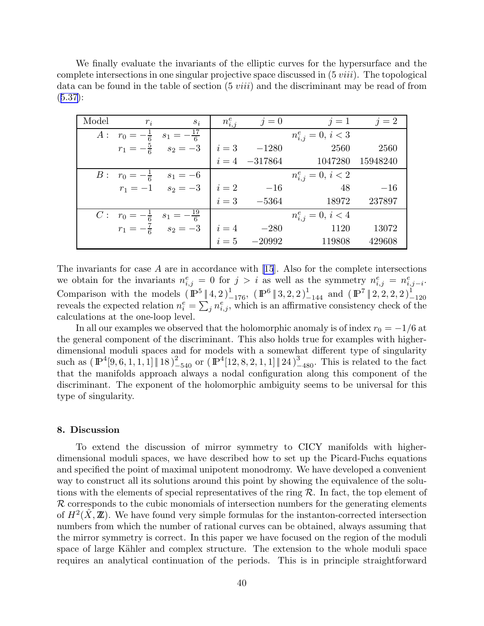We finally evaluate the invariants of the elliptic curves for the hypersurface and the complete intersections in one singular projective space discussed in  $(5 viii)$ . The topological data can be found in the table of section (5 viii) and the discriminant may be read of from  $(5.37):$  $(5.37):$  $(5.37):$ 

| Model | $r_i$ | $s_i$                                                                             | $n_{i,j}^e$            | $j=0$                                                         | $j=1$                  | $j=2$    |
|-------|-------|-----------------------------------------------------------------------------------|------------------------|---------------------------------------------------------------|------------------------|----------|
| $A$ : |       | $r_0 = -\frac{1}{6}$ $s_1 = -\frac{17}{6}$                                        |                        |                                                               | $n_{i,j}^e = 0, i < 3$ |          |
|       |       | $r_1 = -\frac{5}{6}$ $s_2 = -3$                                                   | $i=3$                  | $\begin{array}{ccc} i=3 & -1280 \\ i=4 & -317864 \end{array}$ | 2560                   | 2560     |
|       |       |                                                                                   |                        |                                                               | 1047280                | 15948240 |
|       |       | $\overline{B}$ : $r_0 = -\frac{1}{6}$ $s_1 = -6$<br>$r_1 = -1$ $s_2 = -3$ $i = 2$ |                        |                                                               | $n_{i,j}^e = 0, i < 2$ |          |
|       |       |                                                                                   |                        | $-16$<br>$-5364$                                              | 48                     | $-16$    |
|       |       |                                                                                   | $i=3$                  |                                                               | 18972                  | 237897   |
|       |       | $C: r_0 = -\frac{1}{6}$ $s_1 = -\frac{19}{6}$                                     | $n_{i,j}^e = 0, i < 4$ |                                                               |                        |          |
|       |       | $r_1 = -\frac{5}{6}$ $s_2 = -3$ $i = 4$ $-280$<br>$i = 5$ $-20992$                |                        |                                                               | 1120                   | 13072    |
|       |       |                                                                                   |                        |                                                               | 119808                 | 429608   |

The invariants for case  $A$  are in accordance with [\[15](#page-48-0)]. Also for the complete intersections we obtain for the invariants  $n_{i,j}^e = 0$  for  $j > i$  as well as the symmetry  $n_{i,j}^e = n_{i,j-i}^e$ . Comparison with the models  $(\mathbb{P}^5 \| 4, 2)_{-176}^1$ ,  $(\mathbb{P}^6 \| 3, 2, 2)_{-144}^1$  and  $(\mathbb{P}^7 \| 2, 2, 2, 2)_{-120}^1$ reveals the expected relation  $n_i^e = \sum_j n_{i,j}^e$ , which is an affirmative consistency check of the calculations at the one-loop level.

In all our examples we observed that the holomorphic anomaly is of index  $r_0 = -1/6$  at the general component of the discriminant. This also holds true for examples with higherdimensional moduli spaces and for models with a somewhat different type of singularity such as  $(\mathbb{P}^4[9, 6, 1, 1, 1] \| 18)_{-540}^2$  or  $(\mathbb{P}^4[12, 8, 2, 1, 1] \| 24)_{-480}^3$ . This is related to the fact that the manifolds approach always a nodal configuration along this component of the discriminant. The exponent of the holomorphic ambiguity seems to be universal for this type of singularity.

## 8. Discussion

To extend the discussion of mirror symmetry to CICY manifolds with higherdimensional moduli spaces, we have described how to set up the Picard-Fuchs equations and specified the point of maximal unipotent monodromy. We have developed a convenient way to construct all its solutions around this point by showing the equivalence of the solutions with the elements of special representatives of the ring  $R$ . In fact, the top element of  $\mathcal R$  corresponds to the cubic monomials of intersection numbers for the generating elements of  $H^2(\hat{X}, \mathbb{Z})$ . We have found very simple formulas for the instanton-corrected intersection numbers from which the number of rational curves can be obtained, always assuming that the mirror symmetry is correct. In this paper we have focused on the region of the moduli space of large Kähler and complex structure. The extension to the whole moduli space requires an analytical continuation of the periods. This is in principle straightforward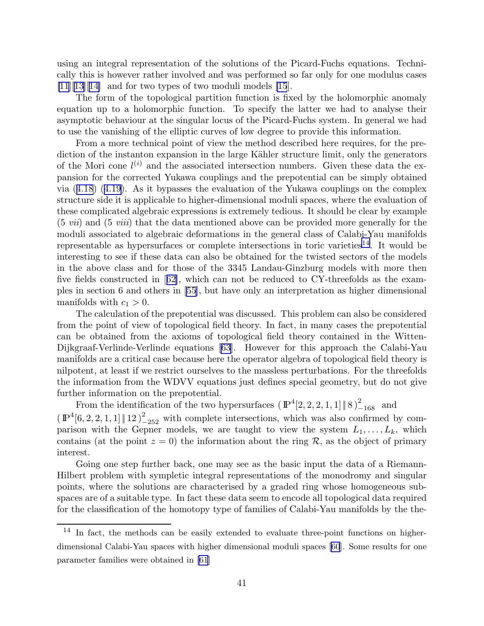using an integral representation of the solutions of the Picard-Fuchs equations. Technically this is however rather involved and was performed so far only for one modulus cases  $[11][13][14]$  $[11][13][14]$  $[11][13][14]$  $[11][13][14]$  $[11][13][14]$  and for two types of two moduli models  $[15]$ .

The form of the topological partition function is fixed by the holomorphic anomaly equation up to a holomorphic function. To specify the latter we had to analyse their asymptotic behaviour at the singular locus of the Picard-Fuchs system. In general we had to use the vanishing of the elliptic curves of low degree to provide this information.

From a more technical point of view the method described here requires, for the prediction of the instanton expansion in the large Kähler structure limit, only the generators of the Mori cone  $l^{(i)}$  and the associated intersection numbers. Given these data the expansion for the corrected Yukawa couplings and the prepotential can be simply obtained via([4.18](#page-14-0))([4.19](#page-14-0)). As it bypasses the evaluation of the Yukawa couplings on the complex structure side it is applicable to higher-dimensional moduli spaces, where the evaluation of these complicated algebraic expressions is extremely tedious. It should be clear by example (5 vii) and (5 viii) that the data mentioned above can be provided more generally for the moduli associated to algebraic deformations in the general class of Calabi-Yau manifolds representable as hypersurfaces or complete intersections in toric varieties<sup>14</sup>. It would be interesting to see if these data can also be obtained for the twisted sectors of the models in the above class and for those of the 3345 Landau-Ginzburg models with more then five fields constructed in[[62\]](#page-50-0), which can not be reduced to CY-threefolds as the examples in section 6 and others in [\[55](#page-50-0)], but have only an interpretation as higher dimensional manifolds with  $c_1 > 0$ .

The calculation of the prepotential was discussed. This problem can also be considered from the point of view of topological field theory. In fact, in many cases the prepotential can be obtained from the axioms of topological field theory contained in the Witten-Dijkgraaf-Verlinde-Verlinde equations[[63](#page-50-0)]. However for this approach the Calabi-Yau manifolds are a critical case because here the operator algebra of topological field theory is nilpotent, at least if we restrict ourselves to the massless perturbations. For the threefolds the information from the WDVV equations just defines special geometry, but do not give further information on the prepotential.

From the identification of the two hypersurfaces  $(\mathbb{P}^4[2,2,2,1,1]\|\, 8\,)_{-168}^2$  and  $(\mathbb{P}^4[6, 2, 2, 1, 1] \| 12)_{-252}^2$  with complete intersections, which was also confirmed by comparison with the Gepner models, we are taught to view the system  $L_1, \ldots, L_k$ , which contains (at the point  $z = 0$ ) the information about the ring R, as the object of primary interest.

Going one step further back, one may see as the basic input the data of a Riemann-Hilbert problem with sympletic integral representations of the monodromy and singular points, where the solutions are characterised by a graded ring whose homogeneous subspaces are of a suitable type. In fact these data seem to encode all topological data required for the classification of the homotopy type of families of Calabi-Yau manifolds by the the-

<sup>14</sup> In fact, the methods can be easily extended to evaluate three-point functions on higherdimensional Calabi-Yau spaces with higher dimensional moduli spaces [\[60](#page-50-0)]. Some results for one parameter families were obtained in [\[61](#page-50-0)]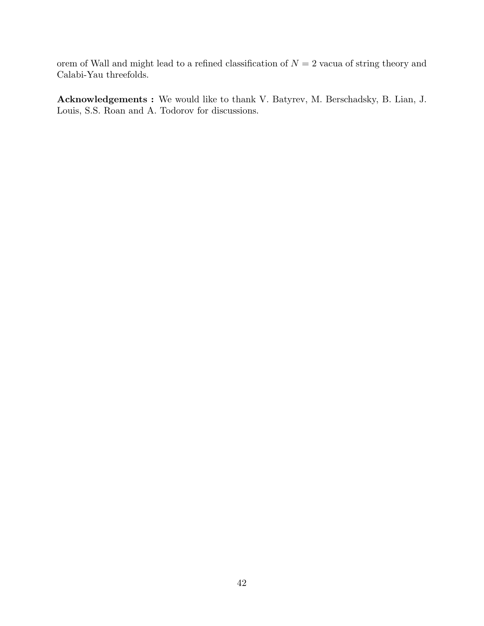orem of Wall and might lead to a refined classification of  $N = 2$  vacua of string theory and Calabi-Yau threefolds.

Acknowledgements : We would like to thank V. Batyrev, M. Berschadsky, B. Lian, J. Louis, S.S. Roan and A. Todorov for discussions.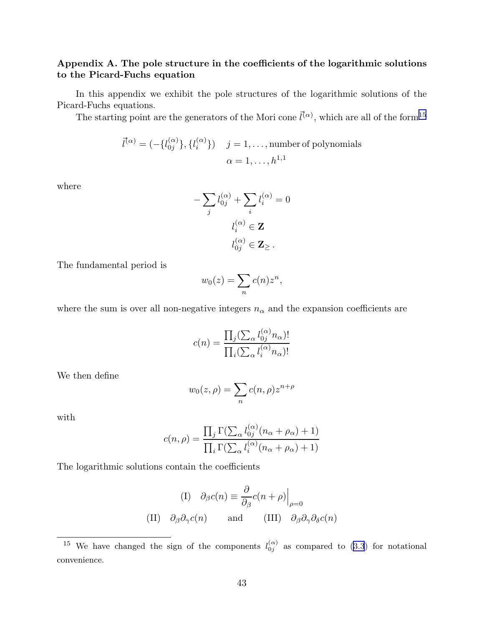## Appendix A. The pole structure in the coefficients of the logarithmic solutions to the Picard-Fuchs equation

In this appendix we exhibit the pole structures of the logarithmic solutions of the Picard-Fuchs equations.

The starting point are the generators of the Mori cone  $\vec{l}^{(\alpha)}$ , which are all of the form<sup>15</sup>

$$
\vec{l}^{(\alpha)} = (-\{l_{0j}^{(\alpha)}\}, \{l_i^{(\alpha)}\}) \quad j = 1, \dots, \text{number of polynomials}
$$

$$
\alpha = 1, \dots, h^{1,1}
$$

where

$$
-\sum_{j} l_{0j}^{(\alpha)} + \sum_{i} l_{i}^{(\alpha)} = 0
$$

$$
l_{i}^{(\alpha)} \in \mathbf{Z}
$$

$$
l_{0j}^{(\alpha)} \in \mathbf{Z}_{\geq}.
$$

The fundamental period is

$$
w_0(z) = \sum_n c(n)z^n,
$$

where the sum is over all non-negative integers  $n_{\alpha}$  and the expansion coefficients are

$$
c(n) = \frac{\prod_{j} (\sum_{\alpha} l_{0j}^{(\alpha)} n_{\alpha})!}{\prod_{i} (\sum_{\alpha} l_{i}^{(\alpha)} n_{\alpha})!}
$$

We then define

$$
w_0(z,\rho) = \sum_n c(n,\rho) z^{n+\rho}
$$

with

$$
c(n,\rho) = \frac{\prod_j \Gamma(\sum_\alpha l_{0j}^{(\alpha)}(n_\alpha + \rho_\alpha) + 1)}{\prod_i \Gamma(\sum_\alpha l_i^{(\alpha)}(n_\alpha + \rho_\alpha) + 1)}
$$

The logarithmic solutions contain the coefficients

(I) 
$$
\partial_{\beta}c(n) \equiv \frac{\partial}{\partial_{\beta}}c(n+\rho)\Big|_{\rho=0}
$$
  
(II)  $\partial_{\beta}\partial_{\gamma}c(n)$  and (III)  $\partial_{\beta}\partial_{\gamma}\partial_{\delta}c(n)$ 

<sup>&</sup>lt;sup>15</sup> We have changed the sign of the components  $l_{0i}^{(\alpha)}$  $\begin{pmatrix} \alpha \\ 0 \\ \end{pmatrix}$  as compared to [\(3.3](#page-5-0)) for notational convenience.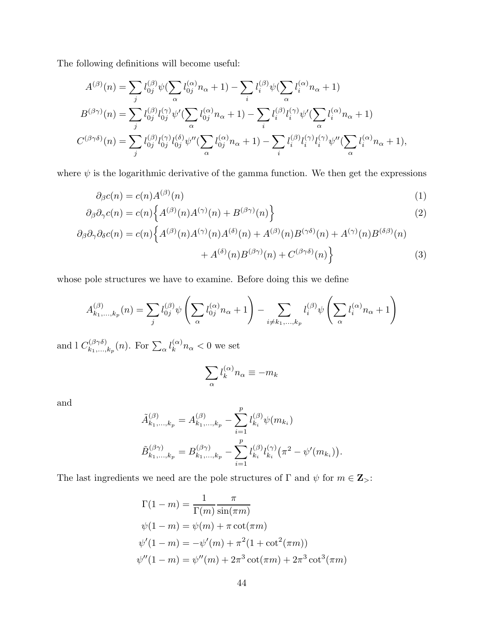The following definitions will become useful:

$$
A^{(\beta)}(n) = \sum_{j} l_{0j}^{(\beta)} \psi(\sum_{\alpha} l_{0j}^{(\alpha)} n_{\alpha} + 1) - \sum_{i} l_{i}^{(\beta)} \psi(\sum_{\alpha} l_{i}^{(\alpha)} n_{\alpha} + 1)
$$
  
\n
$$
B^{(\beta\gamma)}(n) = \sum_{j} l_{0j}^{(\beta)} l_{0j}^{(\gamma)} \psi'(\sum_{\alpha} l_{0j}^{(\alpha)} n_{\alpha} + 1) - \sum_{i} l_{i}^{(\beta)} l_{i}^{(\gamma)} \psi'(\sum_{\alpha} l_{i}^{(\alpha)} n_{\alpha} + 1)
$$
  
\n
$$
C^{(\beta\gamma\delta)}(n) = \sum_{j} l_{0j}^{(\beta)} l_{0j}^{(\gamma)} l_{0j}^{(\delta)} \psi''(\sum_{\alpha} l_{0j}^{(\alpha)} n_{\alpha} + 1) - \sum_{i} l_{i}^{(\beta)} l_{i}^{(\gamma)} l_{i}^{(\gamma)} \psi''(\sum_{\alpha} l_{i}^{(\alpha)} n_{\alpha} + 1),
$$

where  $\psi$  is the logarithmic derivative of the gamma function. We then get the expressions

$$
\partial_{\beta}c(n) = c(n)A^{(\beta)}(n) \tag{1}
$$

$$
\partial_{\beta}\partial_{\gamma}c(n) = c(n)\Big\{A^{(\beta)}(n)A^{(\gamma)}(n) + B^{(\beta\gamma)}(n)\Big\}
$$
\n(2)

$$
\partial_{\beta}\partial_{\gamma}\partial_{\delta}c(n) = c(n)\Big\{A^{(\beta)}(n)A^{(\gamma)}(n)A^{(\delta)}(n) + A^{(\beta)}(n)B^{(\gamma\delta)}(n) + A^{(\gamma)}(n)B^{(\delta\beta)}(n) + A^{(\delta)}(n)B^{(\beta\gamma)}(n) + C^{(\beta\gamma\delta)}(n)\Big\}
$$
(3)

whose pole structures we have to examine. Before doing this we define

$$
A_{k_1,\ldots,k_p}^{(\beta)}(n) = \sum_j l_{0j}^{(\beta)} \psi\left(\sum_{\alpha} l_{0j}^{(\alpha)} n_{\alpha} + 1\right) - \sum_{i \neq k_1,\ldots,k_p} l_i^{(\beta)} \psi\left(\sum_{\alpha} l_i^{(\alpha)} n_{\alpha} + 1\right)
$$

and l  $C_{k_1}^{(\beta \gamma \delta)}$  $\chi_{k_1,...,k_p}^{(\beta \gamma \delta)}(n)$ . For  $\sum_{\alpha} l_k^{(\alpha)}$  $\int_{k}^{\alpha} n_{\alpha} < 0$  we set

$$
\sum_{\alpha} l_k^{(\alpha)} n_{\alpha} \equiv -m_k
$$

and

$$
\tilde{A}_{k_1,...,k_p}^{(\beta)} = A_{k_1,...,k_p}^{(\beta)} - \sum_{i=1}^p l_{k_i}^{(\beta)} \psi(m_{k_i})
$$
  

$$
\tilde{B}_{k_1,...,k_p}^{(\beta \gamma)} = B_{k_1,...,k_p}^{(\beta \gamma)} - \sum_{i=1}^p l_{k_i}^{(\beta)} l_{k_i}^{(\gamma)} (\pi^2 - \psi'(m_{k_i})).
$$

The last ingredients we need are the pole structures of  $\Gamma$  and  $\psi$  for  $m \in \mathbf{Z}_{>}$ :

$$
\Gamma(1 - m) = \frac{1}{\Gamma(m)} \frac{\pi}{\sin(\pi m)}
$$
  
\n
$$
\psi(1 - m) = \psi(m) + \pi \cot(\pi m)
$$
  
\n
$$
\psi'(1 - m) = -\psi'(m) + \pi^2 (1 + \cot^2(\pi m))
$$
  
\n
$$
\psi''(1 - m) = \psi''(m) + 2\pi^3 \cot(\pi m) + 2\pi^3 \cot^3(\pi m)
$$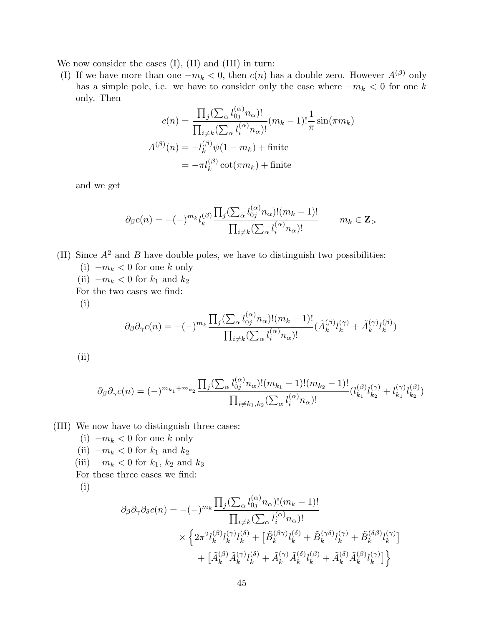We now consider the cases (I), (II) and (III) in turn:

(I) If we have more than one  $-m_k < 0$ , then  $c(n)$  has a double zero. However  $A^{(\beta)}$  only has a simple pole, i.e. we have to consider only the case where  $-m_k < 0$  for one k only. Then

$$
c(n) = \frac{\prod_j (\sum_{\alpha} l_{0j}^{(\alpha)} n_{\alpha})!}{\prod_{i \neq k} (\sum_{\alpha} l_i^{(\alpha)} n_{\alpha})!} (m_k - 1)! \frac{1}{\pi} \sin(\pi m_k)
$$

$$
A^{(\beta)}(n) = -l_k^{(\beta)} \psi(1 - m_k) + \text{finite}
$$

$$
= -\pi l_k^{(\beta)} \cot(\pi m_k) + \text{finite}
$$

and we get

$$
\partial_{\beta}c(n) = -(-)^{m_k} l_k^{(\beta)} \frac{\prod_j (\sum_{\alpha} l_{0j}^{(\alpha)} n_{\alpha})! (m_k - 1)!}{\prod_{i \neq k} (\sum_{\alpha} l_i^{(\alpha)} n_{\alpha})!} \qquad m_k \in \mathbf{Z}_{>}
$$

(II) Since  $A^2$  and B have double poles, we have to distinguish two possibilities: (i)  $-m_k < 0$  for one k only (ii)  $-m_k < 0$  for  $k_1$  and  $k_2$ For the two cases we find:

(i)

$$
\partial_{\beta}\partial_{\gamma}c(n) = -(-)^{m_k}\frac{\prod_j(\sum_{\alpha}l_{0j}^{(\alpha)}n_{\alpha})!(m_k-1)!}{\prod_{i\neq k}(\sum_{\alpha}l_i^{(\alpha)}n_{\alpha})!}(\tilde{A}_k^{(\beta)}l_k^{(\gamma)} + \tilde{A}_k^{(\gamma)}l_k^{(\beta)})
$$

(ii)

$$
\partial_{\beta}\partial_{\gamma}c(n) = (-)^{m_{k_1}+m_{k_2}} \frac{\prod_j(\sum_{\alpha}l_{0j}^{(\alpha)}n_{\alpha})!(m_{k_1}-1)!(m_{k_2}-1)!}{\prod_{i \neq k_1,k_2}(\sum_{\alpha}l_i^{(\alpha)}n_{\alpha})!} (l_{k_1}^{(\beta)}l_{k_2}^{(\gamma)} + l_{k_1}^{(\gamma)}l_{k_2}^{(\beta)})
$$

(III) We now have to distinguish three cases:

- (i)  $-m_k < 0$  for one k only
- (ii)  $-m_k < 0$  for  $k_1$  and  $k_2$
- (iii)  $-m_k < 0$  for  $k_1$ ,  $k_2$  and  $k_3$

For these three cases we find:

(i)

$$
\partial_{\beta}\partial_{\gamma}\partial_{\delta}c(n) = -(-)^{m_{k}}\frac{\prod_{j}(\sum_{\alpha}l_{0j}^{(\alpha)}n_{\alpha})!(m_{k}-1)!}{\prod_{i\neq k}(\sum_{\alpha}l_{i}^{(\alpha)}n_{\alpha})!} \times \left\{2\pi^{2}l_{k}^{(\beta)}l_{k}^{(\gamma)}l_{k}^{(\delta)} + [\tilde{B}_{k}^{(\beta\gamma)}l_{k}^{(\delta)} + \tilde{B}_{k}^{(\gamma\delta)}l_{k}^{(\gamma)} + \tilde{B}_{k}^{(\delta\beta)}l_{k}^{(\gamma)}] + [\tilde{A}_{k}^{(\beta)}\tilde{A}_{k}^{(\gamma)}l_{k}^{(\delta)} + \tilde{A}_{k}^{(\gamma)}\tilde{A}_{k}^{(\delta)}l_{k}^{(\beta)} + \tilde{A}_{k}^{(\delta)}\tilde{A}_{k}^{(\beta)}l_{k}^{(\gamma)}]\right\}
$$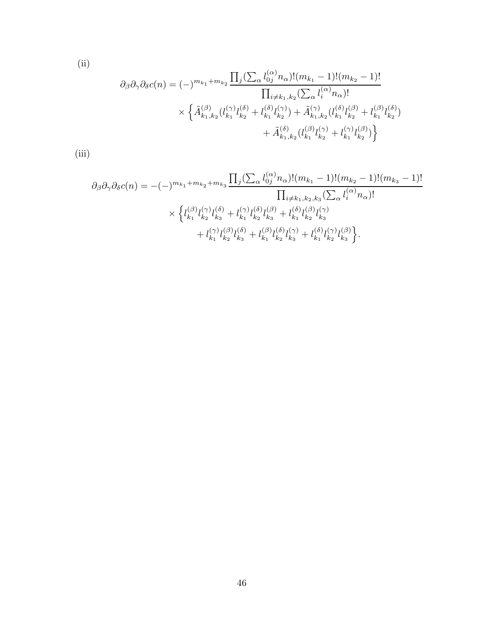(ii)

$$
\partial_{\beta}\partial_{\gamma}\partial_{\delta}c(n) = (-)^{m_{k_1}+m_{k_2}} \frac{\prod_{j}(\sum_{\alpha}l_{0j}^{(\alpha)}n_{\alpha})!(m_{k_1}-1)!(m_{k_2}-1)!}{\prod_{i\neq k_1,k_2}(\sum_{\alpha}l_{i}^{(\alpha)}n_{\alpha})!} \times \left\{\tilde{A}_{k_1,k_2}^{(\beta)}(l_{k_1}^{(\gamma)}l_{k_2}^{(\delta)}+l_{k_1}^{(\delta)}l_{k_2}^{(\gamma)})+\tilde{A}_{k_1,k_2}^{(\gamma)}(l_{k_1}^{(\delta)}l_{k_2}^{(\beta)}+l_{k_1}^{(\beta)}l_{k_2}^{(\delta)}) + \tilde{A}_{k_1,k_2}^{(\delta)}(l_{k_1}^{(\beta)}l_{k_2}^{(\gamma)}+l_{k_1}^{(\gamma)}l_{k_2}^{(\beta)})\right\}
$$

(iii)

$$
\partial_{\beta}\partial_{\gamma}\partial_{\delta}c(n) = -(-)^{m_{k_1}+m_{k_2}+m_{k_3}}\frac{\prod_{j}(\sum_{\alpha}l_{0j}^{(\alpha)}n_{\alpha})!(m_{k_1}-1)!(m_{k_2}-1)!(m_{k_3}-1)!}{\prod_{i\neq k_1,k_2,k_3}(\sum_{\alpha}l_{i}^{(\alpha)}n_{\alpha})!} \times \left\{l_{k_1}^{(\beta)}l_{k_2}^{(\gamma)}l_{k_3}^{(\delta)}+l_{k_1}^{(\gamma)}l_{k_2}^{(\beta)}l_{k_3}^{(\beta)}+l_{k_1}^{(\delta)}l_{k_2}^{(\beta)}l_{k_3}^{(\gamma)} +l_{k_1}^{(\gamma)}l_{k_2}^{(\beta)}l_{k_3}^{(\gamma)}+l_{k_1}^{(\delta)}l_{k_2}^{(\gamma)}l_{k_3}^{(\gamma)}\right\}.
$$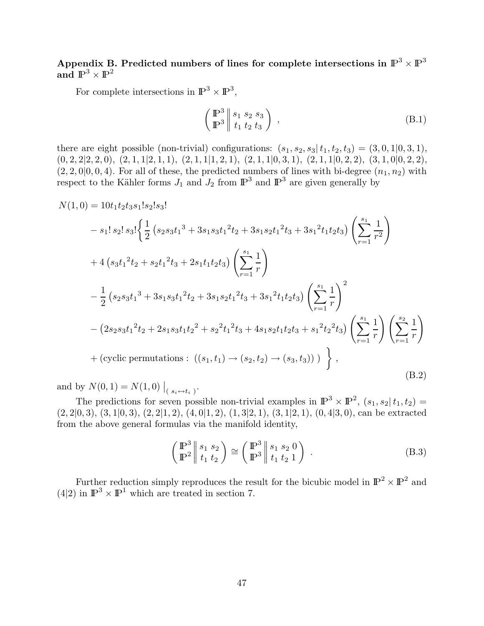Appendix B. Predicted numbers of lines for complete intersections in  $\mathbb{P}^3 \times \mathbb{P}^3$ and  $\mathbb{P}^3 \times \mathbb{P}^2$ 

For complete intersections in  $\mathbb{P}^3 \times \mathbb{P}^3$ ,

$$
\left(\begin{array}{c}\n\mathbb{P}^3 \\
\mathbb{P}^3\n\end{array}\right)\n\Big|\n\begin{array}{c}\ns_1 \ s_2 \ s_3 \\
t_1 \ t_2 \ t_3\n\end{array}\n\Big|\n\tag{B.1}
$$

there are eight possible (non-trivial) configurations:  $(s_1, s_2, s_3 | t_1, t_2, t_3) = (3, 0, 1 | 0, 3, 1),$  $(0, 2, 2|2, 2, 0), (2, 1, 1|2, 1, 1), (2, 1, 1|1, 2, 1), (2, 1, 1|0, 3, 1), (2, 1, 1|0, 2, 2), (3, 1, 0|0, 2, 2),$  $(2, 2, 0|0, 0, 4)$ . For all of these, the predicted numbers of lines with bi-degree  $(n_1, n_2)$  with respect to the Kähler forms  $J_1$  and  $J_2$  from  $\mathbb{P}^3$  and  $\mathbb{P}^3$  are given generally by

$$
N(1,0) = 10t_1t_2t_3s_1!s_2!s_3!
$$
  
\n
$$
- s_1! s_2! s_3! \left\{ \frac{1}{2} \left( s_2s_3t_1{}^3 + 3s_1s_3t_1{}^2t_2 + 3s_1s_2t_1{}^2t_3 + 3s_1{}^2t_1t_2t_3 \right) \left( \sum_{r=1}^{s_1} \frac{1}{r^2} \right) \right.
$$
  
\n
$$
+ 4 \left( s_3t_1{}^2t_2 + s_2t_1{}^2t_3 + 2s_1t_1t_2t_3 \right) \left( \sum_{r=1}^{s_1} \frac{1}{r} \right)
$$
  
\n
$$
- \frac{1}{2} \left( s_2s_3t_1{}^3 + 3s_1s_3t_1{}^2t_2 + 3s_1s_2t_1{}^2t_3 + 3s_1{}^2t_1t_2t_3 \right) \left( \sum_{r=1}^{s_1} \frac{1}{r} \right)^2
$$
  
\n
$$
- \left( 2s_2s_3t_1{}^2t_2 + 2s_1s_3t_1t_2{}^2 + s_2{}^2t_1{}^2t_3 + 4s_1s_2t_1t_2t_3 + s_1{}^2t_2{}^2t_3 \right) \left( \sum_{r=1}^{s_1} \frac{1}{r} \right) \left( \sum_{r=1}^{s_2} \frac{1}{r} \right)
$$
  
\n
$$
+ \left( \text{cyclic permutations}: \left( (s_1, t_1) \rightarrow (s_2, t_2) \rightarrow (s_3, t_3) \right) \right),
$$
  
\n(B.2)

and by  $N(0, 1) = N(1, 0) |_{(s_i \leftrightarrow t_i)}$ .

The predictions for seven possible non-trivial examples in  $\mathbb{P}^3 \times \mathbb{P}^2$ ,  $(s_1, s_2 | t_1, t_2) =$  $(2, 2|0, 3), (3, 1|0, 3), (2, 2|1, 2), (4, 0|1, 2), (1, 3|2, 1), (3, 1|2, 1), (0, 4|3, 0),$  can be extracted from the above general formulas via the manifold identity,

$$
\begin{pmatrix} \mathbb{P}^3 \ |\ s_1 \ s_2 \end{pmatrix} \cong \begin{pmatrix} \mathbb{P}^3 \ |\ s_1 \ s_2 \ 0 \end{pmatrix} . \tag{B.3}
$$

Further reduction simply reproduces the result for the bicubic model in  $\mathbb{P}^2 \times \mathbb{P}^2$  and  $(4|2)$  in  $\mathbb{P}^3 \times \mathbb{P}^1$  which are treated in section 7.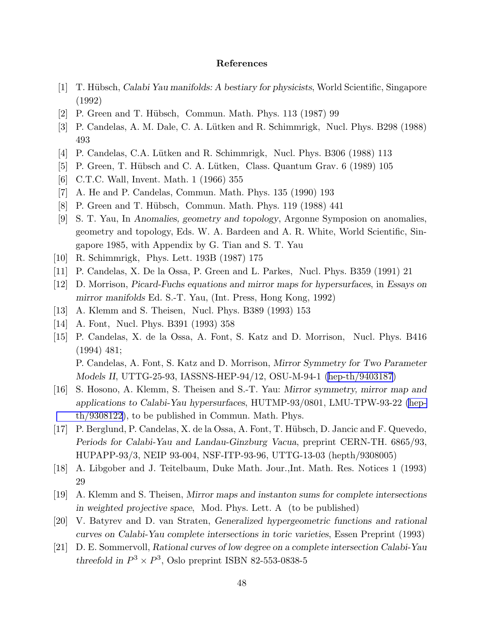## References

- <span id="page-48-0"></span>[1] T. H¨ubsch, Calabi Yau manifolds: A bestiary for physicists, World Scientific, Singapore (1992)
- [2] P. Green and T. Hübsch, Commun. Math. Phys. 113 (1987) 99
- [3] P. Candelas, A. M. Dale, C. A. Lütken and R. Schimmrigk, Nucl. Phys. B298 (1988) 493
- [4] P. Candelas, C.A. Lütken and R. Schimmrigk, Nucl. Phys. B306 (1988) 113
- [5] P. Green, T. Hübsch and C. A. Lütken, Class. Quantum Grav.  $6$  (1989) 105
- [6] C.T.C. Wall, Invent. Math. 1 (1966) 355
- [7] A. He and P. Candelas, Commun. Math. Phys. 135 (1990) 193
- [8] P. Green and T. Hübsch, Commun. Math. Phys. 119 (1988) 441
- [9] S. T. Yau, In Anomalies, geometry and topology, Argonne Symposion on anomalies, geometry and topology, Eds. W. A. Bardeen and A. R. White, World Scientific, Singapore 1985, with Appendix by G. Tian and S. T. Yau
- [10] R. Schimmrigk, Phys. Lett. 193B (1987) 175
- [11] P. Candelas, X. De la Ossa, P. Green and L. Parkes, Nucl. Phys. B359 (1991) 21
- [12] D. Morrison, Picard-Fuchs equations and mirror maps for hypersurfaces, in Essays on mirror manifolds Ed. S.-T. Yau, (Int. Press, Hong Kong, 1992)
- [13] A. Klemm and S. Theisen, Nucl. Phys. B389 (1993) 153
- [14] A. Font, Nucl. Phys. B391 (1993) 358
- [15] P. Candelas, X. de la Ossa, A. Font, S. Katz and D. Morrison, Nucl. Phys. B416 (1994) 481;

P. Candelas, A. Font, S. Katz and D. Morrison, Mirror Symmetry for Two Parameter Models II, UTTG-25-93, IASSNS-HEP-94/12, OSU-M-94-1 [\(hep-th/9403187\)](http://arXiv.org/abs/hep-th/9403187)

- [16] S. Hosono, A. Klemm, S. Theisen and S.-T. Yau: Mirror symmetry, mirror map and applications to Calabi-Yau hypersurfaces, HUTMP-93/0801, LMU-TPW-93-22 [\(hep](http://arXiv.org/abs/hep-th/9308122)[th/9308122](http://arXiv.org/abs/hep-th/9308122)), to be published in Commun. Math. Phys.
- [17] P. Berglund, P. Candelas, X. de la Ossa, A. Font, T. H¨ubsch, D. Jancic and F. Quevedo, Periods for Calabi-Yau and Landau-Ginzburg Vacua, preprint CERN-TH. 6865/93, HUPAPP-93/3, NEIP 93-004, NSF-ITP-93-96, UTTG-13-03 (hepth/9308005)
- [18] A. Libgober and J. Teitelbaum, Duke Math. Jour.,Int. Math. Res. Notices 1 (1993) 29
- [19] A. Klemm and S. Theisen, Mirror maps and instanton sums for complete intersections in weighted projective space, Mod. Phys. Lett. A (to be published)
- [20] V. Batyrev and D. van Straten, Generalized hypergeometric functions and rational curves on Calabi-Yau complete intersections in toric varieties, Essen Preprint (1993)
- [21] D. E. Sommervoll, Rational curves of low degree on a complete intersection Calabi-Yau threefold in  $P^3 \times P^3$ , Oslo preprint ISBN 82-553-0838-5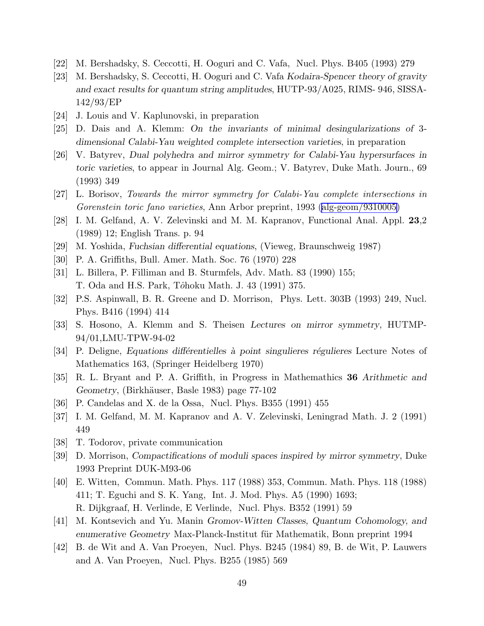- <span id="page-49-0"></span>[22] M. Bershadsky, S. Ceccotti, H. Ooguri and C. Vafa, Nucl. Phys. B405 (1993) 279
- [23] M. Bershadsky, S. Ceccotti, H. Ooguri and C. Vafa Kodaira-Spencer theory of gravity and exact results for quantum string amplitudes, HUTP-93/A025, RIMS- 946, SISSA-142/93/EP
- [24] J. Louis and V. Kaplunovski, in preparation
- [25] D. Dais and A. Klemm: On the invariants of minimal desingularizations of 3 dimensional Calabi-Yau weighted complete intersection varieties, in preparation
- [26] V. Batyrev, Dual polyhedra and mirror symmetry for Calabi-Yau hypersurfaces in toric varieties, to appear in Journal Alg. Geom.; V. Batyrev, Duke Math. Journ., 69 (1993) 349
- [27] L. Borisov, Towards the mirror symmetry for Calabi-Yau complete intersections in Gorenstein toric fano varieties, Ann Arbor preprint, 1993 [\(alg-geom/9310005\)](http://arXiv.org/abs/alg-geom/9310005)
- [28] I. M. Gelfand, A. V. Zelevinski and M. M. Kapranov, Functional Anal. Appl. 23,2 (1989) 12; English Trans. p. 94
- [29] M. Yoshida, Fuchsian differential equations, (Vieweg, Braunschweig 1987)
- [30] P. A. Griffiths, Bull. Amer. Math. Soc. 76 (1970) 228
- [31] L. Billera, P. Filliman and B. Sturmfels, Adv. Math. 83 (1990) 155; T. Oda and H.S. Park, Tôhoku Math. J. 43 (1991) 375.
- [32] P.S. Aspinwall, B. R. Greene and D. Morrison, Phys. Lett. 303B (1993) 249, Nucl. Phys. B416 (1994) 414
- [33] S. Hosono, A. Klemm and S. Theisen Lectures on mirror symmetry, HUTMP-94/01,LMU-TPW-94-02
- [34] P. Deligne, Equations differentielles à point singulieres régulieres Lecture Notes of Mathematics 163, (Springer Heidelberg 1970)
- [35] R. L. Bryant and P. A. Griffith, in Progress in Mathemathics 36 Arithmetic and Geometry, (Birkhäuser, Basle 1983) page 77-102
- [36] P. Candelas and X. de la Ossa, Nucl. Phys. B355 (1991) 455
- [37] I. M. Gelfand, M. M. Kapranov and A. V. Zelevinski, Leningrad Math. J. 2 (1991) 449
- [38] T. Todorov, private communication
- [39] D. Morrison, Compactifications of moduli spaces inspired by mirror symmetry, Duke 1993 Preprint DUK-M93-06
- [40] E. Witten, Commun. Math. Phys. 117 (1988) 353, Commun. Math. Phys. 118 (1988) 411; T. Eguchi and S. K. Yang, Int. J. Mod. Phys. A5 (1990) 1693; R. Dijkgraaf, H. Verlinde, E Verlinde, Nucl. Phys. B352 (1991) 59
- [41] M. Kontsevich and Yu. Manin Gromov-Witten Classes, Quantum Cohomology, and enumerative Geometry Max-Planck-Institut für Mathematik, Bonn preprint 1994
- [42] B. de Wit and A. Van Proeyen, Nucl. Phys. B245 (1984) 89, B. de Wit, P. Lauwers and A. Van Proeyen, Nucl. Phys. B255 (1985) 569